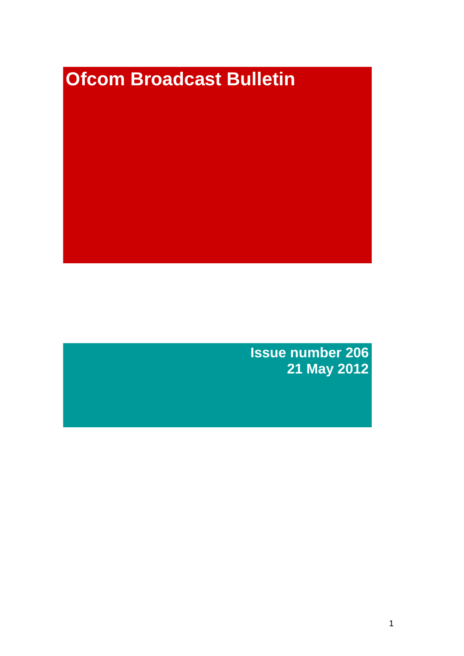# **Ofcom Broadcast Bulletin**

**Issue number 206 21 May 2012**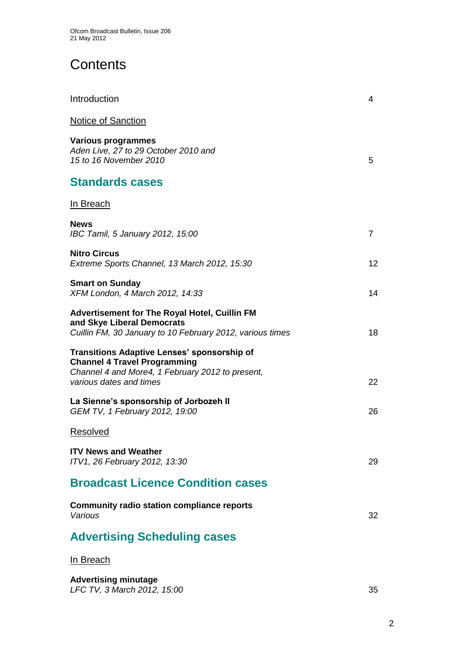# **Contents**

| Introduction                                                                                                                                                             | 4              |
|--------------------------------------------------------------------------------------------------------------------------------------------------------------------------|----------------|
| <b>Notice of Sanction</b>                                                                                                                                                |                |
| <b>Various programmes</b><br>Aden Live, 27 to 29 October 2010 and<br>15 to 16 November 2010                                                                              | 5              |
| <b>Standards cases</b>                                                                                                                                                   |                |
| <u>In Breach</u>                                                                                                                                                         |                |
| <b>News</b><br>IBC Tamil, 5 January 2012, 15:00                                                                                                                          | $\overline{7}$ |
| <b>Nitro Circus</b><br>Extreme Sports Channel, 13 March 2012, 15:30                                                                                                      | 12             |
| <b>Smart on Sunday</b><br>XFM London, 4 March 2012, 14:33                                                                                                                | 14             |
| <b>Advertisement for The Royal Hotel, Cuillin FM</b><br>and Skye Liberal Democrats<br>Cuillin FM, 30 January to 10 February 2012, various times                          | 18             |
| <b>Transitions Adaptive Lenses' sponsorship of</b><br><b>Channel 4 Travel Programming</b><br>Channel 4 and More4, 1 February 2012 to present,<br>various dates and times | 22             |
| La Sienne's sponsorship of Jorbozeh II<br>GEM TV, 1 February 2012, 19:00                                                                                                 | 26             |
| Resolved                                                                                                                                                                 |                |
| <b>ITV News and Weather</b><br>ITV1, 26 February 2012, 13:30                                                                                                             | 29             |
| <b>Broadcast Licence Condition cases</b>                                                                                                                                 |                |
| <b>Community radio station compliance reports</b><br>Various                                                                                                             | 32             |
| <b>Advertising Scheduling cases</b>                                                                                                                                      |                |
| In Breach                                                                                                                                                                |                |
|                                                                                                                                                                          |                |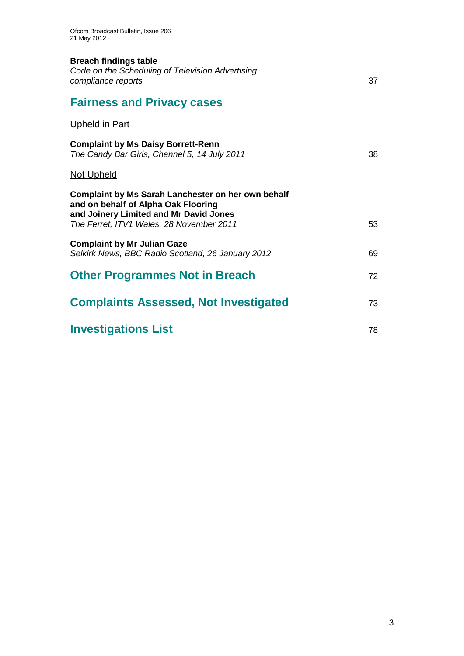### **Breach findings table**

| Code on the Scheduling of Television Advertising |  |
|--------------------------------------------------|--|
| compliance reports                               |  |

# **Fairness and Privacy cases**

## Upheld in Part

| <b>Complaint by Ms Daisy Borrett-Renn</b><br>The Candy Bar Girls, Channel 5, 14 July 2011                                                  | 38 |
|--------------------------------------------------------------------------------------------------------------------------------------------|----|
| Not Upheld                                                                                                                                 |    |
| <b>Complaint by Ms Sarah Lanchester on her own behalf</b><br>and on behalf of Alpha Oak Flooring<br>and Joinery Limited and Mr David Jones |    |
| The Ferret, ITV1 Wales, 28 November 2011                                                                                                   | 53 |
| <b>Complaint by Mr Julian Gaze</b><br>Selkirk News, BBC Radio Scotland, 26 January 2012                                                    | 69 |
| <b>Other Programmes Not in Breach</b>                                                                                                      | 72 |
| <b>Complaints Assessed, Not Investigated</b>                                                                                               | 73 |
| <b>Investigations List</b>                                                                                                                 | 78 |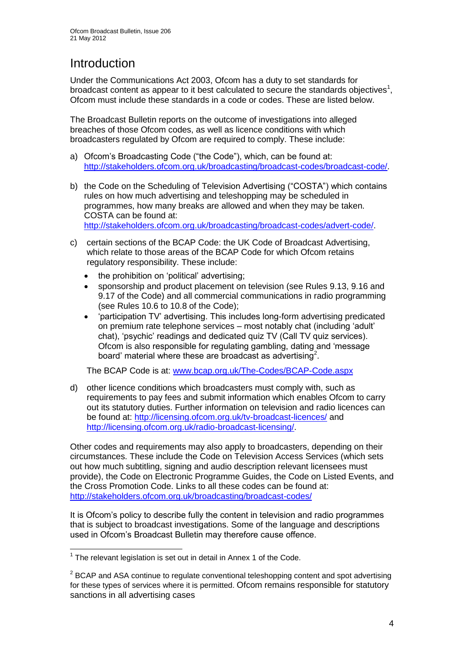# **Introduction**

Under the Communications Act 2003, Ofcom has a duty to set standards for broadcast content as appear to it best calculated to secure the standards objectives<sup>1</sup>, Ofcom must include these standards in a code or codes. These are listed below.

The Broadcast Bulletin reports on the outcome of investigations into alleged breaches of those Ofcom codes, as well as licence conditions with which broadcasters regulated by Ofcom are required to comply. These include:

- a) Ofcom"s Broadcasting Code ("the Code"), which, can be found at: [http://stakeholders.ofcom.org.uk/broadcasting/broadcast-codes/broadcast-code/.](http://stakeholders.ofcom.org.uk/broadcasting/broadcast-codes/broadcast-code/)
- b) the Code on the Scheduling of Television Advertising ("COSTA") which contains rules on how much advertising and teleshopping may be scheduled in programmes, how many breaks are allowed and when they may be taken. COSTA can be found at: [http://stakeholders.ofcom.org.uk/broadcasting/broadcast-codes/advert-code/.](http://stakeholders.ofcom.org.uk/broadcasting/broadcast-codes/advert-code/)

c) certain sections of the BCAP Code: the UK Code of Broadcast Advertising, which relate to those areas of the BCAP Code for which Ofcom retains regulatory responsibility. These include:

- the prohibition on "political" advertising;
- sponsorship and product placement on television (see Rules 9.13, 9.16 and 9.17 of the Code) and all commercial communications in radio programming (see Rules 10.6 to 10.8 of the Code);
- "participation TV" advertising. This includes long-form advertising predicated on premium rate telephone services – most notably chat (including "adult" chat), "psychic" readings and dedicated quiz TV (Call TV quiz services). Ofcom is also responsible for regulating gambling, dating and "message board' material where these are broadcast as advertising<sup>2</sup>.

The BCAP Code is at: [www.bcap.org.uk/The-Codes/BCAP-Code.aspx](http://www.bcap.org.uk/The-Codes/BCAP-Code.aspx)

d) other licence conditions which broadcasters must comply with, such as requirements to pay fees and submit information which enables Ofcom to carry out its statutory duties. Further information on television and radio licences can be found at:<http://licensing.ofcom.org.uk/tv-broadcast-licences/> and [http://licensing.ofcom.org.uk/radio-broadcast-licensing/.](http://licensing.ofcom.org.uk/radio-broadcast-licensing/)

Other codes and requirements may also apply to broadcasters, depending on their circumstances. These include the Code on Television Access Services (which sets out how much subtitling, signing and audio description relevant licensees must provide), the Code on Electronic Programme Guides, the Code on Listed Events, and the Cross Promotion Code. Links to all these codes can be found at: <http://stakeholders.ofcom.org.uk/broadcasting/broadcast-codes/>

It is Ofcom"s policy to describe fully the content in television and radio programmes that is subject to broadcast investigations. Some of the language and descriptions used in Ofcom"s Broadcast Bulletin may therefore cause offence.

1

 $1$  The relevant legislation is set out in detail in Annex 1 of the Code.

 $2$  BCAP and ASA continue to regulate conventional teleshopping content and spot advertising for these types of services where it is permitted. Ofcom remains responsible for statutory sanctions in all advertising cases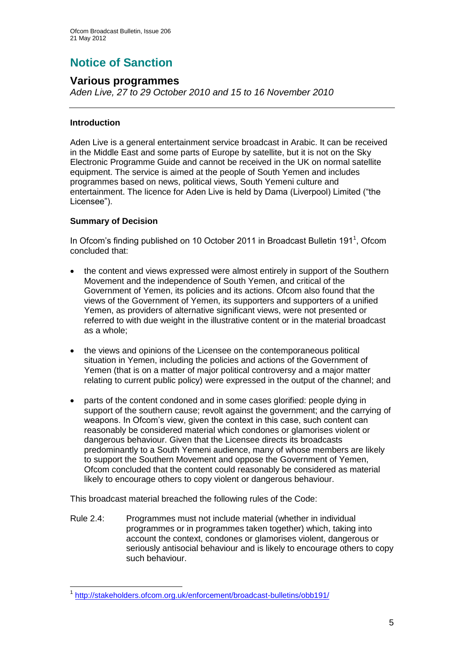# **Notice of Sanction**

### **Various programmes**

*Aden Live, 27 to 29 October 2010 and 15 to 16 November 2010*

#### **Introduction**

Aden Live is a general entertainment service broadcast in Arabic. It can be received in the Middle East and some parts of Europe by satellite, but it is not on the Sky Electronic Programme Guide and cannot be received in the UK on normal satellite equipment. The service is aimed at the people of South Yemen and includes programmes based on news, political views, South Yemeni culture and entertainment. The licence for Aden Live is held by Dama (Liverpool) Limited ("the Licensee").

#### **Summary of Decision**

1

In Ofcom's finding published on 10 October 2011 in Broadcast Bulletin 191<sup>1</sup>, Ofcom concluded that:

- the content and views expressed were almost entirely in support of the Southern Movement and the independence of South Yemen, and critical of the Government of Yemen, its policies and its actions. Ofcom also found that the views of the Government of Yemen, its supporters and supporters of a unified Yemen, as providers of alternative significant views, were not presented or referred to with due weight in the illustrative content or in the material broadcast as a whole;
- the views and opinions of the Licensee on the contemporaneous political situation in Yemen, including the policies and actions of the Government of Yemen (that is on a matter of major political controversy and a major matter relating to current public policy) were expressed in the output of the channel; and
- parts of the content condoned and in some cases glorified: people dying in support of the southern cause; revolt against the government; and the carrying of weapons. In Ofcom"s view, given the context in this case, such content can reasonably be considered material which condones or glamorises violent or dangerous behaviour. Given that the Licensee directs its broadcasts predominantly to a South Yemeni audience, many of whose members are likely to support the Southern Movement and oppose the Government of Yemen, Ofcom concluded that the content could reasonably be considered as material likely to encourage others to copy violent or dangerous behaviour.

This broadcast material breached the following rules of the Code:

Rule 2.4: Programmes must not include material (whether in individual programmes or in programmes taken together) which, taking into account the context, condones or glamorises violent, dangerous or seriously antisocial behaviour and is likely to encourage others to copy such behaviour.

<sup>1</sup> <http://stakeholders.ofcom.org.uk/enforcement/broadcast-bulletins/obb191/>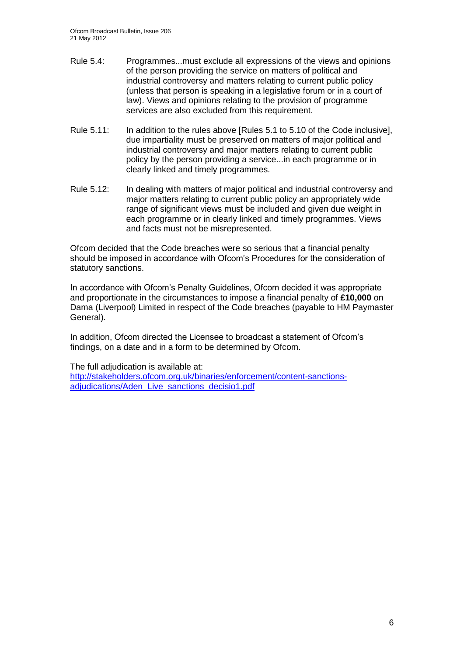- Rule 5.4: Programmes...must exclude all expressions of the views and opinions of the person providing the service on matters of political and industrial controversy and matters relating to current public policy (unless that person is speaking in a legislative forum or in a court of law). Views and opinions relating to the provision of programme services are also excluded from this requirement.
- Rule 5.11: In addition to the rules above [Rules 5.1 to 5.10 of the Code inclusive], due impartiality must be preserved on matters of major political and industrial controversy and major matters relating to current public policy by the person providing a service...in each programme or in clearly linked and timely programmes.
- Rule 5.12: In dealing with matters of major political and industrial controversy and major matters relating to current public policy an appropriately wide range of significant views must be included and given due weight in each programme or in clearly linked and timely programmes. Views and facts must not be misrepresented.

Ofcom decided that the Code breaches were so serious that a financial penalty should be imposed in accordance with Ofcom"s Procedures for the consideration of statutory sanctions.

In accordance with Ofcom"s Penalty Guidelines, Ofcom decided it was appropriate and proportionate in the circumstances to impose a financial penalty of **£10,000** on Dama (Liverpool) Limited in respect of the Code breaches (payable to HM Paymaster General).

In addition, Ofcom directed the Licensee to broadcast a statement of Ofcom"s findings, on a date and in a form to be determined by Ofcom.

The full adjudication is available at:

[http://stakeholders.ofcom.org.uk/binaries/enforcement/content-sanctions](http://stakeholders.ofcom.org.uk/binaries/enforcement/content-sanctions-adjudications/Aden_Live_sanctions_decisio1.pdf)[adjudications/Aden\\_Live\\_sanctions\\_decisio1.pdf](http://stakeholders.ofcom.org.uk/binaries/enforcement/content-sanctions-adjudications/Aden_Live_sanctions_decisio1.pdf)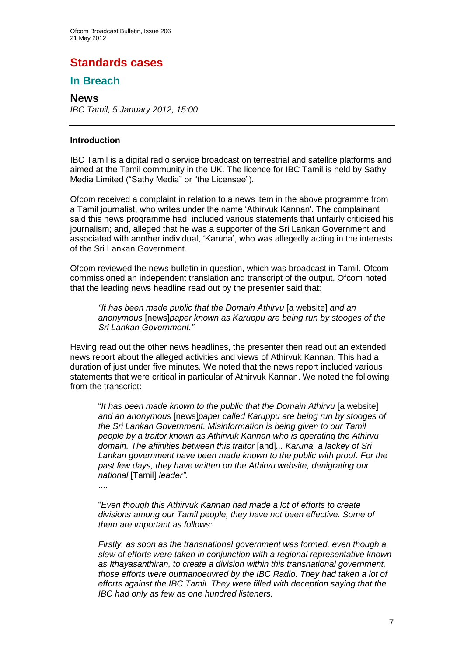# **Standards cases**

## **In Breach**

#### **News**

*IBC Tamil, 5 January 2012, 15:00* 

#### **Introduction**

IBC Tamil is a digital radio service broadcast on terrestrial and satellite platforms and aimed at the Tamil community in the UK. The licence for IBC Tamil is held by Sathy Media Limited ("Sathy Media" or "the Licensee").

Ofcom received a complaint in relation to a news item in the above programme from a Tamil journalist, who writes under the name "Athirvuk Kannan'. The complainant said this news programme had: included various statements that unfairly criticised his journalism; and, alleged that he was a supporter of the Sri Lankan Government and associated with another individual, "Karuna", who was allegedly acting in the interests of the Sri Lankan Government.

Ofcom reviewed the news bulletin in question, which was broadcast in Tamil. Ofcom commissioned an independent translation and transcript of the output. Ofcom noted that the leading news headline read out by the presenter said that:

*"It has been made public that the Domain Athirvu* [a website] *and an anonymous* [news]*paper known as Karuppu are being run by stooges of the Sri Lankan Government."*

Having read out the other news headlines, the presenter then read out an extended news report about the alleged activities and views of Athirvuk Kannan. This had a duration of just under five minutes. We noted that the news report included various statements that were critical in particular of Athirvuk Kannan. We noted the following from the transcript:

"*It has been made known to the public that the Domain Athirvu* [a website] *and an anonymous* [news]*paper called Karuppu are being run by stooges of the Sri Lankan Government. Misinformation is being given to our Tamil people by a traitor known as Athirvuk Kannan who is operating the Athirvu domain. The affinities between this traitor* [and]*... Karuna, a lackey of Sri Lankan government have been made known to the public with proof*. *For the past few days, they have written on the Athirvu website, denigrating our national* [Tamil] *leader".* 

....

"*Even though this Athirvuk Kannan had made a lot of efforts to create divisions among our Tamil people, they have not been effective. Some of them are important as follows:*

*Firstly, as soon as the transnational government was formed, even though a slew of efforts were taken in conjunction with a regional representative known as Ithayasanthiran, to create a division within this transnational government, those efforts were outmanoeuvred by the IBC Radio. They had taken a lot of efforts against the IBC Tamil. They were filled with deception saying that the IBC had only as few as one hundred listeners.*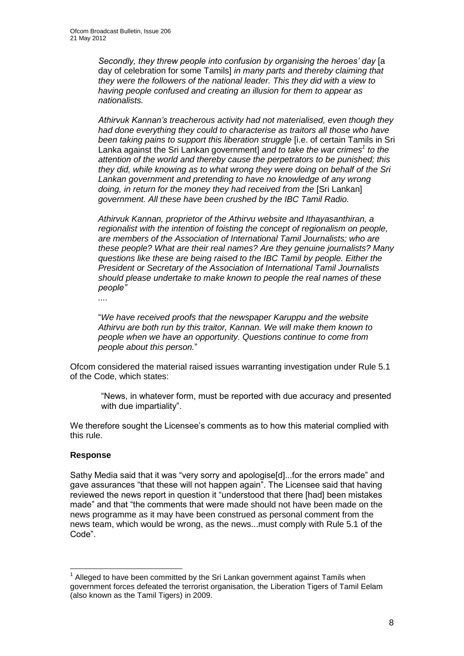*Secondly, they threw people into confusion by organising the heroes" day* [a day of celebration for some Tamils] *in many parts and thereby claiming that they were the followers of the national leader. This they did with a view to having people confused and creating an illusion for them to appear as nationalists.*

*Athirvuk Kannan"s treacherous activity had not materialised, even though they had done everything they could to characterise as traitors all those who have been taking pains to support this liberation struggle* [i.e. of certain Tamils in Sri Lanka against the Sri Lankan government] *and to take the war crimes<sup>1</sup> to the attention of the world and thereby cause the perpetrators to be punished; this they did, while knowing as to what wrong they were doing on behalf of the Sri Lankan government and pretending to have no knowledge of any wrong*  doing, in return for the money they had received from the [Sri Lankan] *government. All these have been crushed by the IBC Tamil Radio.* 

*Athirvuk Kannan, proprietor of the Athirvu website and Ithayasanthiran, a regionalist with the intention of foisting the concept of regionalism on people, are members of the Association of International Tamil Journalists; who are these people? What are their real names? Are they genuine journalists? Many questions like these are being raised to the IBC Tamil by people. Either the President or Secretary of the Association of International Tamil Journalists should please undertake to make known to people the real names of these people"*

*....*

"*We have received proofs that the newspaper Karuppu and the website Athirvu are both run by this traitor, Kannan. We will make them known to people when we have an opportunity. Questions continue to come from people about this person.*"

Ofcom considered the material raised issues warranting investigation under Rule 5.1 of the Code, which states:

"News, in whatever form, must be reported with due accuracy and presented with due impartiality".

We therefore sought the Licensee's comments as to how this material complied with this rule.

#### **Response**

1

Sathy Media said that it was "very sorry and apologise[d]...for the errors made" and gave assurances "that these will not happen again". The Licensee said that having reviewed the news report in question it "understood that there [had] been mistakes made" and that "the comments that were made should not have been made on the news programme as it may have been construed as personal comment from the news team, which would be wrong, as the news...must comply with Rule 5.1 of the Code".

 $1$  Alleged to have been committed by the Sri Lankan government against Tamils when government forces defeated the terrorist organisation, the Liberation Tigers of Tamil Eelam (also known as the Tamil Tigers) in 2009.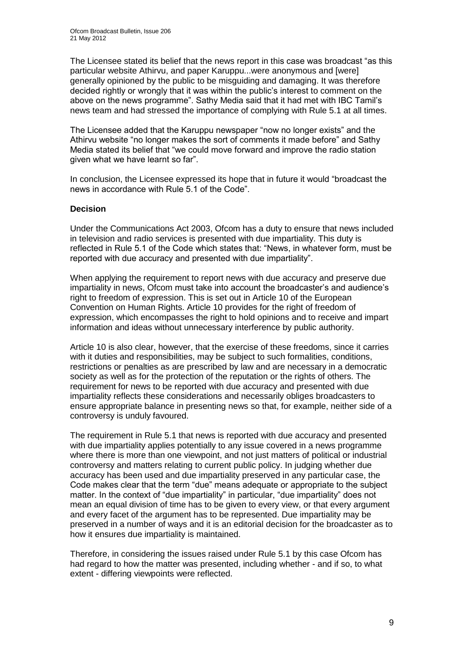The Licensee stated its belief that the news report in this case was broadcast "as this particular website Athirvu, and paper Karuppu...were anonymous and [were] generally opinioned by the public to be misguiding and damaging. It was therefore decided rightly or wrongly that it was within the public"s interest to comment on the above on the news programme". Sathy Media said that it had met with IBC Tamil"s news team and had stressed the importance of complying with Rule 5.1 at all times.

The Licensee added that the Karuppu newspaper "now no longer exists" and the Athirvu website "no longer makes the sort of comments it made before" and Sathy Media stated its belief that "we could move forward and improve the radio station given what we have learnt so far".

In conclusion, the Licensee expressed its hope that in future it would "broadcast the news in accordance with Rule 5.1 of the Code".

#### **Decision**

Under the Communications Act 2003, Ofcom has a duty to ensure that news included in television and radio services is presented with due impartiality. This duty is reflected in Rule 5.1 of the Code which states that: "News, in whatever form, must be reported with due accuracy and presented with due impartiality".

When applying the requirement to report news with due accuracy and preserve due impartiality in news, Ofcom must take into account the broadcaster"s and audience"s right to freedom of expression. This is set out in Article 10 of the European Convention on Human Rights. Article 10 provides for the right of freedom of expression, which encompasses the right to hold opinions and to receive and impart information and ideas without unnecessary interference by public authority.

Article 10 is also clear, however, that the exercise of these freedoms, since it carries with it duties and responsibilities, may be subject to such formalities, conditions, restrictions or penalties as are prescribed by law and are necessary in a democratic society as well as for the protection of the reputation or the rights of others. The requirement for news to be reported with due accuracy and presented with due impartiality reflects these considerations and necessarily obliges broadcasters to ensure appropriate balance in presenting news so that, for example, neither side of a controversy is unduly favoured.

The requirement in Rule 5.1 that news is reported with due accuracy and presented with due impartiality applies potentially to any issue covered in a news programme where there is more than one viewpoint, and not just matters of political or industrial controversy and matters relating to current public policy. In judging whether due accuracy has been used and due impartiality preserved in any particular case, the Code makes clear that the term "due" means adequate or appropriate to the subject matter. In the context of "due impartiality" in particular, "due impartiality" does not mean an equal division of time has to be given to every view, or that every argument and every facet of the argument has to be represented. Due impartiality may be preserved in a number of ways and it is an editorial decision for the broadcaster as to how it ensures due impartiality is maintained.

Therefore, in considering the issues raised under Rule 5.1 by this case Ofcom has had regard to how the matter was presented, including whether - and if so, to what extent - differing viewpoints were reflected.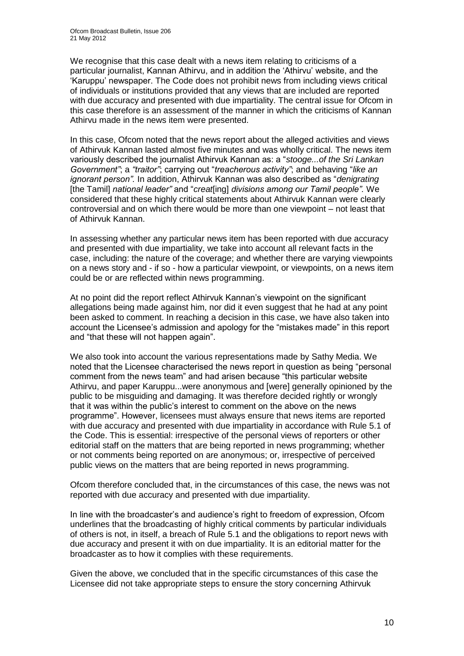We recognise that this case dealt with a news item relating to criticisms of a particular journalist, Kannan Athirvu, and in addition the "Athirvu" website, and the "Karuppu" newspaper. The Code does not prohibit news from including views critical of individuals or institutions provided that any views that are included are reported with due accuracy and presented with due impartiality. The central issue for Ofcom in this case therefore is an assessment of the manner in which the criticisms of Kannan Athirvu made in the news item were presented.

In this case, Ofcom noted that the news report about the alleged activities and views of Athirvuk Kannan lasted almost five minutes and was wholly critical. The news item variously described the journalist Athirvuk Kannan as: a "*stooge...of the Sri Lankan Government"*; a *"traitor"*; carrying out "*treacherous activity"*; and behaving "*like an ignorant person".* In addition, Athirvuk Kannan was also described as "*denigrating*  [the Tamil] *national leader"* and "*creat*[ing] *divisions among our Tamil people".* We considered that these highly critical statements about Athirvuk Kannan were clearly controversial and on which there would be more than one viewpoint – not least that of Athirvuk Kannan.

In assessing whether any particular news item has been reported with due accuracy and presented with due impartiality, we take into account all relevant facts in the case, including: the nature of the coverage; and whether there are varying viewpoints on a news story and - if so - how a particular viewpoint, or viewpoints, on a news item could be or are reflected within news programming.

At no point did the report reflect Athirvuk Kannan"s viewpoint on the significant allegations being made against him, nor did it even suggest that he had at any point been asked to comment. In reaching a decision in this case, we have also taken into account the Licensee's admission and apology for the "mistakes made" in this report and "that these will not happen again".

We also took into account the various representations made by Sathy Media. We noted that the Licensee characterised the news report in question as being "personal comment from the news team" and had arisen because "this particular website Athirvu, and paper Karuppu...were anonymous and [were] generally opinioned by the public to be misguiding and damaging. It was therefore decided rightly or wrongly that it was within the public"s interest to comment on the above on the news programme". However, licensees must always ensure that news items are reported with due accuracy and presented with due impartiality in accordance with Rule 5.1 of the Code. This is essential: irrespective of the personal views of reporters or other editorial staff on the matters that are being reported in news programming; whether or not comments being reported on are anonymous; or, irrespective of perceived public views on the matters that are being reported in news programming.

Ofcom therefore concluded that, in the circumstances of this case, the news was not reported with due accuracy and presented with due impartiality.

In line with the broadcaster"s and audience"s right to freedom of expression, Ofcom underlines that the broadcasting of highly critical comments by particular individuals of others is not, in itself, a breach of Rule 5.1 and the obligations to report news with due accuracy and present it with on due impartiality. It is an editorial matter for the broadcaster as to how it complies with these requirements.

Given the above, we concluded that in the specific circumstances of this case the Licensee did not take appropriate steps to ensure the story concerning Athirvuk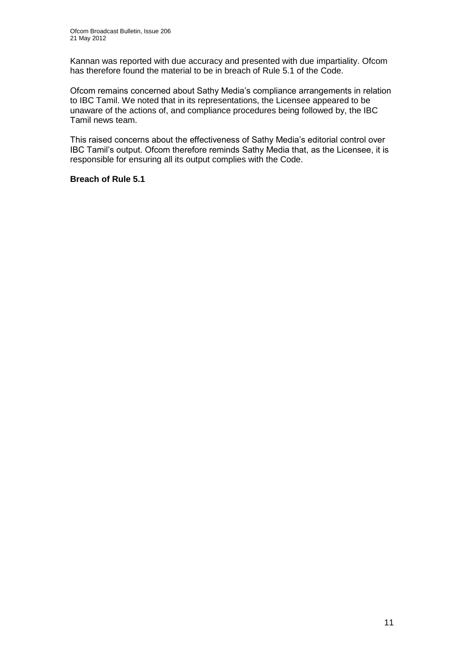Kannan was reported with due accuracy and presented with due impartiality. Ofcom has therefore found the material to be in breach of Rule 5.1 of the Code.

Ofcom remains concerned about Sathy Media"s compliance arrangements in relation to IBC Tamil. We noted that in its representations, the Licensee appeared to be unaware of the actions of, and compliance procedures being followed by, the IBC Tamil news team.

This raised concerns about the effectiveness of Sathy Media"s editorial control over IBC Tamil"s output. Ofcom therefore reminds Sathy Media that, as the Licensee, it is responsible for ensuring all its output complies with the Code.

**Breach of Rule 5.1**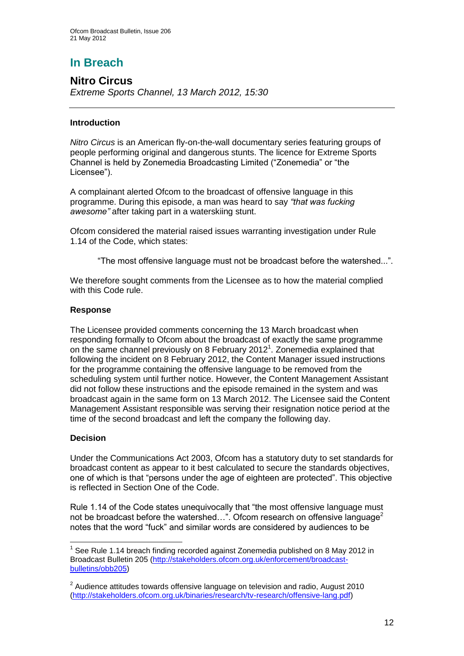# **In Breach**

## **Nitro Circus**

*Extreme Sports Channel, 13 March 2012, 15:30*

#### **Introduction**

*Nitro Circus* is an American fly-on-the-wall documentary series featuring groups of people performing original and dangerous stunts. The licence for Extreme Sports Channel is held by Zonemedia Broadcasting Limited ("Zonemedia" or "the Licensee").

A complainant alerted Ofcom to the broadcast of offensive language in this programme. During this episode, a man was heard to say *"that was fucking awesome"* after taking part in a waterskiing stunt.

Ofcom considered the material raised issues warranting investigation under Rule 1.14 of the Code, which states:

"The most offensive language must not be broadcast before the watershed...".

We therefore sought comments from the Licensee as to how the material complied with this Code rule.

#### **Response**

The Licensee provided comments concerning the 13 March broadcast when responding formally to Ofcom about the broadcast of exactly the same programme on the same channel previously on 8 February 2012<sup>1</sup>. Zonemedia explained that following the incident on 8 February 2012, the Content Manager issued instructions for the programme containing the offensive language to be removed from the scheduling system until further notice. However, the Content Management Assistant did not follow these instructions and the episode remained in the system and was broadcast again in the same form on 13 March 2012. The Licensee said the Content Management Assistant responsible was serving their resignation notice period at the time of the second broadcast and left the company the following day.

#### **Decision**

1

Under the Communications Act 2003, Ofcom has a statutory duty to set standards for broadcast content as appear to it best calculated to secure the standards objectives, one of which is that "persons under the age of eighteen are protected". This objective is reflected in Section One of the Code.

Rule 1.14 of the Code states unequivocally that "the most offensive language must not be broadcast before the watershed...". Ofcom research on offensive language<sup>2</sup> notes that the word "fuck" and similar words are considered by audiences to be

 $1$  See Rule 1.14 breach finding recorded against Zonemedia published on 8 May 2012 in Broadcast Bulletin 205 [\(http://stakeholders.ofcom.org.uk/enforcement/broadcast](http://stakeholders.ofcom.org.uk/enforcement/broadcast-bulletins/obb205)[bulletins/obb205\)](http://stakeholders.ofcom.org.uk/enforcement/broadcast-bulletins/obb205)

 $2$  Audience attitudes towards offensive language on television and radio, August 2010 [\(http://stakeholders.ofcom.org.uk/binaries/research/tv-research/offensive-lang.pdf\)](http://stakeholders.ofcom.org.uk/binaries/research/tv-research/offensive-lang.pdf)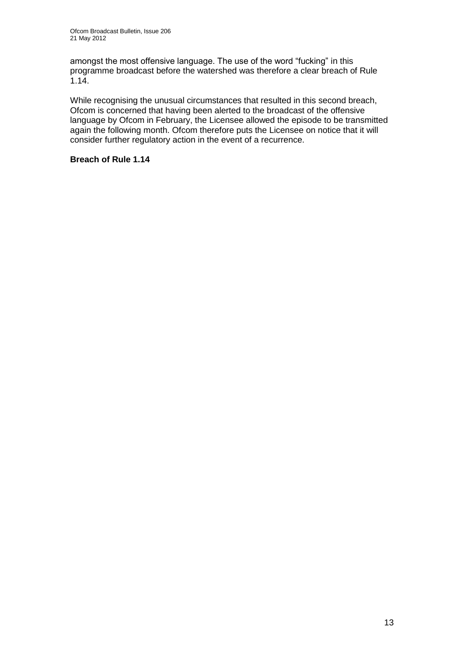amongst the most offensive language. The use of the word "fucking" in this programme broadcast before the watershed was therefore a clear breach of Rule 1.14.

While recognising the unusual circumstances that resulted in this second breach, Ofcom is concerned that having been alerted to the broadcast of the offensive language by Ofcom in February, the Licensee allowed the episode to be transmitted again the following month. Ofcom therefore puts the Licensee on notice that it will consider further regulatory action in the event of a recurrence.

#### **Breach of Rule 1.14**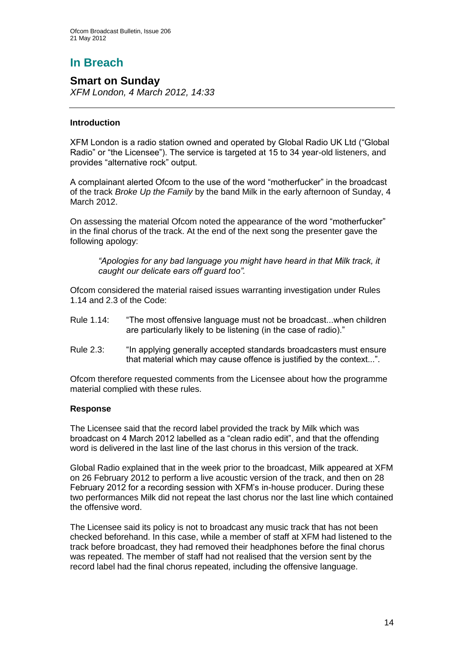# **In Breach**

## **Smart on Sunday**

*XFM London, 4 March 2012, 14:33*

#### **Introduction**

XFM London is a radio station owned and operated by Global Radio UK Ltd ("Global Radio" or "the Licensee"). The service is targeted at 15 to 34 year-old listeners, and provides "alternative rock" output.

A complainant alerted Ofcom to the use of the word "motherfucker" in the broadcast of the track *Broke Up the Family* by the band Milk in the early afternoon of Sunday, 4 March 2012.

On assessing the material Ofcom noted the appearance of the word "motherfucker" in the final chorus of the track. At the end of the next song the presenter gave the following apology:

*"Apologies for any bad language you might have heard in that Milk track, it caught our delicate ears off guard too".* 

Ofcom considered the material raised issues warranting investigation under Rules 1.14 and 2.3 of the Code:

- Rule 1.14: "The most offensive language must not be broadcast...when children are particularly likely to be listening (in the case of radio)."
- Rule 2.3: "In applying generally accepted standards broadcasters must ensure that material which may cause offence is justified by the context...".

Ofcom therefore requested comments from the Licensee about how the programme material complied with these rules.

#### **Response**

The Licensee said that the record label provided the track by Milk which was broadcast on 4 March 2012 labelled as a "clean radio edit", and that the offending word is delivered in the last line of the last chorus in this version of the track.

Global Radio explained that in the week prior to the broadcast, Milk appeared at XFM on 26 February 2012 to perform a live acoustic version of the track, and then on 28 February 2012 for a recording session with XFM"s in-house producer. During these two performances Milk did not repeat the last chorus nor the last line which contained the offensive word.

The Licensee said its policy is not to broadcast any music track that has not been checked beforehand. In this case, while a member of staff at XFM had listened to the track before broadcast, they had removed their headphones before the final chorus was repeated. The member of staff had not realised that the version sent by the record label had the final chorus repeated, including the offensive language.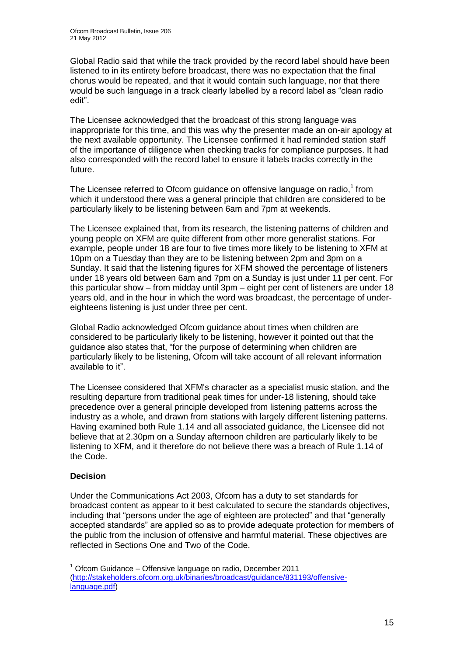Global Radio said that while the track provided by the record label should have been listened to in its entirety before broadcast, there was no expectation that the final chorus would be repeated, and that it would contain such language, nor that there would be such language in a track clearly labelled by a record label as "clean radio edit".

The Licensee acknowledged that the broadcast of this strong language was inappropriate for this time, and this was why the presenter made an on-air apology at the next available opportunity. The Licensee confirmed it had reminded station staff of the importance of diligence when checking tracks for compliance purposes. It had also corresponded with the record label to ensure it labels tracks correctly in the future.

The Licensee referred to Ofcom guidance on offensive language on radio, $1$  from which it understood there was a general principle that children are considered to be particularly likely to be listening between 6am and 7pm at weekends.

The Licensee explained that, from its research, the listening patterns of children and young people on XFM are quite different from other more generalist stations. For example, people under 18 are four to five times more likely to be listening to XFM at 10pm on a Tuesday than they are to be listening between 2pm and 3pm on a Sunday. It said that the listening figures for XFM showed the percentage of listeners under 18 years old between 6am and 7pm on a Sunday is just under 11 per cent. For this particular show – from midday until 3pm – eight per cent of listeners are under 18 years old, and in the hour in which the word was broadcast, the percentage of undereighteens listening is just under three per cent.

Global Radio acknowledged Ofcom guidance about times when children are considered to be particularly likely to be listening, however it pointed out that the guidance also states that, "for the purpose of determining when children are particularly likely to be listening, Ofcom will take account of all relevant information available to it".

The Licensee considered that XFM"s character as a specialist music station, and the resulting departure from traditional peak times for under-18 listening, should take precedence over a general principle developed from listening patterns across the industry as a whole, and drawn from stations with largely different listening patterns. Having examined both Rule 1.14 and all associated guidance, the Licensee did not believe that at 2.30pm on a Sunday afternoon children are particularly likely to be listening to XFM, and it therefore do not believe there was a breach of Rule 1.14 of the Code.

#### **Decision**

1

Under the Communications Act 2003, Ofcom has a duty to set standards for broadcast content as appear to it best calculated to secure the standards objectives, including that "persons under the age of eighteen are protected" and that "generally accepted standards" are applied so as to provide adequate protection for members of the public from the inclusion of offensive and harmful material. These objectives are reflected in Sections One and Two of the Code.

 $1$  Ofcom Guidance – Offensive language on radio, December 2011 [\(http://stakeholders.ofcom.org.uk/binaries/broadcast/guidance/831193/offensive](http://stakeholders.ofcom.org.uk/binaries/broadcast/guidance/831193/offensive-language.pdf)[language.pdf\)](http://stakeholders.ofcom.org.uk/binaries/broadcast/guidance/831193/offensive-language.pdf)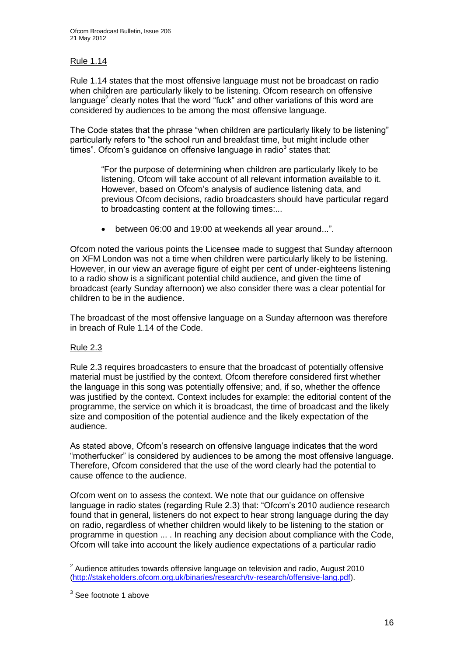#### Rule 1.14

Rule 1.14 states that the most offensive language must not be broadcast on radio when children are particularly likely to be listening. Ofcom research on offensive language<sup>2</sup> clearly notes that the word "fuck" and other variations of this word are considered by audiences to be among the most offensive language.

The Code states that the phrase "when children are particularly likely to be listening" particularly refers to "the school run and breakfast time, but might include other times". Ofcom's guidance on offensive language in radio $3$  states that:

"For the purpose of determining when children are particularly likely to be listening, Ofcom will take account of all relevant information available to it. However, based on Ofcom"s analysis of audience listening data, and previous Ofcom decisions, radio broadcasters should have particular regard to broadcasting content at the following times:...

between 06:00 and 19:00 at weekends all year around...".

Ofcom noted the various points the Licensee made to suggest that Sunday afternoon on XFM London was not a time when children were particularly likely to be listening. However, in our view an average figure of eight per cent of under-eighteens listening to a radio show is a significant potential child audience, and given the time of broadcast (early Sunday afternoon) we also consider there was a clear potential for children to be in the audience.

The broadcast of the most offensive language on a Sunday afternoon was therefore in breach of Rule 1.14 of the Code.

#### Rule 2.3

Rule 2.3 requires broadcasters to ensure that the broadcast of potentially offensive material must be justified by the context. Ofcom therefore considered first whether the language in this song was potentially offensive; and, if so, whether the offence was justified by the context. Context includes for example: the editorial content of the programme, the service on which it is broadcast, the time of broadcast and the likely size and composition of the potential audience and the likely expectation of the audience.

As stated above, Ofcom"s research on offensive language indicates that the word "motherfucker" is considered by audiences to be among the most offensive language. Therefore, Ofcom considered that the use of the word clearly had the potential to cause offence to the audience.

Ofcom went on to assess the context. We note that our guidance on offensive language in radio states (regarding Rule 2.3) that: "Ofcom"s 2010 audience research found that in general, listeners do not expect to hear strong language during the day on radio, regardless of whether children would likely to be listening to the station or programme in question ... . In reaching any decision about compliance with the Code, Ofcom will take into account the likely audience expectations of a particular radio

 2 Audience attitudes towards offensive language on television and radio, August 2010 [\(http://stakeholders.ofcom.org.uk/binaries/research/tv-research/offensive-lang.pdf\)](http://stakeholders.ofcom.org.uk/binaries/research/tv-research/offensive-lang.pdf).

<sup>&</sup>lt;sup>3</sup> See footnote 1 above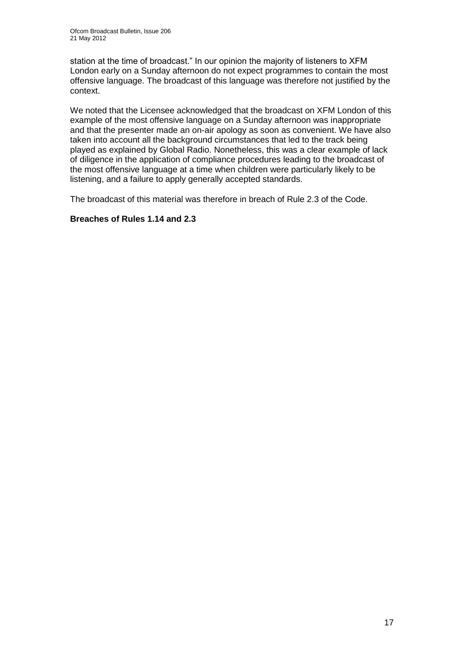station at the time of broadcast." In our opinion the majority of listeners to XFM London early on a Sunday afternoon do not expect programmes to contain the most offensive language. The broadcast of this language was therefore not justified by the context.

We noted that the Licensee acknowledged that the broadcast on XFM London of this example of the most offensive language on a Sunday afternoon was inappropriate and that the presenter made an on-air apology as soon as convenient. We have also taken into account all the background circumstances that led to the track being played as explained by Global Radio. Nonetheless, this was a clear example of lack of diligence in the application of compliance procedures leading to the broadcast of the most offensive language at a time when children were particularly likely to be listening, and a failure to apply generally accepted standards.

The broadcast of this material was therefore in breach of Rule 2.3 of the Code.

#### **Breaches of Rules 1.14 and 2.3**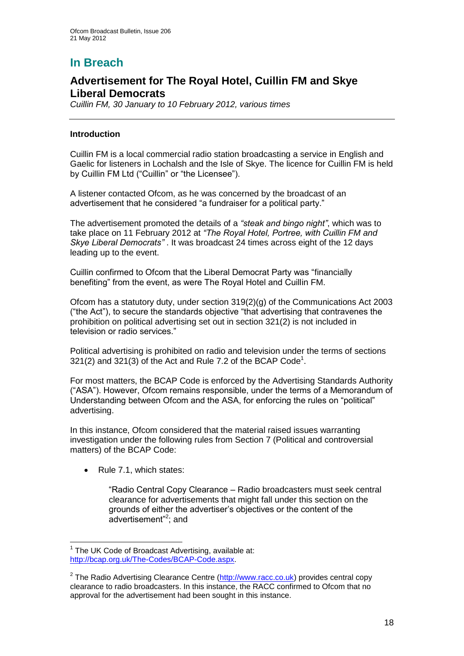# **In Breach**

## **Advertisement for The Royal Hotel, Cuillin FM and Skye Liberal Democrats**

*Cuillin FM, 30 January to 10 February 2012, various times*

#### **Introduction**

Cuillin FM is a local commercial radio station broadcasting a service in English and Gaelic for listeners in Lochalsh and the Isle of Skye. The licence for Cuillin FM is held by Cuillin FM Ltd ("Cuillin" or "the Licensee").

A listener contacted Ofcom, as he was concerned by the broadcast of an advertisement that he considered "a fundraiser for a political party."

The advertisement promoted the details of a *"steak and bingo night"*, which was to take place on 11 February 2012 at *"The Royal Hotel, Portree, with Cuillin FM and Skye Liberal Democrats"* . It was broadcast 24 times across eight of the 12 days leading up to the event.

Cuillin confirmed to Ofcom that the Liberal Democrat Party was "financially benefiting" from the event, as were The Royal Hotel and Cuillin FM.

Ofcom has a statutory duty, under section 319(2)(g) of the Communications Act 2003 ("the Act"), to secure the standards objective "that advertising that contravenes the prohibition on political advertising set out in section 321(2) is not included in television or radio services."

Political advertising is prohibited on radio and television under the terms of sections  $321(2)$  and  $321(3)$  of the Act and Rule 7.2 of the BCAP Code<sup>1</sup>.

For most matters, the BCAP Code is enforced by the Advertising Standards Authority ("ASA"). However, Ofcom remains responsible, under the terms of a Memorandum of Understanding between Ofcom and the ASA, for enforcing the rules on "political" advertising.

In this instance, Ofcom considered that the material raised issues warranting investigation under the following rules from Section 7 (Political and controversial matters) of the BCAP Code:

Rule 7.1, which states:

"Radio Central Copy Clearance – Radio broadcasters must seek central clearance for advertisements that might fall under this section on the grounds of either the advertiser"s objectives or the content of the advertisement"<sup>2</sup>; and

<sup>1</sup>  $1$  The UK Code of Broadcast Advertising, available at: [http://bcap.org.uk/The-Codes/BCAP-Code.aspx.](http://bcap.org.uk/The-Codes/BCAP-Code.aspx)

<sup>&</sup>lt;sup>2</sup> The Radio Advertising Clearance Centre [\(http://www.racc.co.uk\)](http://www.racc.co.uk/) provides central copy clearance to radio broadcasters. In this instance, the RACC confirmed to Ofcom that no approval for the advertisement had been sought in this instance.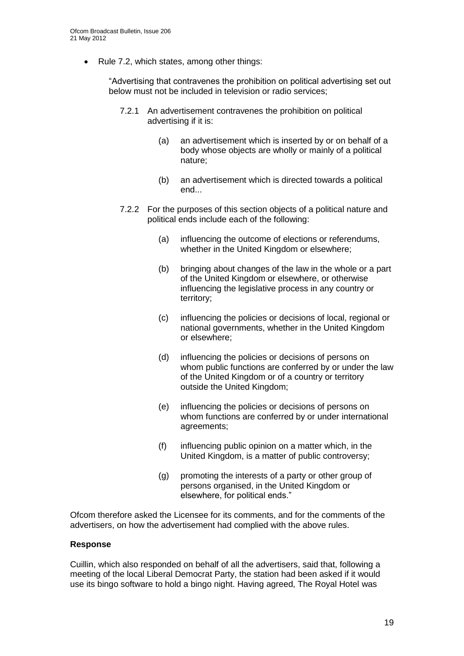Rule 7.2, which states, among other things:

"Advertising that contravenes the prohibition on political advertising set out below must not be included in television or radio services;

- 7.2.1 An advertisement contravenes the prohibition on political advertising if it is:
	- (a) an advertisement which is inserted by or on behalf of a body whose objects are wholly or mainly of a political nature;
	- (b) an advertisement which is directed towards a political end...
- 7.2.2 For the purposes of this section objects of a political nature and political ends include each of the following:
	- (a) influencing the outcome of elections or referendums, whether in the United Kingdom or elsewhere:
	- (b) bringing about changes of the law in the whole or a part of the United Kingdom or elsewhere, or otherwise influencing the legislative process in any country or territory;
	- (c) influencing the policies or decisions of local, regional or national governments, whether in the United Kingdom or elsewhere;
	- (d) influencing the policies or decisions of persons on whom public functions are conferred by or under the law of the United Kingdom or of a country or territory outside the United Kingdom;
	- (e) influencing the policies or decisions of persons on whom functions are conferred by or under international agreements;
	- (f) influencing public opinion on a matter which, in the United Kingdom, is a matter of public controversy;
	- (g) promoting the interests of a party or other group of persons organised, in the United Kingdom or elsewhere, for political ends."

Ofcom therefore asked the Licensee for its comments, and for the comments of the advertisers, on how the advertisement had complied with the above rules.

#### **Response**

Cuillin, which also responded on behalf of all the advertisers, said that, following a meeting of the local Liberal Democrat Party, the station had been asked if it would use its bingo software to hold a bingo night. Having agreed, The Royal Hotel was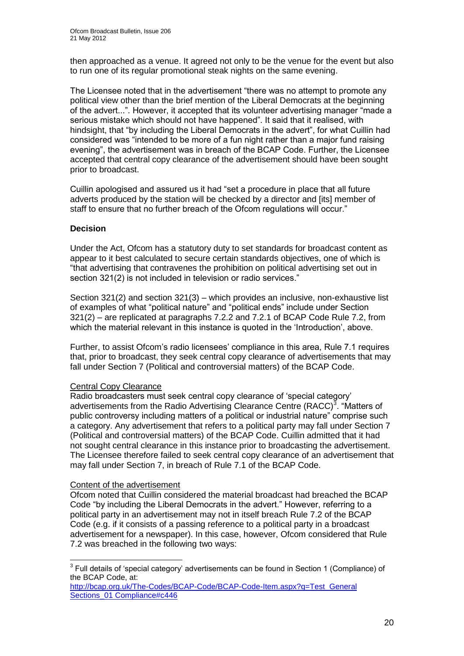then approached as a venue. It agreed not only to be the venue for the event but also to run one of its regular promotional steak nights on the same evening.

The Licensee noted that in the advertisement "there was no attempt to promote any political view other than the brief mention of the Liberal Democrats at the beginning of the advert...". However, it accepted that its volunteer advertising manager "made a serious mistake which should not have happened". It said that it realised, with hindsight, that "by including the Liberal Democrats in the advert", for what Cuillin had considered was "intended to be more of a fun night rather than a major fund raising evening", the advertisement was in breach of the BCAP Code. Further, the Licensee accepted that central copy clearance of the advertisement should have been sought prior to broadcast.

Cuillin apologised and assured us it had "set a procedure in place that all future adverts produced by the station will be checked by a director and [its] member of staff to ensure that no further breach of the Ofcom regulations will occur."

#### **Decision**

Under the Act, Ofcom has a statutory duty to set standards for broadcast content as appear to it best calculated to secure certain standards objectives, one of which is "that advertising that contravenes the prohibition on political advertising set out in section 321(2) is not included in television or radio services."

Section 321(2) and section 321(3) – which provides an inclusive, non-exhaustive list of examples of what "political nature" and "political ends" include under Section 321(2) – are replicated at paragraphs 7.2.2 and 7.2.1 of BCAP Code Rule 7.2, from which the material relevant in this instance is quoted in the "Introduction", above.

Further, to assist Ofcom"s radio licensees" compliance in this area, Rule 7.1 requires that, prior to broadcast, they seek central copy clearance of advertisements that may fall under Section 7 (Political and controversial matters) of the BCAP Code.

#### Central Copy Clearance

Radio broadcasters must seek central copy clearance of "special category" advertisements from the Radio Advertising Clearance Centre (RACC)<sup>3</sup>. "Matters of public controversy including matters of a political or industrial nature" comprise such a category. Any advertisement that refers to a political party may fall under Section 7 (Political and controversial matters) of the BCAP Code. Cuillin admitted that it had not sought central clearance in this instance prior to broadcasting the advertisement. The Licensee therefore failed to seek central copy clearance of an advertisement that may fall under Section 7, in breach of Rule 7.1 of the BCAP Code.

#### Content of the advertisement

Ofcom noted that Cuillin considered the material broadcast had breached the BCAP Code "by including the Liberal Democrats in the advert." However, referring to a political party in an advertisement may not in itself breach Rule 7.2 of the BCAP Code (e.g. if it consists of a passing reference to a political party in a broadcast advertisement for a newspaper). In this case, however, Ofcom considered that Rule 7.2 was breached in the following two ways:

 3 Full details of "special category" advertisements can be found in Section 1 (Compliance) of the BCAP Code, at:

http://bcap.org.uk/The-Codes/BCAP-Code/BCAP-Code-Item.aspx?q=Test\_General Sections\_01 Compliance#c446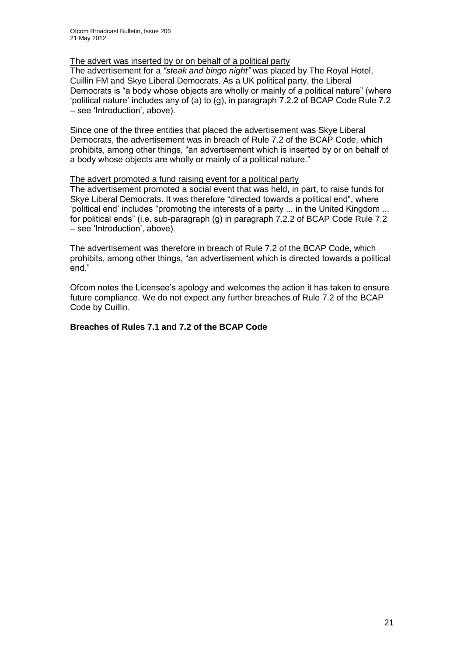#### The advert was inserted by or on behalf of a political party

The advertisement for a *"steak and bingo night"* was placed by The Royal Hotel, Cuillin FM and Skye Liberal Democrats. As a UK political party, the Liberal Democrats is "a body whose objects are wholly or mainly of a political nature" (where "political nature" includes any of (a) to (g), in paragraph  $7.2.2$  of BCAP Code Rule  $7.2$ – see "Introduction", above).

Since one of the three entities that placed the advertisement was Skye Liberal Democrats, the advertisement was in breach of Rule 7.2 of the BCAP Code, which prohibits, among other things, "an advertisement which is inserted by or on behalf of a body whose objects are wholly or mainly of a political nature."

#### The advert promoted a fund raising event for a political party

The advertisement promoted a social event that was held, in part, to raise funds for Skye Liberal Democrats. It was therefore "directed towards a political end", where "political end" includes "promoting the interests of a party ... in the United Kingdom ... for political ends" (i.e. sub-paragraph (g) in paragraph 7.2.2 of BCAP Code Rule 7.2 – see "Introduction", above).

The advertisement was therefore in breach of Rule 7.2 of the BCAP Code, which prohibits, among other things, "an advertisement which is directed towards a political end."

Ofcom notes the Licensee"s apology and welcomes the action it has taken to ensure future compliance. We do not expect any further breaches of Rule 7.2 of the BCAP Code by Cuillin.

#### **Breaches of Rules 7.1 and 7.2 of the BCAP Code**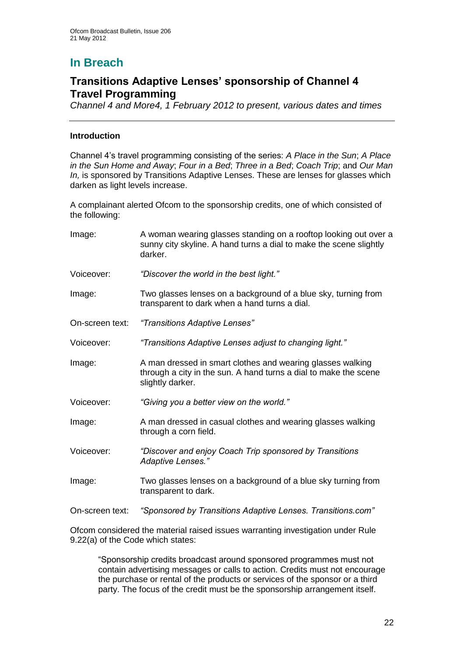# **In Breach**

## **Transitions Adaptive Lenses' sponsorship of Channel 4 Travel Programming**

*Channel 4 and More4, 1 February 2012 to present, various dates and times*

#### **Introduction**

Channel 4"s travel programming consisting of the series: *A Place in the Sun*; *A Place in the Sun Home and Away*; *Four in a Bed*; *Three in a Bed*; *Coach Trip*; and *Our Man In*, is sponsored by Transitions Adaptive Lenses. These are lenses for glasses which darken as light levels increase.

A complainant alerted Ofcom to the sponsorship credits, one of which consisted of the following:

| Image:          | A woman wearing glasses standing on a rooftop looking out over a<br>sunny city skyline. A hand turns a dial to make the scene slightly<br>darker.  |  |  |
|-----------------|----------------------------------------------------------------------------------------------------------------------------------------------------|--|--|
| Voiceover:      | "Discover the world in the best light."                                                                                                            |  |  |
| Image:          | Two glasses lenses on a background of a blue sky, turning from<br>transparent to dark when a hand turns a dial.                                    |  |  |
| On-screen text: | "Transitions Adaptive Lenses"                                                                                                                      |  |  |
| Voiceover:      | "Transitions Adaptive Lenses adjust to changing light."                                                                                            |  |  |
| Image:          | A man dressed in smart clothes and wearing glasses walking<br>through a city in the sun. A hand turns a dial to make the scene<br>slightly darker. |  |  |
| Voiceover:      | "Giving you a better view on the world."                                                                                                           |  |  |
| Image:          | A man dressed in casual clothes and wearing glasses walking<br>through a corn field.                                                               |  |  |
| Voiceover:      | "Discover and enjoy Coach Trip sponsored by Transitions<br>Adaptive Lenses."                                                                       |  |  |
| Image:          | Two glasses lenses on a background of a blue sky turning from<br>transparent to dark.                                                              |  |  |
| On-screen text: | "Sponsored by Transitions Adaptive Lenses. Transitions.com"                                                                                        |  |  |

Ofcom considered the material raised issues warranting investigation under Rule 9.22(a) of the Code which states:

"Sponsorship credits broadcast around sponsored programmes must not contain advertising messages or calls to action. Credits must not encourage the purchase or rental of the products or services of the sponsor or a third party. The focus of the credit must be the sponsorship arrangement itself.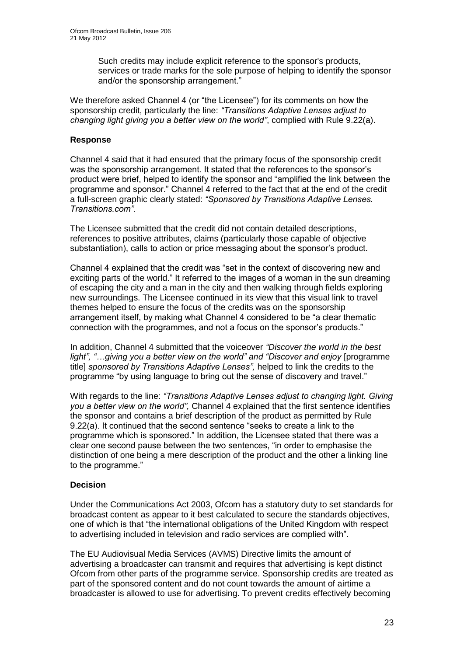Such credits may include explicit reference to the sponsor's products, services or trade marks for the sole purpose of helping to identify the sponsor and/or the sponsorship arrangement."

We therefore asked Channel 4 (or "the Licensee") for its comments on how the sponsorship credit, particularly the line: *"Transitions Adaptive Lenses adjust to changing light giving you a better view on the world"*, complied with Rule 9.22(a).

#### **Response**

Channel 4 said that it had ensured that the primary focus of the sponsorship credit was the sponsorship arrangement. It stated that the references to the sponsor"s product were brief, helped to identify the sponsor and "amplified the link between the programme and sponsor." Channel 4 referred to the fact that at the end of the credit a full-screen graphic clearly stated: *"Sponsored by Transitions Adaptive Lenses. Transitions.com".*

The Licensee submitted that the credit did not contain detailed descriptions, references to positive attributes, claims (particularly those capable of objective substantiation), calls to action or price messaging about the sponsor's product.

Channel 4 explained that the credit was "set in the context of discovering new and exciting parts of the world." It referred to the images of a woman in the sun dreaming of escaping the city and a man in the city and then walking through fields exploring new surroundings. The Licensee continued in its view that this visual link to travel themes helped to ensure the focus of the credits was on the sponsorship arrangement itself, by making what Channel 4 considered to be "a clear thematic connection with the programmes, and not a focus on the sponsor"s products."

In addition, Channel 4 submitted that the voiceover *"Discover the world in the best*  light", "...giving you a better view on the world" and "Discover and enjoy [programme title] *sponsored by Transitions Adaptive Lenses",* helped to link the credits to the programme "by using language to bring out the sense of discovery and travel."

With regards to the line: *"Transitions Adaptive Lenses adjust to changing light. Giving you a better view on the world",* Channel 4 explained that the first sentence identifies the sponsor and contains a brief description of the product as permitted by Rule 9.22(a). It continued that the second sentence "seeks to create a link to the programme which is sponsored." In addition, the Licensee stated that there was a clear one second pause between the two sentences, "in order to emphasise the distinction of one being a mere description of the product and the other a linking line to the programme."

#### **Decision**

Under the Communications Act 2003, Ofcom has a statutory duty to set standards for broadcast content as appear to it best calculated to secure the standards objectives, one of which is that "the international obligations of the United Kingdom with respect to advertising included in television and radio services are complied with".

The EU Audiovisual Media Services (AVMS) Directive limits the amount of advertising a broadcaster can transmit and requires that advertising is kept distinct Ofcom from other parts of the programme service. Sponsorship credits are treated as part of the sponsored content and do not count towards the amount of airtime a broadcaster is allowed to use for advertising. To prevent credits effectively becoming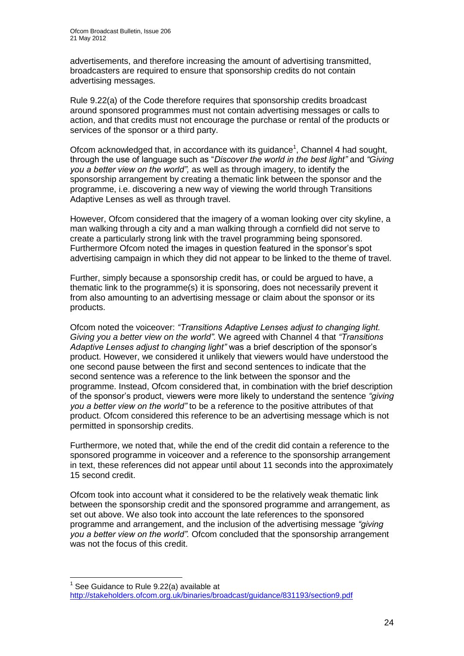advertisements, and therefore increasing the amount of advertising transmitted, broadcasters are required to ensure that sponsorship credits do not contain advertising messages.

Rule 9.22(a) of the Code therefore requires that sponsorship credits broadcast around sponsored programmes must not contain advertising messages or calls to action, and that credits must not encourage the purchase or rental of the products or services of the sponsor or a third party.

Ofcom acknowledged that, in accordance with its guidance<sup>1</sup>, Channel 4 had sought, through the use of language such as "*Discover the world in the best light"* and *"Giving you a better view on the world",* as well as through imagery, to identify the sponsorship arrangement by creating a thematic link between the sponsor and the programme, i.e. discovering a new way of viewing the world through Transitions Adaptive Lenses as well as through travel.

However, Ofcom considered that the imagery of a woman looking over city skyline, a man walking through a city and a man walking through a cornfield did not serve to create a particularly strong link with the travel programming being sponsored. Furthermore Ofcom noted the images in question featured in the sponsor's spot advertising campaign in which they did not appear to be linked to the theme of travel.

Further, simply because a sponsorship credit has, or could be argued to have, a thematic link to the programme(s) it is sponsoring, does not necessarily prevent it from also amounting to an advertising message or claim about the sponsor or its products.

Ofcom noted the voiceover: *"Transitions Adaptive Lenses adjust to changing light. Giving you a better view on the world".* We agreed with Channel 4 that *"Transitions Adaptive Lenses adjust to changing light"* was a brief description of the sponsor"s product. However, we considered it unlikely that viewers would have understood the one second pause between the first and second sentences to indicate that the second sentence was a reference to the link between the sponsor and the programme. Instead, Ofcom considered that, in combination with the brief description of the sponsor"s product, viewers were more likely to understand the sentence *"giving you a better view on the world"* to be a reference to the positive attributes of that product. Ofcom considered this reference to be an advertising message which is not permitted in sponsorship credits.

Furthermore, we noted that, while the end of the credit did contain a reference to the sponsored programme in voiceover and a reference to the sponsorship arrangement in text, these references did not appear until about 11 seconds into the approximately 15 second credit.

Ofcom took into account what it considered to be the relatively weak thematic link between the sponsorship credit and the sponsored programme and arrangement, as set out above. We also took into account the late references to the sponsored programme and arrangement, and the inclusion of the advertising message *"giving you a better view on the world".* Ofcom concluded that the sponsorship arrangement was not the focus of this credit.

<sup>1</sup>  $1$  See Guidance to Rule 9.22(a) available at <http://stakeholders.ofcom.org.uk/binaries/broadcast/guidance/831193/section9.pdf>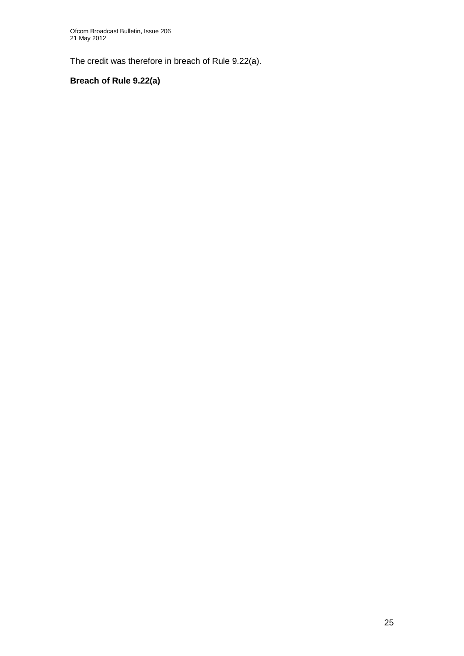The credit was therefore in breach of Rule 9.22(a).

## **Breach of Rule 9.22(a)**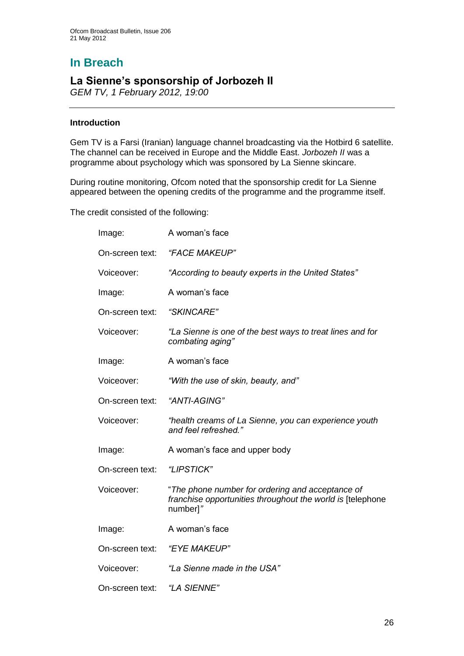# **In Breach**

## **La Sienne's sponsorship of Jorbozeh II**

*GEM TV, 1 February 2012, 19:00*

#### **Introduction**

Gem TV is a Farsi (Iranian) language channel broadcasting via the Hotbird 6 satellite. The channel can be received in Europe and the Middle East. *Jorbozeh II* was a programme about psychology which was sponsored by La Sienne skincare.

During routine monitoring, Ofcom noted that the sponsorship credit for La Sienne appeared between the opening credits of the programme and the programme itself.

The credit consisted of the following:

| Image:          | A woman's face                                                                                                             |  |
|-----------------|----------------------------------------------------------------------------------------------------------------------------|--|
| On-screen text: | "FACE MAKEUP"                                                                                                              |  |
| Voiceover:      | "According to beauty experts in the United States"                                                                         |  |
| Image:          | A woman's face                                                                                                             |  |
| On-screen text: | "SKINCARE"                                                                                                                 |  |
| Voiceover:      | "La Sienne is one of the best ways to treat lines and for<br>combating aging"                                              |  |
| Image:          | A woman's face                                                                                                             |  |
| Voiceover:      | "With the use of skin, beauty, and"                                                                                        |  |
| On-screen text: | "ANTI-AGING"                                                                                                               |  |
| Voiceover:      | "health creams of La Sienne, you can experience youth<br>and feel refreshed."                                              |  |
| Image:          | A woman's face and upper body                                                                                              |  |
| On-screen text: | "LIPSTICK"                                                                                                                 |  |
| Voiceover:      | "The phone number for ordering and acceptance of<br>franchise opportunities throughout the world is [telephone<br>number]" |  |
| Image:          | A woman's face                                                                                                             |  |
| On-screen text: | "EYE MAKEUP"                                                                                                               |  |
| Voiceover:      | "La Sienne made in the USA"                                                                                                |  |
| On-screen text: | "LA SIENNE"                                                                                                                |  |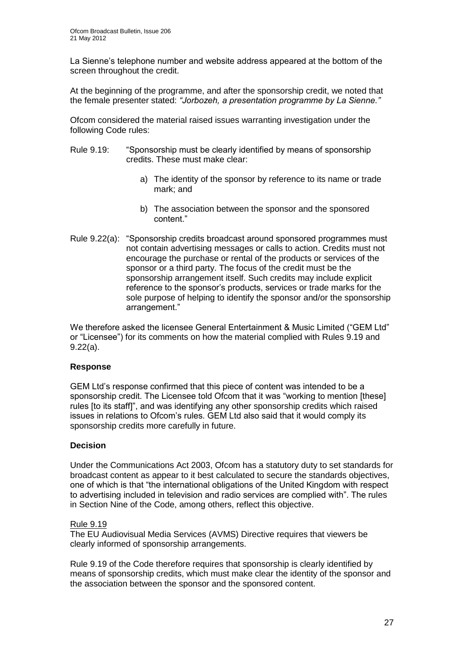La Sienne"s telephone number and website address appeared at the bottom of the screen throughout the credit.

At the beginning of the programme, and after the sponsorship credit, we noted that the female presenter stated: *"Jorbozeh, a presentation programme by La Sienne."*

Ofcom considered the material raised issues warranting investigation under the following Code rules:

- Rule 9.19: "Sponsorship must be clearly identified by means of sponsorship credits. These must make clear:
	- a) The identity of the sponsor by reference to its name or trade mark; and
	- b) The association between the sponsor and the sponsored content."
- Rule 9.22(a): "Sponsorship credits broadcast around sponsored programmes must not contain advertising messages or calls to action. Credits must not encourage the purchase or rental of the products or services of the sponsor or a third party. The focus of the credit must be the sponsorship arrangement itself. Such credits may include explicit reference to the sponsor"s products, services or trade marks for the sole purpose of helping to identify the sponsor and/or the sponsorship arrangement."

We therefore asked the licensee General Entertainment & Music Limited ("GEM Ltd" or "Licensee") for its comments on how the material complied with Rules 9.19 and 9.22(a).

#### **Response**

GEM Ltd"s response confirmed that this piece of content was intended to be a sponsorship credit. The Licensee told Ofcom that it was "working to mention [these] rules [to its staff]", and was identifying any other sponsorship credits which raised issues in relations to Ofcom"s rules. GEM Ltd also said that it would comply its sponsorship credits more carefully in future.

#### **Decision**

Under the Communications Act 2003, Ofcom has a statutory duty to set standards for broadcast content as appear to it best calculated to secure the standards objectives, one of which is that "the international obligations of the United Kingdom with respect to advertising included in television and radio services are complied with". The rules in Section Nine of the Code, among others, reflect this objective.

#### Rule 9.19

The EU Audiovisual Media Services (AVMS) Directive requires that viewers be clearly informed of sponsorship arrangements.

Rule 9.19 of the Code therefore requires that sponsorship is clearly identified by means of sponsorship credits, which must make clear the identity of the sponsor and the association between the sponsor and the sponsored content.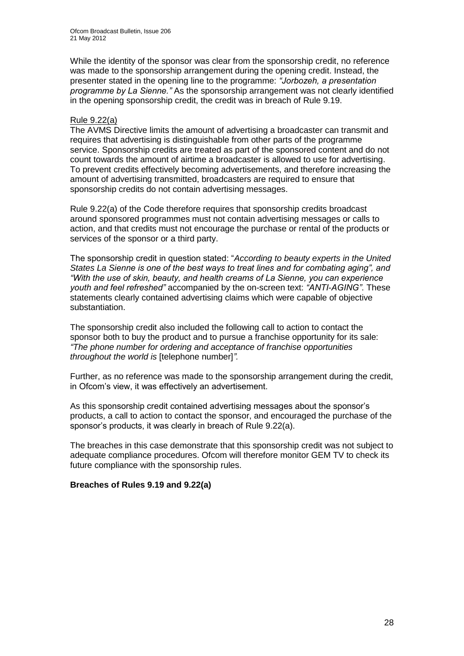While the identity of the sponsor was clear from the sponsorship credit, no reference was made to the sponsorship arrangement during the opening credit. Instead, the presenter stated in the opening line to the programme: *"Jorbozeh, a presentation programme by La Sienne."* As the sponsorship arrangement was not clearly identified in the opening sponsorship credit, the credit was in breach of Rule 9.19.

#### Rule 9.22(a)

The AVMS Directive limits the amount of advertising a broadcaster can transmit and requires that advertising is distinguishable from other parts of the programme service. Sponsorship credits are treated as part of the sponsored content and do not count towards the amount of airtime a broadcaster is allowed to use for advertising. To prevent credits effectively becoming advertisements, and therefore increasing the amount of advertising transmitted, broadcasters are required to ensure that sponsorship credits do not contain advertising messages.

Rule 9.22(a) of the Code therefore requires that sponsorship credits broadcast around sponsored programmes must not contain advertising messages or calls to action, and that credits must not encourage the purchase or rental of the products or services of the sponsor or a third party.

The sponsorship credit in question stated: "*According to beauty experts in the United States La Sienne is one of the best ways to treat lines and for combating aging", and "With the use of skin, beauty, and health creams of La Sienne, you can experience youth and feel refreshed"* accompanied by the on-screen text: *"ANTI-AGING"*. These statements clearly contained advertising claims which were capable of objective substantiation.

The sponsorship credit also included the following call to action to contact the sponsor both to buy the product and to pursue a franchise opportunity for its sale: *"The phone number for ordering and acceptance of franchise opportunities throughout the world is* [telephone number]*".*

Further, as no reference was made to the sponsorship arrangement during the credit, in Ofcom"s view, it was effectively an advertisement.

As this sponsorship credit contained advertising messages about the sponsor"s products, a call to action to contact the sponsor, and encouraged the purchase of the sponsor"s products, it was clearly in breach of Rule 9.22(a).

The breaches in this case demonstrate that this sponsorship credit was not subject to adequate compliance procedures. Ofcom will therefore monitor GEM TV to check its future compliance with the sponsorship rules.

#### **Breaches of Rules 9.19 and 9.22(a)**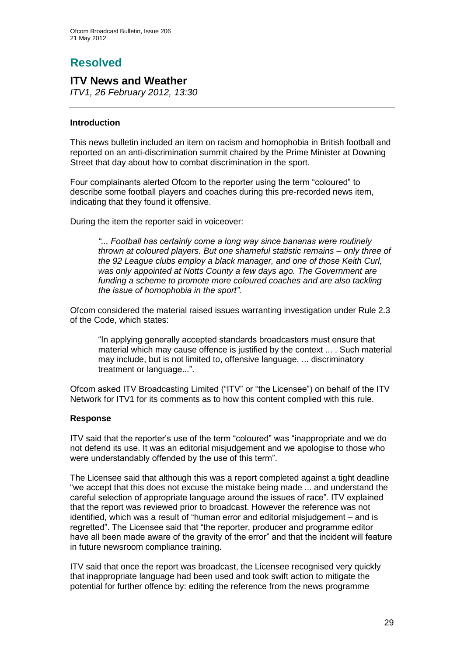# **Resolved**

## **ITV News and Weather**

*ITV1, 26 February 2012, 13:30*

#### **Introduction**

This news bulletin included an item on racism and homophobia in British football and reported on an anti-discrimination summit chaired by the Prime Minister at Downing Street that day about how to combat discrimination in the sport.

Four complainants alerted Ofcom to the reporter using the term "coloured" to describe some football players and coaches during this pre-recorded news item, indicating that they found it offensive.

During the item the reporter said in voiceover:

*"... Football has certainly come a long way since bananas were routinely thrown at coloured players. But one shameful statistic remains – only three of the 92 League clubs employ a black manager, and one of those Keith Curl, was only appointed at Notts County a few days ago. The Government are*  funding a scheme to promote more coloured coaches and are also tackling *the issue of homophobia in the sport".* 

Ofcom considered the material raised issues warranting investigation under Rule 2.3 of the Code, which states:

"In applying generally accepted standards broadcasters must ensure that material which may cause offence is justified by the context ... . Such material may include, but is not limited to, offensive language, ... discriminatory treatment or language...".

Ofcom asked ITV Broadcasting Limited ("ITV" or "the Licensee") on behalf of the ITV Network for ITV1 for its comments as to how this content complied with this rule.

#### **Response**

ITV said that the reporter"s use of the term "coloured" was "inappropriate and we do not defend its use. It was an editorial misjudgement and we apologise to those who were understandably offended by the use of this term".

The Licensee said that although this was a report completed against a tight deadline "we accept that this does not excuse the mistake being made ... and understand the careful selection of appropriate language around the issues of race". ITV explained that the report was reviewed prior to broadcast. However the reference was not identified, which was a result of "human error and editorial misjudgement – and is regretted". The Licensee said that "the reporter, producer and programme editor have all been made aware of the gravity of the error" and that the incident will feature in future newsroom compliance training.

ITV said that once the report was broadcast, the Licensee recognised very quickly that inappropriate language had been used and took swift action to mitigate the potential for further offence by: editing the reference from the news programme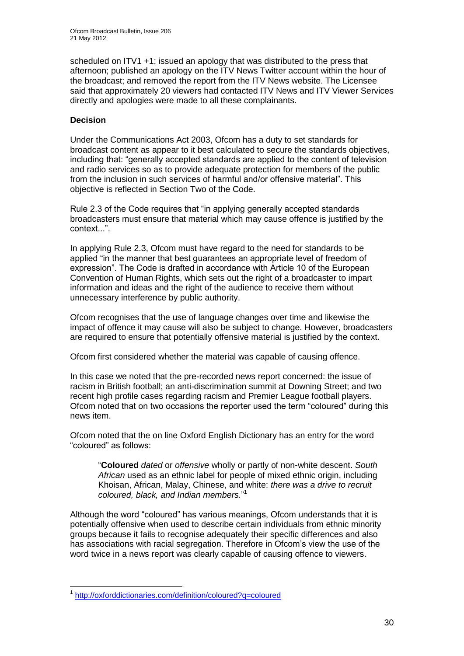scheduled on ITV1 +1; issued an apology that was distributed to the press that afternoon; published an apology on the ITV News Twitter account within the hour of the broadcast; and removed the report from the ITV News website. The Licensee said that approximately 20 viewers had contacted ITV News and ITV Viewer Services directly and apologies were made to all these complainants.

#### **Decision**

Under the Communications Act 2003, Ofcom has a duty to set standards for broadcast content as appear to it best calculated to secure the standards objectives, including that: "generally accepted standards are applied to the content of television and radio services so as to provide adequate protection for members of the public from the inclusion in such services of harmful and/or offensive material". This objective is reflected in Section Two of the Code.

Rule 2.3 of the Code requires that "in applying generally accepted standards broadcasters must ensure that material which may cause offence is justified by the context...".

In applying Rule 2.3, Ofcom must have regard to the need for standards to be applied "in the manner that best guarantees an appropriate level of freedom of expression". The Code is drafted in accordance with Article 10 of the European Convention of Human Rights, which sets out the right of a broadcaster to impart information and ideas and the right of the audience to receive them without unnecessary interference by public authority.

Ofcom recognises that the use of language changes over time and likewise the impact of offence it may cause will also be subject to change. However, broadcasters are required to ensure that potentially offensive material is justified by the context.

Ofcom first considered whether the material was capable of causing offence.

In this case we noted that the pre-recorded news report concerned: the issue of racism in British football; an anti-discrimination summit at Downing Street; and two recent high profile cases regarding racism and Premier League football players. Ofcom noted that on two occasions the reporter used the term "coloured" during this news item.

Ofcom noted that the on line Oxford English Dictionary has an entry for the word "coloured" as follows:

"**Coloured** *dated* or *offensive* wholly or partly of non-white descent. *South African* used as an ethnic label for people of mixed ethnic origin, including Khoisan, African, Malay, Chinese, and white: *there was a drive to recruit coloured, black, and Indian members.*" 1

Although the word "coloured" has various meanings, Ofcom understands that it is potentially offensive when used to describe certain individuals from ethnic minority groups because it fails to recognise adequately their specific differences and also has associations with racial segregation. Therefore in Ofcom"s view the use of the word twice in a news report was clearly capable of causing offence to viewers.

<sup>1</sup> 1 <http://oxforddictionaries.com/definition/coloured?q=coloured>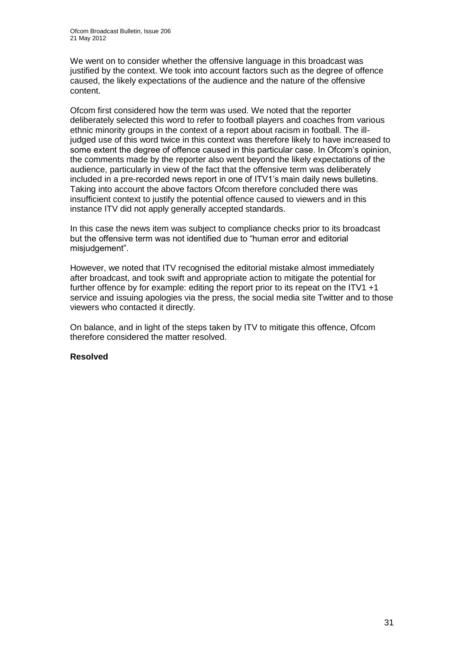We went on to consider whether the offensive language in this broadcast was justified by the context. We took into account factors such as the degree of offence caused, the likely expectations of the audience and the nature of the offensive content.

Ofcom first considered how the term was used. We noted that the reporter deliberately selected this word to refer to football players and coaches from various ethnic minority groups in the context of a report about racism in football. The illjudged use of this word twice in this context was therefore likely to have increased to some extent the degree of offence caused in this particular case. In Ofcom"s opinion, the comments made by the reporter also went beyond the likely expectations of the audience, particularly in view of the fact that the offensive term was deliberately included in a pre-recorded news report in one of ITV1"s main daily news bulletins. Taking into account the above factors Ofcom therefore concluded there was insufficient context to justify the potential offence caused to viewers and in this instance ITV did not apply generally accepted standards.

In this case the news item was subject to compliance checks prior to its broadcast but the offensive term was not identified due to "human error and editorial misiudgement".

However, we noted that ITV recognised the editorial mistake almost immediately after broadcast, and took swift and appropriate action to mitigate the potential for further offence by for example: editing the report prior to its repeat on the ITV1 +1 service and issuing apologies via the press, the social media site Twitter and to those viewers who contacted it directly.

On balance, and in light of the steps taken by ITV to mitigate this offence, Ofcom therefore considered the matter resolved.

#### **Resolved**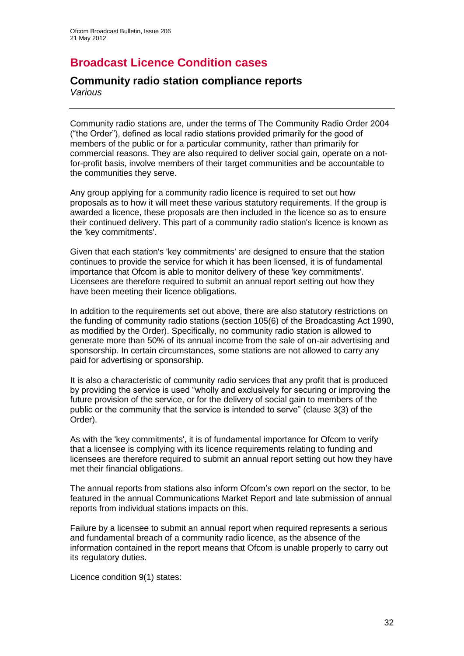## **Broadcast Licence Condition cases**

## **Community radio station compliance reports**

*Various*

Community radio stations are, under the terms of The Community Radio Order 2004 ("the Order"), defined as local radio stations provided primarily for the good of members of the public or for a particular community, rather than primarily for commercial reasons. They are also required to deliver social gain, operate on a notfor-profit basis, involve members of their target communities and be accountable to the communities they serve.

Any group applying for a community radio licence is required to set out how proposals as to how it will meet these various statutory requirements. If the group is awarded a licence, these proposals are then included in the licence so as to ensure their continued delivery. This part of a community radio station's licence is known as the 'key commitments'.

Given that each station's 'key commitments' are designed to ensure that the station continues to provide the service for which it has been licensed, it is of fundamental importance that Ofcom is able to monitor delivery of these 'key commitments'. Licensees are therefore required to submit an annual report setting out how they have been meeting their licence obligations.

In addition to the requirements set out above, there are also statutory restrictions on the funding of community radio stations (section 105(6) of the Broadcasting Act 1990, as modified by the Order). Specifically, no community radio station is allowed to generate more than 50% of its annual income from the sale of on-air advertising and sponsorship. In certain circumstances, some stations are not allowed to carry any paid for advertising or sponsorship.

It is also a characteristic of community radio services that any profit that is produced by providing the service is used "wholly and exclusively for securing or improving the future provision of the service, or for the delivery of social gain to members of the public or the community that the service is intended to serve" (clause 3(3) of the Order).

As with the 'key commitments', it is of fundamental importance for Ofcom to verify that a licensee is complying with its licence requirements relating to funding and licensees are therefore required to submit an annual report setting out how they have met their financial obligations.

The annual reports from stations also inform Ofcom"s own report on the sector, to be featured in the annual Communications Market Report and late submission of annual reports from individual stations impacts on this.

Failure by a licensee to submit an annual report when required represents a serious and fundamental breach of a community radio licence, as the absence of the information contained in the report means that Ofcom is unable properly to carry out its regulatory duties.

Licence condition 9(1) states: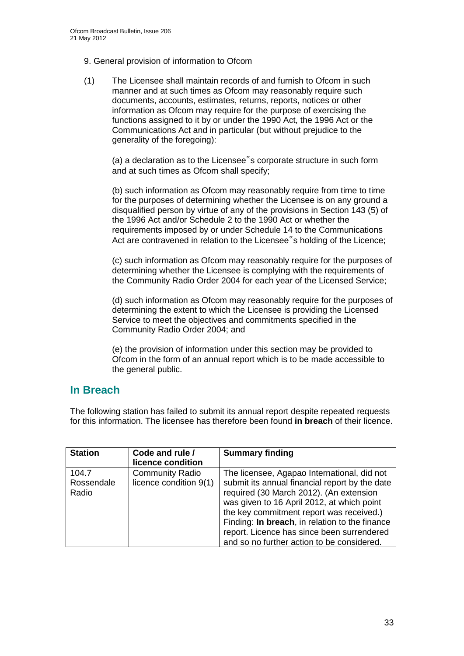- 9. General provision of information to Ofcom
- (1) The Licensee shall maintain records of and furnish to Ofcom in such manner and at such times as Ofcom may reasonably require such documents, accounts, estimates, returns, reports, notices or other information as Ofcom may require for the purpose of exercising the functions assigned to it by or under the 1990 Act, the 1996 Act or the Communications Act and in particular (but without prejudice to the generality of the foregoing):

(a) a declaration as to the Licensee"s corporate structure in such form and at such times as Ofcom shall specify;

(b) such information as Ofcom may reasonably require from time to time for the purposes of determining whether the Licensee is on any ground a disqualified person by virtue of any of the provisions in Section 143 (5) of the 1996 Act and/or Schedule 2 to the 1990 Act or whether the requirements imposed by or under Schedule 14 to the Communications Act are contravened in relation to the Licensee"s holding of the Licence;

(c) such information as Ofcom may reasonably require for the purposes of determining whether the Licensee is complying with the requirements of the Community Radio Order 2004 for each year of the Licensed Service;

(d) such information as Ofcom may reasonably require for the purposes of determining the extent to which the Licensee is providing the Licensed Service to meet the objectives and commitments specified in the Community Radio Order 2004; and

(e) the provision of information under this section may be provided to Ofcom in the form of an annual report which is to be made accessible to the general public.

## **In Breach**

The following station has failed to submit its annual report despite repeated requests for this information. The licensee has therefore been found **in breach** of their licence.

| <b>Station</b>               | Code and rule /<br>licence condition             | <b>Summary finding</b>                                                                                                                                                                                                                                                                                                                                                           |
|------------------------------|--------------------------------------------------|----------------------------------------------------------------------------------------------------------------------------------------------------------------------------------------------------------------------------------------------------------------------------------------------------------------------------------------------------------------------------------|
| 104.7<br>Rossendale<br>Radio | <b>Community Radio</b><br>licence condition 9(1) | The licensee, Agapao International, did not<br>submit its annual financial report by the date<br>required (30 March 2012). (An extension<br>was given to 16 April 2012, at which point<br>the key commitment report was received.)<br>Finding: In breach, in relation to the finance<br>report. Licence has since been surrendered<br>and so no further action to be considered. |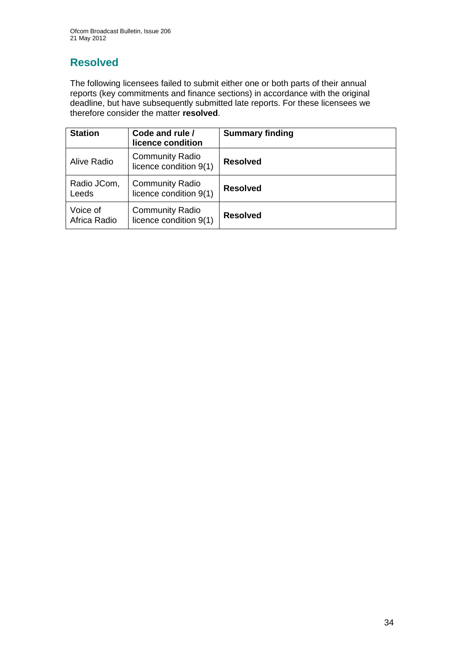# **Resolved**

The following licensees failed to submit either one or both parts of their annual reports (key commitments and finance sections) in accordance with the original deadline, but have subsequently submitted late reports. For these licensees we therefore consider the matter **resolved**.

| <b>Station</b>           | Code and rule /<br>licence condition             | <b>Summary finding</b> |
|--------------------------|--------------------------------------------------|------------------------|
| Alive Radio              | <b>Community Radio</b><br>licence condition 9(1) | <b>Resolved</b>        |
| Radio JCom,<br>Leeds     | <b>Community Radio</b><br>licence condition 9(1) | <b>Resolved</b>        |
| Voice of<br>Africa Radio | <b>Community Radio</b><br>licence condition 9(1) | <b>Resolved</b>        |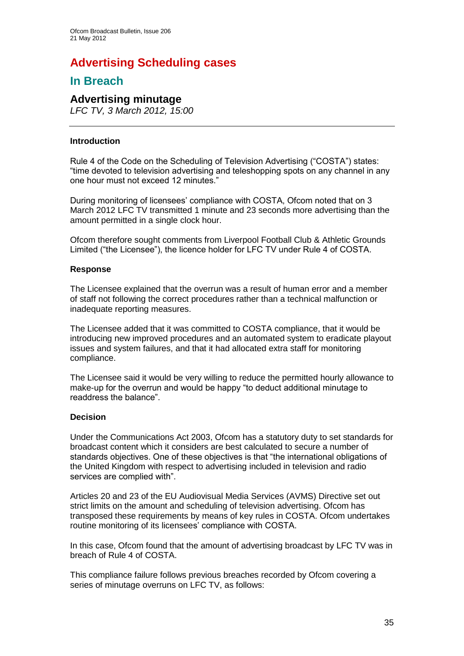# **Advertising Scheduling cases**

## **In Breach**

## **Advertising minutage**

*LFC TV, 3 March 2012, 15:00*

#### **Introduction**

Rule 4 of the Code on the Scheduling of Television Advertising ("COSTA") states: "time devoted to television advertising and teleshopping spots on any channel in any one hour must not exceed 12 minutes."

During monitoring of licensees' compliance with COSTA, Ofcom noted that on 3 March 2012 LFC TV transmitted 1 minute and 23 seconds more advertising than the amount permitted in a single clock hour.

Ofcom therefore sought comments from Liverpool Football Club & Athletic Grounds Limited ("the Licensee"), the licence holder for LFC TV under Rule 4 of COSTA.

#### **Response**

The Licensee explained that the overrun was a result of human error and a member of staff not following the correct procedures rather than a technical malfunction or inadequate reporting measures.

The Licensee added that it was committed to COSTA compliance, that it would be introducing new improved procedures and an automated system to eradicate playout issues and system failures, and that it had allocated extra staff for monitoring compliance.

The Licensee said it would be very willing to reduce the permitted hourly allowance to make-up for the overrun and would be happy "to deduct additional minutage to readdress the balance".

#### **Decision**

Under the Communications Act 2003, Ofcom has a statutory duty to set standards for broadcast content which it considers are best calculated to secure a number of standards objectives. One of these objectives is that "the international obligations of the United Kingdom with respect to advertising included in television and radio services are complied with".

Articles 20 and 23 of the EU Audiovisual Media Services (AVMS) Directive set out strict limits on the amount and scheduling of television advertising. Ofcom has transposed these requirements by means of key rules in COSTA. Ofcom undertakes routine monitoring of its licensees" compliance with COSTA.

In this case, Ofcom found that the amount of advertising broadcast by LFC TV was in breach of Rule 4 of COSTA.

This compliance failure follows previous breaches recorded by Ofcom covering a series of minutage overruns on LFC TV, as follows: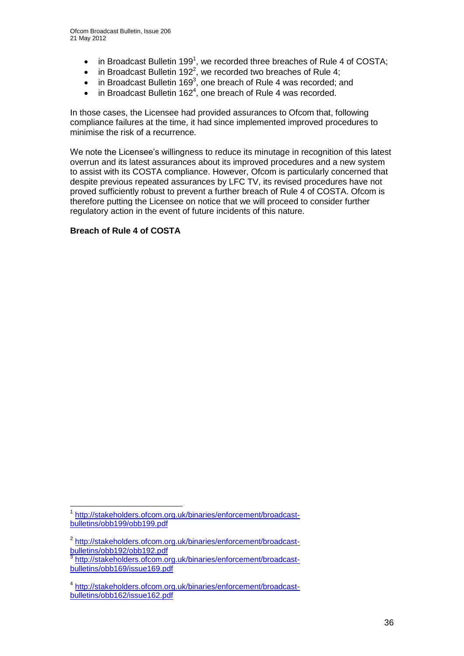- $\bullet$  in Broadcast Bulletin 199<sup>1</sup>, we recorded three breaches of Rule 4 of COSTA;
- $\bullet$  in Broadcast Bulletin 192<sup>2</sup>, we recorded two breaches of Rule 4;
- $\bullet$  in Broadcast Bulletin 169<sup>3</sup>, one breach of Rule 4 was recorded; and
- $\bullet$  in Broadcast Bulletin 162<sup>4</sup>, one breach of Rule 4 was recorded.

In those cases, the Licensee had provided assurances to Ofcom that, following compliance failures at the time, it had since implemented improved procedures to minimise the risk of a recurrence.

We note the Licensee's willingness to reduce its minutage in recognition of this latest overrun and its latest assurances about its improved procedures and a new system to assist with its COSTA compliance. However, Ofcom is particularly concerned that despite previous repeated assurances by LFC TV, its revised procedures have not proved sufficiently robust to prevent a further breach of Rule 4 of COSTA. Ofcom is therefore putting the Licensee on notice that we will proceed to consider further regulatory action in the event of future incidents of this nature.

#### **Breach of Rule 4 of COSTA**

1

<sup>1</sup> [http://stakeholders.ofcom.org.uk/binaries/enforcement/broadcast](http://stakeholders.ofcom.org.uk/binaries/enforcement/broadcast-bulletins/obb199/obb199.pdf)[bulletins/obb199/obb199.pdf](http://stakeholders.ofcom.org.uk/binaries/enforcement/broadcast-bulletins/obb199/obb199.pdf)

<sup>&</sup>lt;sup>2</sup> [http://stakeholders.ofcom.org.uk/binaries/enforcement/broadcast](http://stakeholders.ofcom.org.uk/binaries/enforcement/broadcast-bulletins/obb192/obb192.pdf)[bulletins/obb192/obb192.pdf](http://stakeholders.ofcom.org.uk/binaries/enforcement/broadcast-bulletins/obb192/obb192.pdf)

<sup>3</sup> [http://stakeholders.ofcom.org.uk/binaries/enforcement/broadcast](http://stakeholders.ofcom.org.uk/binaries/enforcement/broadcast-bulletins/obb169/issue169.pdf)[bulletins/obb169/issue169.pdf](http://stakeholders.ofcom.org.uk/binaries/enforcement/broadcast-bulletins/obb169/issue169.pdf)

<sup>4</sup> [http://stakeholders.ofcom.org.uk/binaries/enforcement/broadcast](http://stakeholders.ofcom.org.uk/binaries/enforcement/broadcast-bulletins/obb162/issue162.pdf)[bulletins/obb162/issue162.pdf](http://stakeholders.ofcom.org.uk/binaries/enforcement/broadcast-bulletins/obb162/issue162.pdf)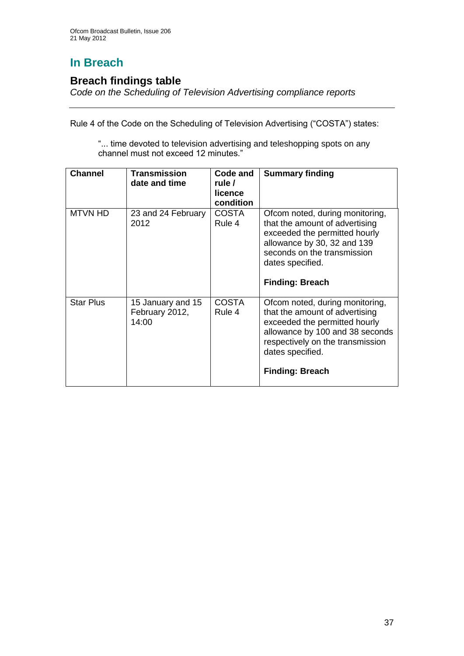# **In Breach**

### **Breach findings table**

*Code on the Scheduling of Television Advertising compliance reports*

Rule 4 of the Code on the Scheduling of Television Advertising ("COSTA") states:

"... time devoted to television advertising and teleshopping spots on any channel must not exceed 12 minutes."

| <b>Channel</b>   | <b>Transmission</b><br>date and time         | Code and<br>rule /<br>licence<br>condition | <b>Summary finding</b>                                                                                                                                                                                                  |
|------------------|----------------------------------------------|--------------------------------------------|-------------------------------------------------------------------------------------------------------------------------------------------------------------------------------------------------------------------------|
| <b>MTVN HD</b>   | 23 and 24 February<br>2012                   | <b>COSTA</b><br>Rule 4                     | Ofcom noted, during monitoring,<br>that the amount of advertising<br>exceeded the permitted hourly<br>allowance by 30, 32 and 139<br>seconds on the transmission<br>dates specified.<br><b>Finding: Breach</b>          |
| <b>Star Plus</b> | 15 January and 15<br>February 2012,<br>14:00 | <b>COSTA</b><br>Rule 4                     | Ofcom noted, during monitoring,<br>that the amount of advertising<br>exceeded the permitted hourly<br>allowance by 100 and 38 seconds<br>respectively on the transmission<br>dates specified.<br><b>Finding: Breach</b> |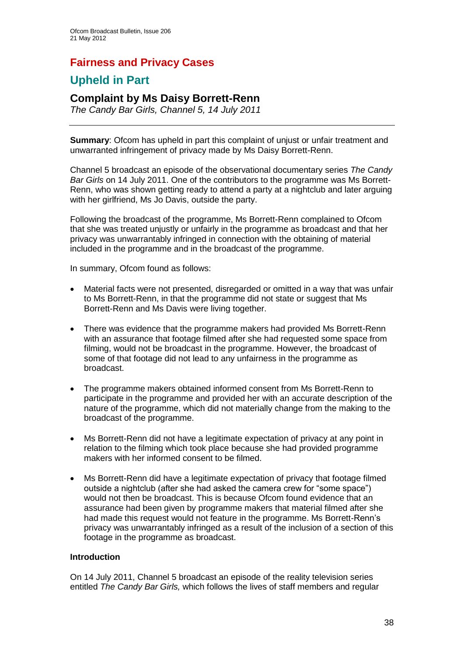## **Fairness and Privacy Cases**

## **Upheld in Part**

### **Complaint by Ms Daisy Borrett-Renn**

*The Candy Bar Girls, Channel 5, 14 July 2011* 

**Summary**: Ofcom has upheld in part this complaint of unjust or unfair treatment and unwarranted infringement of privacy made by Ms Daisy Borrett-Renn.

Channel 5 broadcast an episode of the observational documentary series *The Candy Bar Girls* on 14 July 2011. One of the contributors to the programme was Ms Borrett-Renn, who was shown getting ready to attend a party at a nightclub and later arguing with her girlfriend, Ms Jo Davis, outside the party.

Following the broadcast of the programme, Ms Borrett-Renn complained to Ofcom that she was treated unjustly or unfairly in the programme as broadcast and that her privacy was unwarrantably infringed in connection with the obtaining of material included in the programme and in the broadcast of the programme.

In summary, Ofcom found as follows:

- Material facts were not presented, disregarded or omitted in a way that was unfair to Ms Borrett-Renn, in that the programme did not state or suggest that Ms Borrett-Renn and Ms Davis were living together.
- There was evidence that the programme makers had provided Ms Borrett-Renn with an assurance that footage filmed after she had requested some space from filming, would not be broadcast in the programme. However, the broadcast of some of that footage did not lead to any unfairness in the programme as broadcast.
- The programme makers obtained informed consent from Ms Borrett-Renn to participate in the programme and provided her with an accurate description of the nature of the programme, which did not materially change from the making to the broadcast of the programme.
- Ms Borrett-Renn did not have a legitimate expectation of privacy at any point in relation to the filming which took place because she had provided programme makers with her informed consent to be filmed.
- Ms Borrett-Renn did have a legitimate expectation of privacy that footage filmed outside a nightclub (after she had asked the camera crew for "some space") would not then be broadcast. This is because Ofcom found evidence that an assurance had been given by programme makers that material filmed after she had made this request would not feature in the programme. Ms Borrett-Renn"s privacy was unwarrantably infringed as a result of the inclusion of a section of this footage in the programme as broadcast.

#### **Introduction**

On 14 July 2011, Channel 5 broadcast an episode of the reality television series entitled *The Candy Bar Girls,* which follows the lives of staff members and regular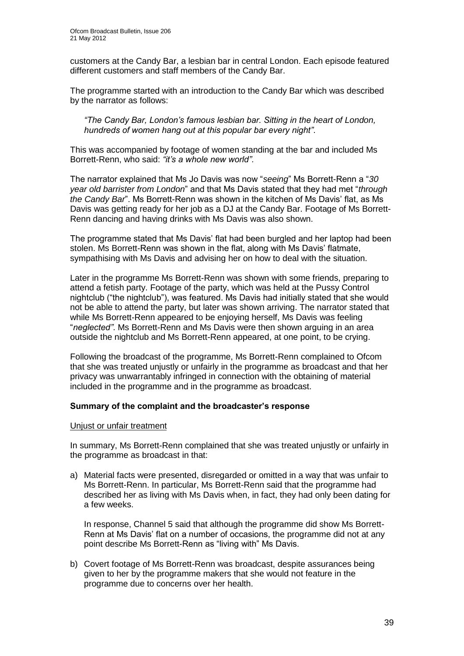customers at the Candy Bar, a lesbian bar in central London. Each episode featured different customers and staff members of the Candy Bar.

The programme started with an introduction to the Candy Bar which was described by the narrator as follows:

*"The Candy Bar, London"s famous lesbian bar. Sitting in the heart of London, hundreds of women hang out at this popular bar every night"*.

This was accompanied by footage of women standing at the bar and included Ms Borrett-Renn, who said: *"it"s a whole new world"*.

The narrator explained that Ms Jo Davis was now "*seeing*" Ms Borrett-Renn a "*30 year old barrister from London*" and that Ms Davis stated that they had met "*through the Candy Bar*". Ms Borrett-Renn was shown in the kitchen of Ms Davis" flat, as Ms Davis was getting ready for her job as a DJ at the Candy Bar. Footage of Ms Borrett-Renn dancing and having drinks with Ms Davis was also shown.

The programme stated that Ms Davis" flat had been burgled and her laptop had been stolen. Ms Borrett-Renn was shown in the flat, along with Ms Davis' flatmate, sympathising with Ms Davis and advising her on how to deal with the situation.

Later in the programme Ms Borrett-Renn was shown with some friends, preparing to attend a fetish party. Footage of the party, which was held at the Pussy Control nightclub ("the nightclub"), was featured. Ms Davis had initially stated that she would not be able to attend the party, but later was shown arriving. The narrator stated that while Ms Borrett-Renn appeared to be enjoying herself, Ms Davis was feeling "*neglected"*. Ms Borrett-Renn and Ms Davis were then shown arguing in an area outside the nightclub and Ms Borrett-Renn appeared, at one point, to be crying.

Following the broadcast of the programme, Ms Borrett-Renn complained to Ofcom that she was treated unjustly or unfairly in the programme as broadcast and that her privacy was unwarrantably infringed in connection with the obtaining of material included in the programme and in the programme as broadcast.

#### **Summary of the complaint and the broadcaster's response**

#### Unjust or unfair treatment

In summary, Ms Borrett-Renn complained that she was treated unjustly or unfairly in the programme as broadcast in that:

a) Material facts were presented, disregarded or omitted in a way that was unfair to Ms Borrett-Renn. In particular, Ms Borrett-Renn said that the programme had described her as living with Ms Davis when, in fact, they had only been dating for a few weeks.

In response, Channel 5 said that although the programme did show Ms Borrett-Renn at Ms Davis" flat on a number of occasions, the programme did not at any point describe Ms Borrett-Renn as "living with" Ms Davis.

b) Covert footage of Ms Borrett-Renn was broadcast, despite assurances being given to her by the programme makers that she would not feature in the programme due to concerns over her health.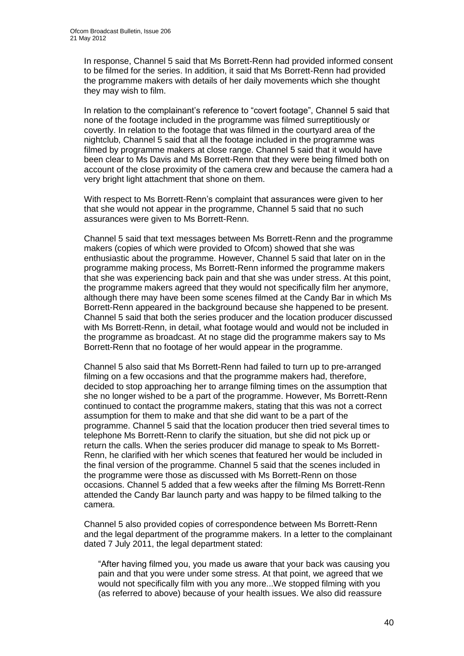In response, Channel 5 said that Ms Borrett-Renn had provided informed consent to be filmed for the series. In addition, it said that Ms Borrett-Renn had provided the programme makers with details of her daily movements which she thought they may wish to film.

In relation to the complainant's reference to "covert footage", Channel 5 said that none of the footage included in the programme was filmed surreptitiously or covertly. In relation to the footage that was filmed in the courtyard area of the nightclub, Channel 5 said that all the footage included in the programme was filmed by programme makers at close range. Channel 5 said that it would have been clear to Ms Davis and Ms Borrett-Renn that they were being filmed both on account of the close proximity of the camera crew and because the camera had a very bright light attachment that shone on them.

With respect to Ms Borrett-Renn"s complaint that assurances were given to her that she would not appear in the programme, Channel 5 said that no such assurances were given to Ms Borrett-Renn.

Channel 5 said that text messages between Ms Borrett-Renn and the programme makers (copies of which were provided to Ofcom) showed that she was enthusiastic about the programme. However, Channel 5 said that later on in the programme making process, Ms Borrett-Renn informed the programme makers that she was experiencing back pain and that she was under stress. At this point, the programme makers agreed that they would not specifically film her anymore, although there may have been some scenes filmed at the Candy Bar in which Ms Borrett-Renn appeared in the background because she happened to be present. Channel 5 said that both the series producer and the location producer discussed with Ms Borrett-Renn, in detail, what footage would and would not be included in the programme as broadcast. At no stage did the programme makers say to Ms Borrett-Renn that no footage of her would appear in the programme.

Channel 5 also said that Ms Borrett-Renn had failed to turn up to pre-arranged filming on a few occasions and that the programme makers had, therefore, decided to stop approaching her to arrange filming times on the assumption that she no longer wished to be a part of the programme. However, Ms Borrett-Renn continued to contact the programme makers, stating that this was not a correct assumption for them to make and that she did want to be a part of the programme. Channel 5 said that the location producer then tried several times to telephone Ms Borrett-Renn to clarify the situation, but she did not pick up or return the calls. When the series producer did manage to speak to Ms Borrett-Renn, he clarified with her which scenes that featured her would be included in the final version of the programme. Channel 5 said that the scenes included in the programme were those as discussed with Ms Borrett-Renn on those occasions. Channel 5 added that a few weeks after the filming Ms Borrett-Renn attended the Candy Bar launch party and was happy to be filmed talking to the camera.

Channel 5 also provided copies of correspondence between Ms Borrett-Renn and the legal department of the programme makers. In a letter to the complainant dated 7 July 2011, the legal department stated:

"After having filmed you, you made us aware that your back was causing you pain and that you were under some stress. At that point, we agreed that we would not specifically film with you any more...We stopped filming with you (as referred to above) because of your health issues. We also did reassure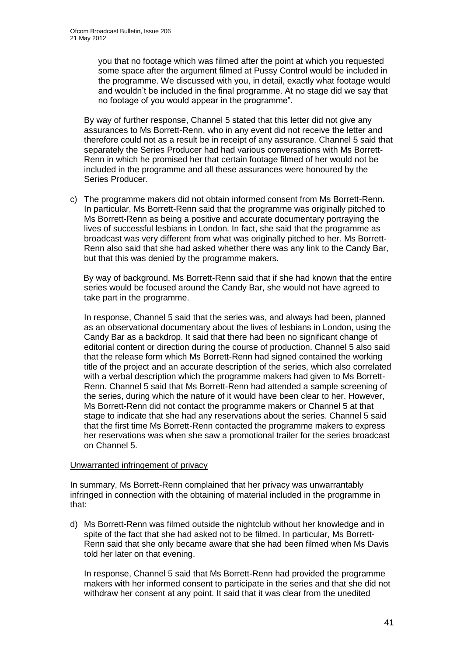you that no footage which was filmed after the point at which you requested some space after the argument filmed at Pussy Control would be included in the programme. We discussed with you, in detail, exactly what footage would and wouldn"t be included in the final programme. At no stage did we say that no footage of you would appear in the programme".

By way of further response, Channel 5 stated that this letter did not give any assurances to Ms Borrett-Renn, who in any event did not receive the letter and therefore could not as a result be in receipt of any assurance. Channel 5 said that separately the Series Producer had had various conversations with Ms Borrett-Renn in which he promised her that certain footage filmed of her would not be included in the programme and all these assurances were honoured by the Series Producer.

c) The programme makers did not obtain informed consent from Ms Borrett-Renn. In particular, Ms Borrett-Renn said that the programme was originally pitched to Ms Borrett-Renn as being a positive and accurate documentary portraying the lives of successful lesbians in London. In fact, she said that the programme as broadcast was very different from what was originally pitched to her. Ms Borrett-Renn also said that she had asked whether there was any link to the Candy Bar, but that this was denied by the programme makers.

By way of background, Ms Borrett-Renn said that if she had known that the entire series would be focused around the Candy Bar, she would not have agreed to take part in the programme.

In re*s*ponse, Channel 5 said that the series was, and always had been, planned as an observational documentary about the lives of lesbians in London, using the Candy Bar as a backdrop. It said that there had been no significant change of editorial content or direction during the course of production. Channel 5 also said that the release form which Ms Borrett-Renn had signed contained the working title of the project and an accurate description of the series, which also correlated with a verbal description which the programme makers had given to Ms Borrett-Renn. Channel 5 said that Ms Borrett-Renn had attended a sample screening of the series, during which the nature of it would have been clear to her. However, Ms Borrett-Renn did not contact the programme makers or Channel 5 at that stage to indicate that she had any reservations about the series. Channel 5 said that the first time Ms Borrett-Renn contacted the programme makers to express her reservations was when she saw a promotional trailer for the series broadcast on Channel 5.

#### Unwarranted infringement of privacy

In summary, Ms Borrett-Renn complained that her privacy was unwarrantably infringed in connection with the obtaining of material included in the programme in that:

d) Ms Borrett-Renn was filmed outside the nightclub without her knowledge and in spite of the fact that she had asked not to be filmed. In particular, Ms Borrett-Renn said that she only became aware that she had been filmed when Ms Davis told her later on that evening.

In response, Channel 5 said that Ms Borrett-Renn had provided the programme makers with her informed consent to participate in the series and that she did not withdraw her consent at any point. It said that it was clear from the unedited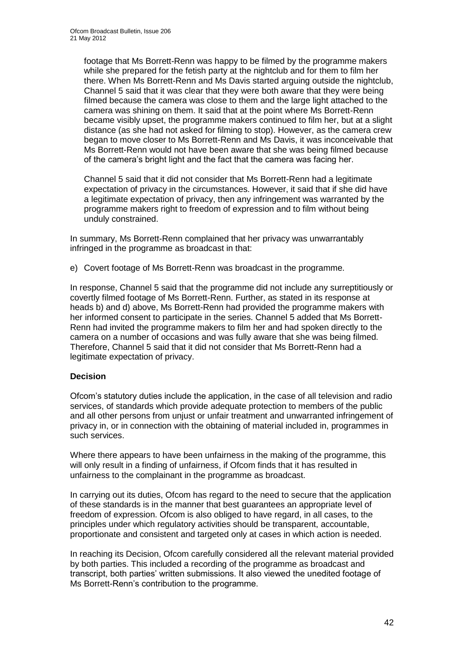footage that Ms Borrett-Renn was happy to be filmed by the programme makers while she prepared for the fetish party at the nightclub and for them to film her there. When Ms Borrett-Renn and Ms Davis started arguing outside the nightclub, Channel 5 said that it was clear that they were both aware that they were being filmed because the camera was close to them and the large light attached to the camera was shining on them. It said that at the point where Ms Borrett-Renn became visibly upset, the programme makers continued to film her, but at a slight distance (as she had not asked for filming to stop). However, as the camera crew began to move closer to Ms Borrett-Renn and Ms Davis, it was inconceivable that Ms Borrett-Renn would not have been aware that she was being filmed because of the camera"s bright light and the fact that the camera was facing her.

Channel 5 said that it did not consider that Ms Borrett-Renn had a legitimate expectation of privacy in the circumstances. However, it said that if she did have a legitimate expectation of privacy, then any infringement was warranted by the programme makers right to freedom of expression and to film without being unduly constrained.

In summary, Ms Borrett-Renn complained that her privacy was unwarrantably infringed in the programme as broadcast in that:

e) Covert footage of Ms Borrett-Renn was broadcast in the programme.

In response, Channel 5 said that the programme did not include any surreptitiously or covertly filmed footage of Ms Borrett-Renn. Further, as stated in its response at heads b) and d) above, Ms Borrett-Renn had provided the programme makers with her informed consent to participate in the series. Channel 5 added that Ms Borrett-Renn had invited the programme makers to film her and had spoken directly to the camera on a number of occasions and was fully aware that she was being filmed. Therefore, Channel 5 said that it did not consider that Ms Borrett-Renn had a legitimate expectation of privacy.

#### **Decision**

Ofcom"s statutory duties include the application, in the case of all television and radio services, of standards which provide adequate protection to members of the public and all other persons from unjust or unfair treatment and unwarranted infringement of privacy in, or in connection with the obtaining of material included in, programmes in such services.

Where there appears to have been unfairness in the making of the programme, this will only result in a finding of unfairness, if Ofcom finds that it has resulted in unfairness to the complainant in the programme as broadcast.

In carrying out its duties, Ofcom has regard to the need to secure that the application of these standards is in the manner that best guarantees an appropriate level of freedom of expression. Ofcom is also obliged to have regard, in all cases, to the principles under which regulatory activities should be transparent, accountable, proportionate and consistent and targeted only at cases in which action is needed.

In reaching its Decision, Ofcom carefully considered all the relevant material provided by both parties. This included a recording of the programme as broadcast and transcript, both parties" written submissions. It also viewed the unedited footage of Ms Borrett-Renn"s contribution to the programme.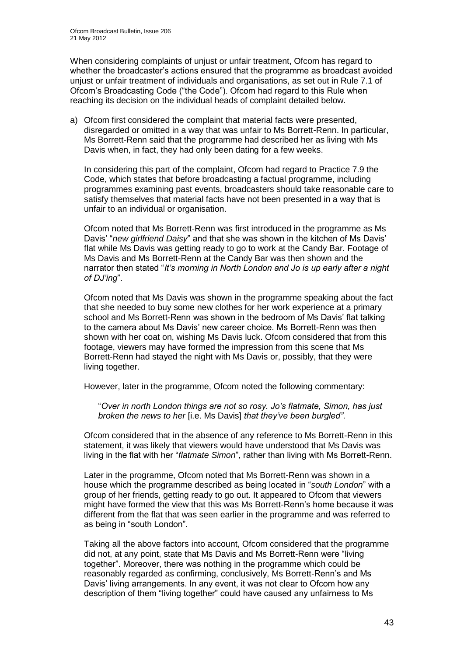When considering complaints of unjust or unfair treatment, Ofcom has regard to whether the broadcaster"s actions ensured that the programme as broadcast avoided unjust or unfair treatment of individuals and organisations, as set out in Rule 7.1 of Ofcom"s Broadcasting Code ("the Code"). Ofcom had regard to this Rule when reaching its decision on the individual heads of complaint detailed below.

a) Ofcom first considered the complaint that material facts were presented, disregarded or omitted in a way that was unfair to Ms Borrett-Renn. In particular, Ms Borrett-Renn said that the programme had described her as living with Ms Davis when, in fact, they had only been dating for a few weeks.

In considering this part of the complaint, Ofcom had regard to Practice 7.9 the Code, which states that before broadcasting a factual programme, including programmes examining past events, broadcasters should take reasonable care to satisfy themselves that material facts have not been presented in a way that is unfair to an individual or organisation.

Ofcom noted that Ms Borrett-Renn was first introduced in the programme as Ms Davis" "*new girlfriend Daisy*" and that she was shown in the kitchen of Ms Davis" flat while Ms Davis was getting ready to go to work at the Candy Bar. Footage of Ms Davis and Ms Borrett-Renn at the Candy Bar was then shown and the narrator then stated "*It"s morning in North London and Jo is up early after a night of DJ"ing*".

Ofcom noted that Ms Davis was shown in the programme speaking about the fact that she needed to buy some new clothes for her work experience at a primary school and Ms Borrett-Renn was shown in the bedroom of Ms Davis" flat talking to the camera about Ms Davis" new career choice. Ms Borrett-Renn was then shown with her coat on, wishing Ms Davis luck. Ofcom considered that from this footage, viewers may have formed the impression from this scene that Ms Borrett-Renn had stayed the night with Ms Davis or, possibly, that they were living together.

However, later in the programme, Ofcom noted the following commentary:

"*Over in north London things are not so rosy. Jo"s flatmate, Simon, has just broken the news to her* [i.e. Ms Davis] *that they"ve been burgled"*.

Ofcom considered that in the absence of any reference to Ms Borrett-Renn in this statement, it was likely that viewers would have understood that Ms Davis was living in the flat with her "*flatmate Simon*", rather than living with Ms Borrett-Renn.

Later in the programme, Ofcom noted that Ms Borrett-Renn was shown in a house which the programme described as being located in "*south London*" with a group of her friends, getting ready to go out. It appeared to Ofcom that viewers might have formed the view that this was Ms Borrett-Renn"s home because it was different from the flat that was seen earlier in the programme and was referred to as being in "south London".

Taking all the above factors into account, Ofcom considered that the programme did not, at any point, state that Ms Davis and Ms Borrett-Renn were "living together". Moreover, there was nothing in the programme which could be reasonably regarded as confirming, conclusively, Ms Borrett-Renn"s and Ms Davis" living arrangements. In any event, it was not clear to Ofcom how any description of them "living together" could have caused any unfairness to Ms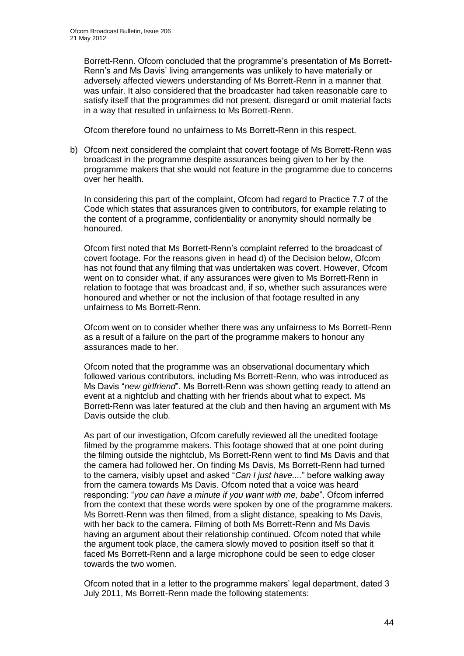Borrett-Renn. Ofcom concluded that the programme"s presentation of Ms Borrett-Renn"s and Ms Davis" living arrangements was unlikely to have materially or adversely affected viewers understanding of Ms Borrett-Renn in a manner that was unfair. It also considered that the broadcaster had taken reasonable care to satisfy itself that the programmes did not present, disregard or omit material facts in a way that resulted in unfairness to Ms Borrett-Renn.

Ofcom therefore found no unfairness to Ms Borrett-Renn in this respect.

b) Ofcom next considered the complaint that covert footage of Ms Borrett-Renn was broadcast in the programme despite assurances being given to her by the programme makers that she would not feature in the programme due to concerns over her health.

In considering this part of the complaint, Ofcom had regard to Practice 7.7 of the Code which states that assurances given to contributors, for example relating to the content of a programme, confidentiality or anonymity should normally be honoured.

Ofcom first noted that Ms Borrett-Renn"s complaint referred to the broadcast of covert footage. For the reasons given in head d) of the Decision below, Ofcom has not found that any filming that was undertaken was covert. However, Ofcom went on to consider what, if any assurances were given to Ms Borrett-Renn in relation to footage that was broadcast and, if so, whether such assurances were honoured and whether or not the inclusion of that footage resulted in any unfairness to Ms Borrett-Renn.

Ofcom went on to consider whether there was any unfairness to Ms Borrett-Renn as a result of a failure on the part of the programme makers to honour any assurances made to her.

Ofcom noted that the programme was an observational documentary which followed various contributors, including Ms Borrett-Renn, who was introduced as Ms Davis "*new girlfriend*". Ms Borrett-Renn was shown getting ready to attend an event at a nightclub and chatting with her friends about what to expect. Ms Borrett-Renn was later featured at the club and then having an argument with Ms Davis outside the club.

As part of our investigation, Ofcom carefully reviewed all the unedited footage filmed by the programme makers. This footage showed that at one point during the filming outside the nightclub, Ms Borrett-Renn went to find Ms Davis and that the camera had followed her. On finding Ms Davis, Ms Borrett-Renn had turned to the camera, visibly upset and asked "*Can I just have....*" before walking away from the camera towards Ms Davis. Ofcom noted that a voice was heard responding: "*you can have a minute if you want with me, babe*". Ofcom inferred from the context that these words were spoken by one of the programme makers. Ms Borrett-Renn was then filmed, from a slight distance, speaking to Ms Davis, with her back to the camera. Filming of both Ms Borrett-Renn and Ms Davis having an argument about their relationship continued. Ofcom noted that while the argument took place, the camera slowly moved to position itself so that it faced Ms Borrett-Renn and a large microphone could be seen to edge closer towards the two women.

Ofcom noted that in a letter to the programme makers" legal department, dated 3 July 2011, Ms Borrett-Renn made the following statements: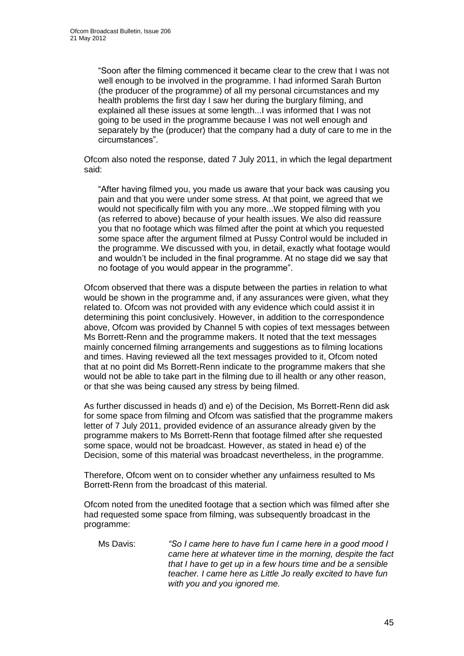"Soon after the filming commenced it became clear to the crew that I was not well enough to be involved in the programme. I had informed Sarah Burton (the producer of the programme) of all my personal circumstances and my health problems the first day I saw her during the burglary filming, and explained all these issues at some length...I was informed that I was not going to be used in the programme because I was not well enough and separately by the (producer) that the company had a duty of care to me in the circumstances".

Ofcom also noted the response, dated 7 July 2011, in which the legal department said:

"After having filmed you, you made us aware that your back was causing you pain and that you were under some stress. At that point, we agreed that we would not specifically film with you any more...We stopped filming with you (as referred to above) because of your health issues. We also did reassure you that no footage which was filmed after the point at which you requested some space after the argument filmed at Pussy Control would be included in the programme. We discussed with you, in detail, exactly what footage would and wouldn"t be included in the final programme. At no stage did we say that no footage of you would appear in the programme".

Ofcom observed that there was a dispute between the parties in relation to what would be shown in the programme and, if any assurances were given, what they related to. Ofcom was not provided with any evidence which could assist it in determining this point conclusively. However, in addition to the correspondence above, Ofcom was provided by Channel 5 with copies of text messages between Ms Borrett-Renn and the programme makers. It noted that the text messages mainly concerned filming arrangements and suggestions as to filming locations and times. Having reviewed all the text messages provided to it, Ofcom noted that at no point did Ms Borrett-Renn indicate to the programme makers that she would not be able to take part in the filming due to ill health or any other reason, or that she was being caused any stress by being filmed.

As further discussed in heads d) and e) of the Decision, Ms Borrett-Renn did ask for some space from filming and Ofcom was satisfied that the programme makers letter of 7 July 2011, provided evidence of an assurance already given by the programme makers to Ms Borrett-Renn that footage filmed after she requested some space, would not be broadcast. However, as stated in head e) of the Decision, some of this material was broadcast nevertheless, in the programme.

Therefore, Ofcom went on to consider whether any unfairness resulted to Ms Borrett-Renn from the broadcast of this material.

Ofcom noted from the unedited footage that a section which was filmed after she had requested some space from filming, was subsequently broadcast in the programme:

Ms Davis: *"So I came here to have fun I came here in a good mood I came here at whatever time in the morning, despite the fact that I have to get up in a few hours time and be a sensible teacher. I came here as Little Jo really excited to have fun with you and you ignored me.*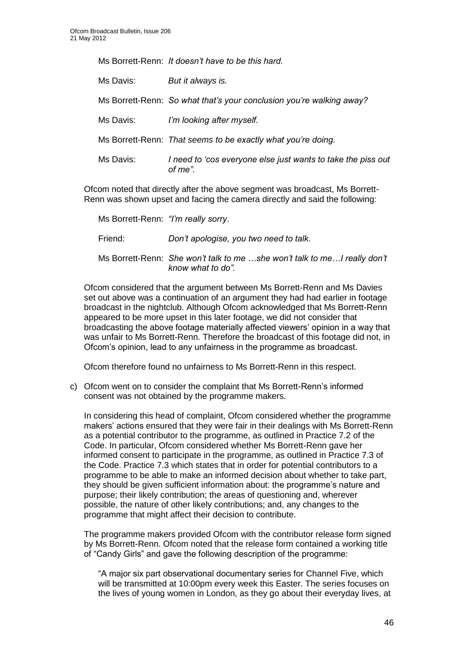Ms Borrett-Renn: *It doesn"t have to be this hard.*

| Ms Davis: | But it always is.                                                       |
|-----------|-------------------------------------------------------------------------|
|           | Ms Borrett-Renn: So what that's your conclusion you're walking away?    |
| Ms Davis: | I'm looking after myself.                                               |
|           | Ms Borrett-Renn: That seems to be exactly what you're doing.            |
| Ms Davis: | I need to 'cos everyone else just wants to take the piss out<br>of me". |

Ofcom noted that directly after the above segment was broadcast, Ms Borrett-Renn was shown upset and facing the camera directly and said the following:

Ms Borrett-Renn: *"I"m really sorry*.

Friend: *Don"t apologise, you two need to talk*.

Ms Borrett-Renn: *She won"t talk to me …she won"t talk to me…I really don"t know what to do".*

Ofcom considered that the argument between Ms Borrett-Renn and Ms Davies set out above was a continuation of an argument they had had earlier in footage broadcast in the nightclub. Although Ofcom acknowledged that Ms Borrett-Renn appeared to be more upset in this later footage, we did not consider that broadcasting the above footage materially affected viewers" opinion in a way that was unfair to Ms Borrett-Renn. Therefore the broadcast of this footage did not, in Ofcom"s opinion, lead to any unfairness in the programme as broadcast.

Ofcom therefore found no unfairness to Ms Borrett-Renn in this respect.

c) Ofcom went on to consider the complaint that Ms Borrett-Renn"s informed consent was not obtained by the programme makers.

In considering this head of complaint, Ofcom considered whether the programme makers" actions ensured that they were fair in their dealings with Ms Borrett-Renn as a potential contributor to the programme, as outlined in Practice 7.2 of the Code. In particular, Ofcom considered whether Ms Borrett-Renn gave her informed consent to participate in the programme, as outlined in Practice 7.3 of the Code. Practice 7.3 which states that in order for potential contributors to a programme to be able to make an informed decision about whether to take part, they should be given sufficient information about: the programme's nature and purpose; their likely contribution; the areas of questioning and, wherever possible, the nature of other likely contributions; and, any changes to the programme that might affect their decision to contribute.

The programme makers provided Ofcom with the contributor release form signed by Ms Borrett-Renn. Ofcom noted that the release form contained a working title of "Candy Girls" and gave the following description of the programme:

"A major six part observational documentary series for Channel Five, which will be transmitted at 10:00pm every week this Easter. The series focuses on the lives of young women in London, as they go about their everyday lives, at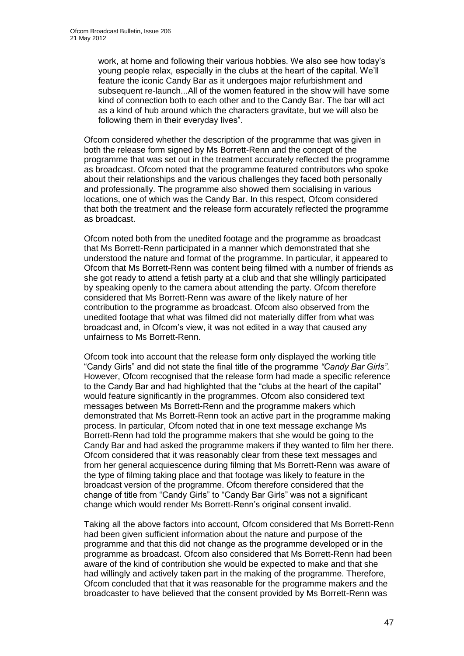work, at home and following their various hobbies. We also see how today"s young people relax, especially in the clubs at the heart of the capital. We"ll feature the iconic Candy Bar as it undergoes major refurbishment and subsequent re-launch...All of the women featured in the show will have some kind of connection both to each other and to the Candy Bar. The bar will act as a kind of hub around which the characters gravitate, but we will also be following them in their everyday lives".

Ofcom considered whether the description of the programme that was given in both the release form signed by Ms Borrett-Renn and the concept of the programme that was set out in the treatment accurately reflected the programme as broadcast. Ofcom noted that the programme featured contributors who spoke about their relationships and the various challenges they faced both personally and professionally. The programme also showed them socialising in various locations, one of which was the Candy Bar. In this respect, Ofcom considered that both the treatment and the release form accurately reflected the programme as broadcast.

Ofcom noted both from the unedited footage and the programme as broadcast that Ms Borrett-Renn participated in a manner which demonstrated that she understood the nature and format of the programme. In particular, it appeared to Ofcom that Ms Borrett-Renn was content being filmed with a number of friends as she got ready to attend a fetish party at a club and that she willingly participated by speaking openly to the camera about attending the party. Ofcom therefore considered that Ms Borrett-Renn was aware of the likely nature of her contribution to the programme as broadcast. Ofcom also observed from the unedited footage that what was filmed did not materially differ from what was broadcast and, in Ofcom"s view, it was not edited in a way that caused any unfairness to Ms Borrett-Renn.

Ofcom took into account that the release form only displayed the working title "Candy Girls" and did not state the final title of the programme *"Candy Bar Girls"*. However, Ofcom recognised that the release form had made a specific reference to the Candy Bar and had highlighted that the "clubs at the heart of the capital" would feature significantly in the programmes. Ofcom also considered text messages between Ms Borrett-Renn and the programme makers which demonstrated that Ms Borrett-Renn took an active part in the programme making process. In particular, Ofcom noted that in one text message exchange Ms Borrett-Renn had told the programme makers that she would be going to the Candy Bar and had asked the programme makers if they wanted to film her there. Ofcom considered that it was reasonably clear from these text messages and from her general acquiescence during filming that Ms Borrett-Renn was aware of the type of filming taking place and that footage was likely to feature in the broadcast version of the programme. Ofcom therefore considered that the change of title from "Candy Girls" to "Candy Bar Girls" was not a significant change which would render Ms Borrett-Renn"s original consent invalid.

Taking all the above factors into account, Ofcom considered that Ms Borrett-Renn had been given sufficient information about the nature and purpose of the programme and that this did not change as the programme developed or in the programme as broadcast. Ofcom also considered that Ms Borrett-Renn had been aware of the kind of contribution she would be expected to make and that she had willingly and actively taken part in the making of the programme. Therefore, Ofcom concluded that that it was reasonable for the programme makers and the broadcaster to have believed that the consent provided by Ms Borrett-Renn was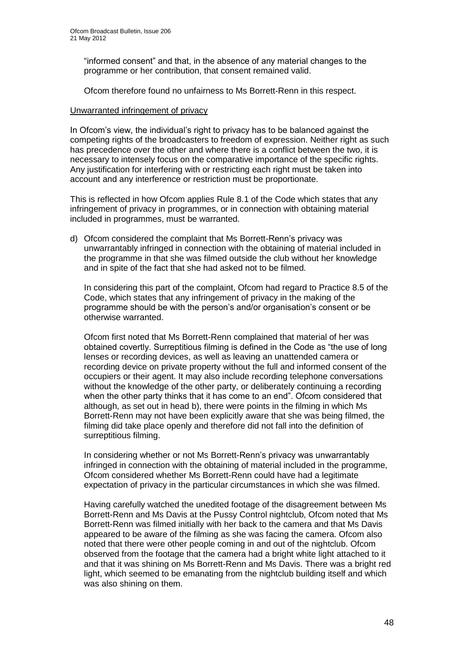"informed consent" and that, in the absence of any material changes to the programme or her contribution, that consent remained valid.

Ofcom therefore found no unfairness to Ms Borrett-Renn in this respect.

#### Unwarranted infringement of privacy

In Ofcom's view, the individual's right to privacy has to be balanced against the competing rights of the broadcasters to freedom of expression. Neither right as such has precedence over the other and where there is a conflict between the two, it is necessary to intensely focus on the comparative importance of the specific rights. Any justification for interfering with or restricting each right must be taken into account and any interference or restriction must be proportionate.

This is reflected in how Ofcom applies Rule 8.1 of the Code which states that any infringement of privacy in programmes, or in connection with obtaining material included in programmes, must be warranted.

d) Ofcom considered the complaint that Ms Borrett-Renn"s privacy was unwarrantably infringed in connection with the obtaining of material included in the programme in that she was filmed outside the club without her knowledge and in spite of the fact that she had asked not to be filmed.

In considering this part of the complaint, Ofcom had regard to Practice 8.5 of the Code, which states that any infringement of privacy in the making of the programme should be with the person"s and/or organisation"s consent or be otherwise warranted.

Ofcom first noted that Ms Borrett-Renn complained that material of her was obtained covertly. Surreptitious filming is defined in the Code as "the use of long lenses or recording devices, as well as leaving an unattended camera or recording device on private property without the full and informed consent of the occupiers or their agent. It may also include recording telephone conversations without the knowledge of the other party, or deliberately continuing a recording when the other party thinks that it has come to an end". Ofcom considered that although, as set out in head b), there were points in the filming in which Ms Borrett-Renn may not have been explicitly aware that she was being filmed, the filming did take place openly and therefore did not fall into the definition of surreptitious filming.

In considering whether or not Ms Borrett-Renn"s privacy was unwarrantably infringed in connection with the obtaining of material included in the programme, Ofcom considered whether Ms Borrett-Renn could have had a legitimate expectation of privacy in the particular circumstances in which she was filmed.

Having carefully watched the unedited footage of the disagreement between Ms Borrett-Renn and Ms Davis at the Pussy Control nightclub, Ofcom noted that Ms Borrett-Renn was filmed initially with her back to the camera and that Ms Davis appeared to be aware of the filming as she was facing the camera. Ofcom also noted that there were other people coming in and out of the nightclub. Ofcom observed from the footage that the camera had a bright white light attached to it and that it was shining on Ms Borrett-Renn and Ms Davis. There was a bright red light, which seemed to be emanating from the nightclub building itself and which was also shining on them.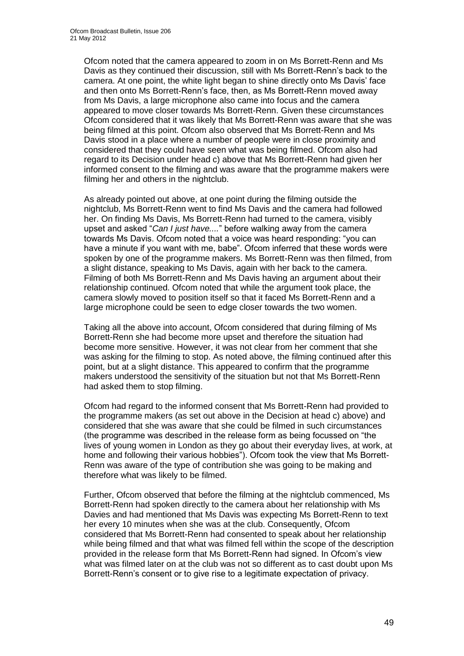Ofcom noted that the camera appeared to zoom in on Ms Borrett-Renn and Ms Davis as they continued their discussion, still with Ms Borrett-Renn"s back to the camera. At one point, the white light began to shine directly onto Ms Davis" face and then onto Ms Borrett-Renn"s face, then, as Ms Borrett-Renn moved away from Ms Davis, a large microphone also came into focus and the camera appeared to move closer towards Ms Borrett-Renn. Given these circumstances Ofcom considered that it was likely that Ms Borrett-Renn was aware that she was being filmed at this point. Ofcom also observed that Ms Borrett-Renn and Ms Davis stood in a place where a number of people were in close proximity and considered that they could have seen what was being filmed. Ofcom also had regard to its Decision under head c) above that Ms Borrett-Renn had given her informed consent to the filming and was aware that the programme makers were filming her and others in the nightclub.

As already pointed out above, at one point during the filming outside the nightclub, Ms Borrett-Renn went to find Ms Davis and the camera had followed her. On finding Ms Davis, Ms Borrett-Renn had turned to the camera, visibly upset and asked "*Can I just have....*" before walking away from the camera towards Ms Davis. Ofcom noted that a voice was heard responding: "you can have a minute if you want with me, babe". Ofcom inferred that these words were spoken by one of the programme makers. Ms Borrett-Renn was then filmed, from a slight distance, speaking to Ms Davis, again with her back to the camera. Filming of both Ms Borrett-Renn and Ms Davis having an argument about their relationship continued. Ofcom noted that while the argument took place, the camera slowly moved to position itself so that it faced Ms Borrett-Renn and a large microphone could be seen to edge closer towards the two women.

Taking all the above into account, Ofcom considered that during filming of Ms Borrett-Renn she had become more upset and therefore the situation had become more sensitive. However, it was not clear from her comment that she was asking for the filming to stop. As noted above, the filming continued after this point, but at a slight distance. This appeared to confirm that the programme makers understood the sensitivity of the situation but not that Ms Borrett-Renn had asked them to stop filming.

Ofcom had regard to the informed consent that Ms Borrett-Renn had provided to the programme makers (as set out above in the Decision at head c) above) and considered that she was aware that she could be filmed in such circumstances (the programme was described in the release form as being focussed on "the lives of young women in London as they go about their everyday lives, at work, at home and following their various hobbies"). Ofcom took the view that Ms Borrett-Renn was aware of the type of contribution she was going to be making and therefore what was likely to be filmed.

Further, Ofcom observed that before the filming at the nightclub commenced, Ms Borrett-Renn had spoken directly to the camera about her relationship with Ms Davies and had mentioned that Ms Davis was expecting Ms Borrett-Renn to text her every 10 minutes when she was at the club. Consequently, Ofcom considered that Ms Borrett-Renn had consented to speak about her relationship while being filmed and that what was filmed fell within the scope of the description provided in the release form that Ms Borrett-Renn had signed. In Ofcom"s view what was filmed later on at the club was not so different as to cast doubt upon Ms Borrett-Renn"s consent or to give rise to a legitimate expectation of privacy.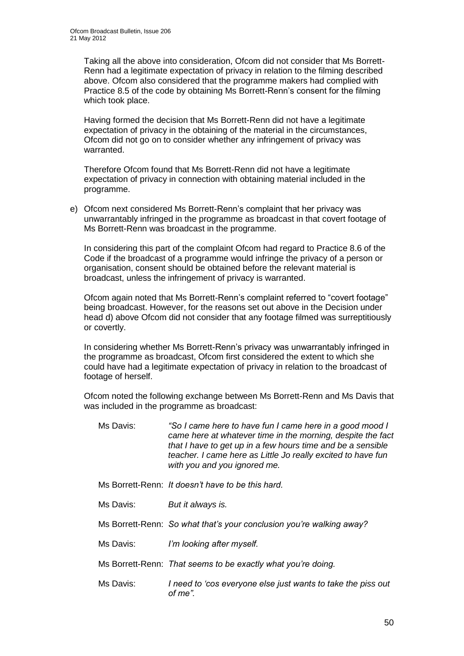Taking all the above into consideration, Ofcom did not consider that Ms Borrett-Renn had a legitimate expectation of privacy in relation to the filming described above. Ofcom also considered that the programme makers had complied with Practice 8.5 of the code by obtaining Ms Borrett-Renn"s consent for the filming which took place.

Having formed the decision that Ms Borrett-Renn did not have a legitimate expectation of privacy in the obtaining of the material in the circumstances, Ofcom did not go on to consider whether any infringement of privacy was warranted.

Therefore Ofcom found that Ms Borrett-Renn did not have a legitimate expectation of privacy in connection with obtaining material included in the programme.

e) Ofcom next considered Ms Borrett-Renn"s complaint that her privacy was unwarrantably infringed in the programme as broadcast in that covert footage of Ms Borrett-Renn was broadcast in the programme.

In considering this part of the complaint Ofcom had regard to Practice 8.6 of the Code if the broadcast of a programme would infringe the privacy of a person or organisation, consent should be obtained before the relevant material is broadcast, unless the infringement of privacy is warranted.

Ofcom again noted that Ms Borrett-Renn"s complaint referred to "covert footage" being broadcast. However, for the reasons set out above in the Decision under head d) above Ofcom did not consider that any footage filmed was surreptitiously or covertly.

In considering whether Ms Borrett-Renn"s privacy was unwarrantably infringed in the programme as broadcast, Ofcom first considered the extent to which she could have had a legitimate expectation of privacy in relation to the broadcast of footage of herself.

Ofcom noted the following exchange between Ms Borrett-Renn and Ms Davis that was included in the programme as broadcast:

- Ms Davis: *"So I came here to have fun I came here in a good mood I came here at whatever time in the morning, despite the fact that I have to get up in a few hours time and be a sensible teacher. I came here as Little Jo really excited to have fun with you and you ignored me.*
- Ms Borrett-Renn: *It doesn"t have to be this hard.*
- Ms Davis: *But it always is.*
- Ms Borrett-Renn: *So what that"s your conclusion you"re walking away?*
- Ms Davis: *I"m looking after myself.*

Ms Borrett-Renn: *That seems to be exactly what you"re doing.*

Ms Davis: *I need to "cos everyone else just wants to take the piss out of me".*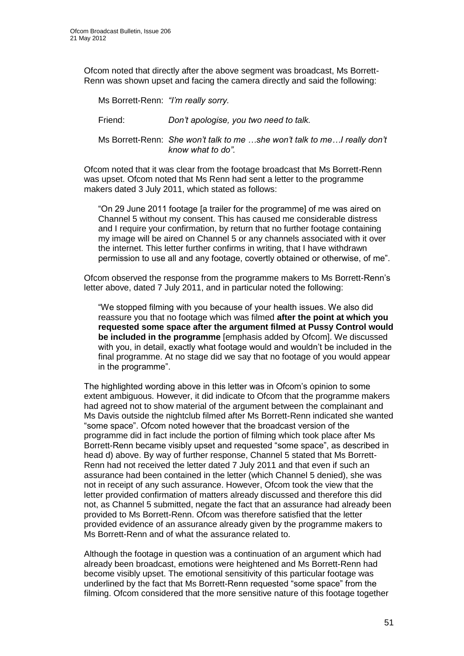Ofcom noted that directly after the above segment was broadcast, Ms Borrett-Renn was shown upset and facing the camera directly and said the following:

Ms Borrett-Renn: *"I"m really sorry.* Friend: *Don"t apologise, you two need to talk.* Ms Borrett-Renn: *She won"t talk to me …she won"t talk to me…I really don"t know what to do".*

Ofcom noted that it was clear from the footage broadcast that Ms Borrett-Renn was upset. Ofcom noted that Ms Renn had sent a letter to the programme makers dated 3 July 2011, which stated as follows:

"On 29 June 2011 footage [a trailer for the programme] of me was aired on Channel 5 without my consent. This has caused me considerable distress and I require your confirmation, by return that no further footage containing my image will be aired on Channel 5 or any channels associated with it over the internet. This letter further confirms in writing, that I have withdrawn permission to use all and any footage, covertly obtained or otherwise, of me".

Ofcom observed the response from the programme makers to Ms Borrett-Renn"s letter above, dated 7 July 2011, and in particular noted the following:

"We stopped filming with you because of your health issues. We also did reassure you that no footage which was filmed **after the point at which you requested some space after the argument filmed at Pussy Control would be included in the programme** [emphasis added by Ofcom]. We discussed with you, in detail, exactly what footage would and wouldn"t be included in the final programme. At no stage did we say that no footage of you would appear in the programme".

The highlighted wording above in this letter was in Ofcom"s opinion to some extent ambiguous. However, it did indicate to Ofcom that the programme makers had agreed not to show material of the argument between the complainant and Ms Davis outside the nightclub filmed after Ms Borrett-Renn indicated she wanted "some space". Ofcom noted however that the broadcast version of the programme did in fact include the portion of filming which took place after Ms Borrett-Renn became visibly upset and requested "some space", as described in head d) above. By way of further response, Channel 5 stated that Ms Borrett-Renn had not received the letter dated 7 July 2011 and that even if such an assurance had been contained in the letter (which Channel 5 denied), she was not in receipt of any such assurance. However, Ofcom took the view that the letter provided confirmation of matters already discussed and therefore this did not, as Channel 5 submitted, negate the fact that an assurance had already been provided to Ms Borrett-Renn. Ofcom was therefore satisfied that the letter provided evidence of an assurance already given by the programme makers to Ms Borrett-Renn and of what the assurance related to.

Although the footage in question was a continuation of an argument which had already been broadcast, emotions were heightened and Ms Borrett-Renn had become visibly upset. The emotional sensitivity of this particular footage was underlined by the fact that Ms Borrett-Renn requested "some space" from the filming. Ofcom considered that the more sensitive nature of this footage together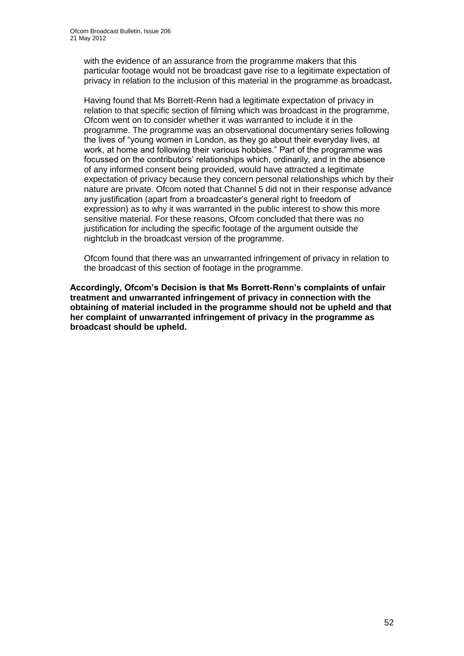with the evidence of an assurance from the programme makers that this particular footage would not be broadcast gave rise to a legitimate expectation of privacy in relation to the inclusion of this material in the programme as broadcast**.** 

Having found that Ms Borrett-Renn had a legitimate expectation of privacy in relation to that specific section of filming which was broadcast in the programme, Ofcom went on to consider whether it was warranted to include it in the programme. The programme was an observational documentary series following the lives of "young women in London, as they go about their everyday lives, at work, at home and following their various hobbies." Part of the programme was focussed on the contributors" relationships which, ordinarily, and in the absence of any informed consent being provided, would have attracted a legitimate expectation of privacy because they concern personal relationships which by their nature are private. Ofcom noted that Channel 5 did not in their response advance any justification (apart from a broadcaster"s general right to freedom of expression) as to why it was warranted in the public interest to show this more sensitive material. For these reasons, Ofcom concluded that there was no justification for including the specific footage of the argument outside the nightclub in the broadcast version of the programme.

Ofcom found that there was an unwarranted infringement of privacy in relation to the broadcast of this section of footage in the programme.

**Accordingly, Ofcom's Decision is that Ms Borrett-Renn's complaints of unfair treatment and unwarranted infringement of privacy in connection with the obtaining of material included in the programme should not be upheld and that her complaint of unwarranted infringement of privacy in the programme as broadcast should be upheld.**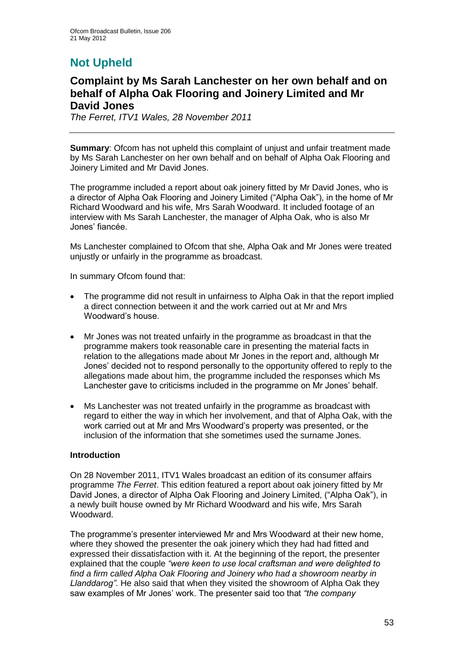# **Not Upheld**

### **Complaint by Ms Sarah Lanchester on her own behalf and on behalf of Alpha Oak Flooring and Joinery Limited and Mr David Jones**

*The Ferret, ITV1 Wales, 28 November 2011*

**Summary:** Ofcom has not upheld this complaint of unjust and unfair treatment made by Ms Sarah Lanchester on her own behalf and on behalf of Alpha Oak Flooring and Joinery Limited and Mr David Jones.

The programme included a report about oak joinery fitted by Mr David Jones, who is a director of Alpha Oak Flooring and Joinery Limited ("Alpha Oak"), in the home of Mr Richard Woodward and his wife, Mrs Sarah Woodward. It included footage of an interview with Ms Sarah Lanchester, the manager of Alpha Oak, who is also Mr Jones" fiancée.

Ms Lanchester complained to Ofcom that she, Alpha Oak and Mr Jones were treated unjustly or unfairly in the programme as broadcast.

In summary Ofcom found that:

- The programme did not result in unfairness to Alpha Oak in that the report implied a direct connection between it and the work carried out at Mr and Mrs Woodward"s house.
- Mr Jones was not treated unfairly in the programme as broadcast in that the programme makers took reasonable care in presenting the material facts in relation to the allegations made about Mr Jones in the report and, although Mr Jones" decided not to respond personally to the opportunity offered to reply to the allegations made about him, the programme included the responses which Ms Lanchester gave to criticisms included in the programme on Mr Jones" behalf.
- Ms Lanchester was not treated unfairly in the programme as broadcast with regard to either the way in which her involvement, and that of Alpha Oak, with the work carried out at Mr and Mrs Woodward"s property was presented, or the inclusion of the information that she sometimes used the surname Jones.

#### **Introduction**

On 28 November 2011, ITV1 Wales broadcast an edition of its consumer affairs programme *The Ferret*. This edition featured a report about oak joinery fitted by Mr David Jones, a director of Alpha Oak Flooring and Joinery Limited, ("Alpha Oak"), in a newly built house owned by Mr Richard Woodward and his wife, Mrs Sarah Woodward.

The programme"s presenter interviewed Mr and Mrs Woodward at their new home, where they showed the presenter the oak joinery which they had had fitted and expressed their dissatisfaction with it. At the beginning of the report, the presenter explained that the couple *"were keen to use local craftsman and were delighted to find a firm called Alpha Oak Flooring and Joinery who had a showroom nearby in Llanddarog"*. He also said that when they visited the showroom of Alpha Oak they saw examples of Mr Jones" work. The presenter said too that *"the company*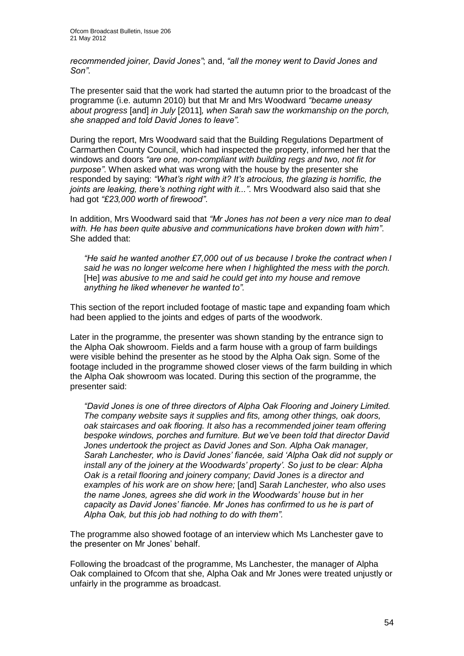*recommended joiner, David Jones"*; and, *"all the money went to David Jones and Son"*.

The presenter said that the work had started the autumn prior to the broadcast of the programme (i.e. autumn 2010) but that Mr and Mrs Woodward *"became uneasy about progress* [and] *in July* [2011]*, when Sarah saw the workmanship on the porch, she snapped and told David Jones to leave"*.

During the report, Mrs Woodward said that the Building Regulations Department of Carmarthen County Council, which had inspected the property, informed her that the windows and doors *"are one, non-compliant with building regs and two, not fit for purpose"*. When asked what was wrong with the house by the presenter she responded by saying: *"What"s right with it? It"s atrocious, the glazing is horrific, the joints are leaking, there"s nothing right with it..."*. Mrs Woodward also said that she had got *"£23,000 worth of firewood"*.

In addition, Mrs Woodward said that *"Mr Jones has not been a very nice man to deal with. He has been quite abusive and communications have broken down with him"*. She added that:

*"He said he wanted another £7,000 out of us because I broke the contract when I said he was no longer welcome here when I highlighted the mess with the porch.*  [He] *was abusive to me and said he could get into my house and remove anything he liked whenever he wanted to".*

This section of the report included footage of mastic tape and expanding foam which had been applied to the joints and edges of parts of the woodwork.

Later in the programme, the presenter was shown standing by the entrance sign to the Alpha Oak showroom. Fields and a farm house with a group of farm buildings were visible behind the presenter as he stood by the Alpha Oak sign. Some of the footage included in the programme showed closer views of the farm building in which the Alpha Oak showroom was located. During this section of the programme, the presenter said:

*"David Jones is one of three directors of Alpha Oak Flooring and Joinery Limited. The company website says it supplies and fits, among other things, oak doors, oak staircases and oak flooring. It also has a recommended joiner team offering bespoke windows, porches and furniture. But we"ve been told that director David Jones undertook the project as David Jones and Son. Alpha Oak manager, Sarah Lanchester, who is David Jones" fiancée, said "Alpha Oak did not supply or install any of the joinery at the Woodwards" property". So just to be clear: Alpha Oak is a retail flooring and joinery company; David Jones is a director and examples of his work are on show here;* [and] *Sarah Lanchester, who also uses the name Jones, agrees she did work in the Woodwards" house but in her capacity as David Jones" fiancée. Mr Jones has confirmed to us he is part of Alpha Oak, but this job had nothing to do with them".* 

The programme also showed footage of an interview which Ms Lanchester gave to the presenter on Mr Jones' behalf.

Following the broadcast of the programme, Ms Lanchester, the manager of Alpha Oak complained to Ofcom that she, Alpha Oak and Mr Jones were treated unjustly or unfairly in the programme as broadcast.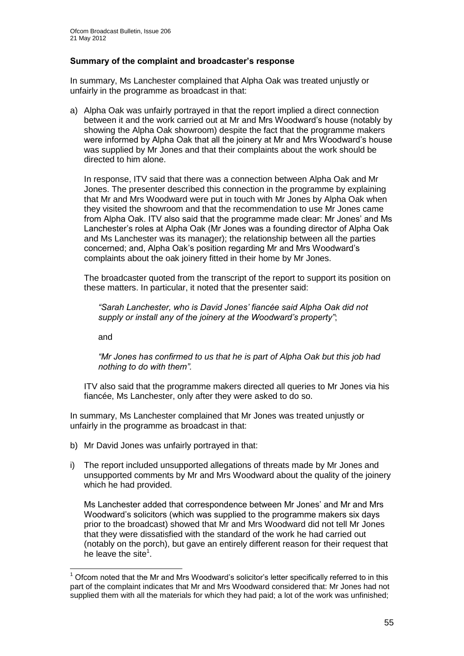#### **Summary of the complaint and broadcaster's response**

In summary, Ms Lanchester complained that Alpha Oak was treated unjustly or unfairly in the programme as broadcast in that:

a) Alpha Oak was unfairly portrayed in that the report implied a direct connection between it and the work carried out at Mr and Mrs Woodward"s house (notably by showing the Alpha Oak showroom) despite the fact that the programme makers were informed by Alpha Oak that all the joinery at Mr and Mrs Woodward"s house was supplied by Mr Jones and that their complaints about the work should be directed to him alone.

In response, ITV said that there was a connection between Alpha Oak and Mr Jones. The presenter described this connection in the programme by explaining that Mr and Mrs Woodward were put in touch with Mr Jones by Alpha Oak when they visited the showroom and that the recommendation to use Mr Jones came from Alpha Oak. ITV also said that the programme made clear: Mr Jones" and Ms Lanchester"s roles at Alpha Oak (Mr Jones was a founding director of Alpha Oak and Ms Lanchester was its manager); the relationship between all the parties concerned; and, Alpha Oak"s position regarding Mr and Mrs Woodward"s complaints about the oak joinery fitted in their home by Mr Jones.

The broadcaster quoted from the transcript of the report to support its position on these matters. In particular, it noted that the presenter said:

*"Sarah Lanchester, who is David Jones" fiancée said Alpha Oak did not supply or install any of the joinery at the Woodward"s property"*;

and

1

*"Mr Jones has confirmed to us that he is part of Alpha Oak but this job had nothing to do with them".*

ITV also said that the programme makers directed all queries to Mr Jones via his fiancée, Ms Lanchester, only after they were asked to do so.

In summary, Ms Lanchester complained that Mr Jones was treated unjustly or unfairly in the programme as broadcast in that:

- b) Mr David Jones was unfairly portrayed in that:
- i) The report included unsupported allegations of threats made by Mr Jones and unsupported comments by Mr and Mrs Woodward about the quality of the joinery which he had provided.

Ms Lanchester added that correspondence between Mr Jones" and Mr and Mrs Woodward"s solicitors (which was supplied to the programme makers six days prior to the broadcast) showed that Mr and Mrs Woodward did not tell Mr Jones that they were dissatisfied with the standard of the work he had carried out (notably on the porch), but gave an entirely different reason for their request that he leave the site $1$ .

 $<sup>1</sup>$  Ofcom noted that the Mr and Mrs Woodward's solicitor's letter specifically referred to in this</sup> part of the complaint indicates that Mr and Mrs Woodward considered that: Mr Jones had not supplied them with all the materials for which they had paid; a lot of the work was unfinished;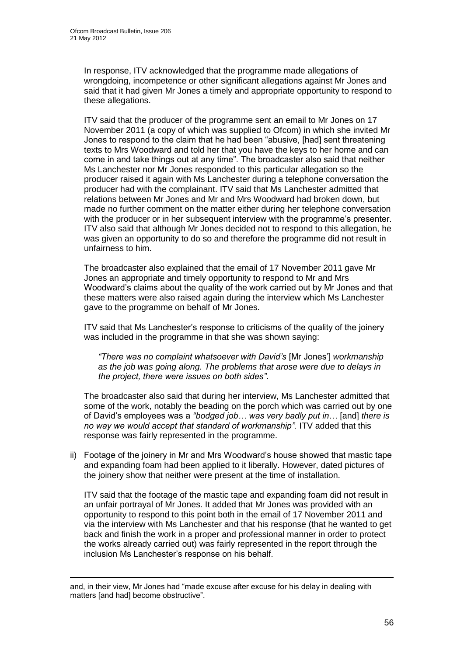In response, ITV acknowledged that the programme made allegations of wrongdoing, incompetence or other significant allegations against Mr Jones and said that it had given Mr Jones a timely and appropriate opportunity to respond to these allegations.

ITV said that the producer of the programme sent an email to Mr Jones on 17 November 2011 (a copy of which was supplied to Ofcom) in which she invited Mr Jones to respond to the claim that he had been "abusive, [had] sent threatening texts to Mrs Woodward and told her that you have the keys to her home and can come in and take things out at any time". The broadcaster also said that neither Ms Lanchester nor Mr Jones responded to this particular allegation so the producer raised it again with Ms Lanchester during a telephone conversation the producer had with the complainant. ITV said that Ms Lanchester admitted that relations between Mr Jones and Mr and Mrs Woodward had broken down, but made no further comment on the matter either during her telephone conversation with the producer or in her subsequent interview with the programme's presenter. ITV also said that although Mr Jones decided not to respond to this allegation, he was given an opportunity to do so and therefore the programme did not result in unfairness to him.

The broadcaster also explained that the email of 17 November 2011 gave Mr Jones an appropriate and timely opportunity to respond to Mr and Mrs Woodward"s claims about the quality of the work carried out by Mr Jones and that these matters were also raised again during the interview which Ms Lanchester gave to the programme on behalf of Mr Jones.

ITV said that Ms Lanchester"s response to criticisms of the quality of the joinery was included in the programme in that she was shown saying:

*"There was no complaint whatsoever with David"s* [Mr Jones"] *workmanship as the job was going along. The problems that arose were due to delays in the project, there were issues on both sides"*.

The broadcaster also said that during her interview, Ms Lanchester admitted that some of the work, notably the beading on the porch which was carried out by one of David"s employees was a *"bodged job… was very badly put in…* [and] *there is no way we would accept that standard of workmanship".* ITV added that this response was fairly represented in the programme.

ii) Footage of the joinery in Mr and Mrs Woodward"s house showed that mastic tape and expanding foam had been applied to it liberally. However, dated pictures of the joinery show that neither were present at the time of installation.

ITV said that the footage of the mastic tape and expanding foam did not result in an unfair portrayal of Mr Jones. It added that Mr Jones was provided with an opportunity to respond to this point both in the email of 17 November 2011 and via the interview with Ms Lanchester and that his response (that he wanted to get back and finish the work in a proper and professional manner in order to protect the works already carried out) was fairly represented in the report through the inclusion Ms Lanchester"s response on his behalf.

1

and, in their view, Mr Jones had "made excuse after excuse for his delay in dealing with matters [and had] become obstructive".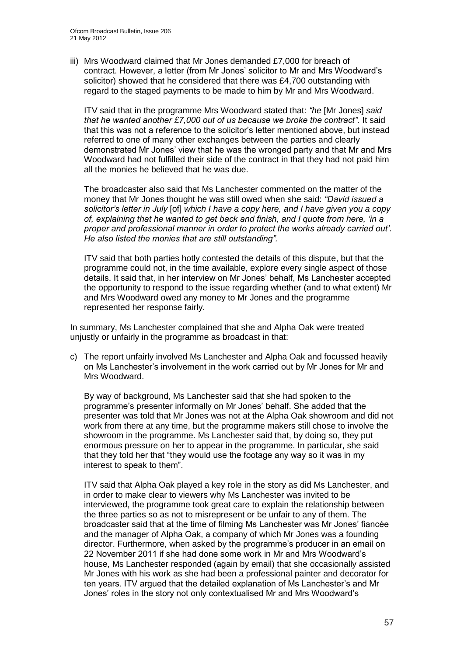iii) Mrs Woodward claimed that Mr Jones demanded £7,000 for breach of contract. However, a letter (from Mr Jones" solicitor to Mr and Mrs Woodward"s solicitor) showed that he considered that there was £4,700 outstanding with regard to the staged payments to be made to him by Mr and Mrs Woodward.

ITV said that in the programme Mrs Woodward stated that: *"he* [Mr Jones] *said that he wanted another £7,000 out of us because we broke the contract".* It said that this was not a reference to the solicitor"s letter mentioned above, but instead referred to one of many other exchanges between the parties and clearly demonstrated Mr Jones" view that he was the wronged party and that Mr and Mrs Woodward had not fulfilled their side of the contract in that they had not paid him all the monies he believed that he was due.

The broadcaster also said that Ms Lanchester commented on the matter of the money that Mr Jones thought he was still owed when she said: *"David issued a solicitor"s letter in July* [of] *which I have a copy here, and I have given you a copy of, explaining that he wanted to get back and finish, and I quote from here, "in a proper and professional manner in order to protect the works already carried out"*. *He also listed the monies that are still outstanding".*

ITV said that both parties hotly contested the details of this dispute, but that the programme could not, in the time available, explore every single aspect of those details. It said that, in her interview on Mr Jones" behalf, Ms Lanchester accepted the opportunity to respond to the issue regarding whether (and to what extent) Mr and Mrs Woodward owed any money to Mr Jones and the programme represented her response fairly.

In summary, Ms Lanchester complained that she and Alpha Oak were treated unjustly or unfairly in the programme as broadcast in that:

c) The report unfairly involved Ms Lanchester and Alpha Oak and focussed heavily on Ms Lanchester"s involvement in the work carried out by Mr Jones for Mr and Mrs Woodward.

By way of background, Ms Lanchester said that she had spoken to the programme"s presenter informally on Mr Jones" behalf. She added that the presenter was told that Mr Jones was not at the Alpha Oak showroom and did not work from there at any time, but the programme makers still chose to involve the showroom in the programme. Ms Lanchester said that, by doing so, they put enormous pressure on her to appear in the programme. In particular, she said that they told her that "they would use the footage any way so it was in my interest to speak to them".

ITV said that Alpha Oak played a key role in the story as did Ms Lanchester, and in order to make clear to viewers why Ms Lanchester was invited to be interviewed, the programme took great care to explain the relationship between the three parties so as not to misrepresent or be unfair to any of them. The broadcaster said that at the time of filming Ms Lanchester was Mr Jones" fiancée and the manager of Alpha Oak, a company of which Mr Jones was a founding director. Furthermore, when asked by the programme"s producer in an email on 22 November 2011 if she had done some work in Mr and Mrs Woodward"s house, Ms Lanchester responded (again by email) that she occasionally assisted Mr Jones with his work as she had been a professional painter and decorator for ten years. ITV argued that the detailed explanation of Ms Lanchester"s and Mr Jones" roles in the story not only contextualised Mr and Mrs Woodward"s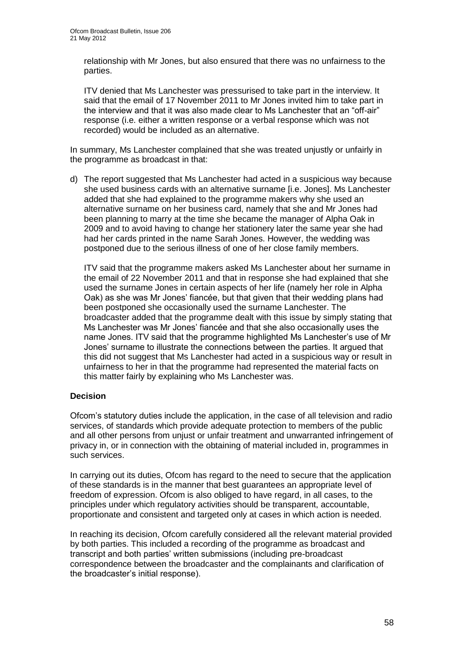relationship with Mr Jones, but also ensured that there was no unfairness to the parties.

ITV denied that Ms Lanchester was pressurised to take part in the interview. It said that the email of 17 November 2011 to Mr Jones invited him to take part in the interview and that it was also made clear to Ms Lanchester that an "off-air" response (i.e. either a written response or a verbal response which was not recorded) would be included as an alternative.

In summary, Ms Lanchester complained that she was treated unjustly or unfairly in the programme as broadcast in that:

d) The report suggested that Ms Lanchester had acted in a suspicious way because she used business cards with an alternative surname [i.e. Jones]. Ms Lanchester added that she had explained to the programme makers why she used an alternative surname on her business card, namely that she and Mr Jones had been planning to marry at the time she became the manager of Alpha Oak in 2009 and to avoid having to change her stationery later the same year she had had her cards printed in the name Sarah Jones. However, the wedding was postponed due to the serious illness of one of her close family members.

ITV said that the programme makers asked Ms Lanchester about her surname in the email of 22 November 2011 and that in response she had explained that she used the surname Jones in certain aspects of her life (namely her role in Alpha Oak) as she was Mr Jones" fiancée, but that given that their wedding plans had been postponed she occasionally used the surname Lanchester. The broadcaster added that the programme dealt with this issue by simply stating that Ms Lanchester was Mr Jones" fiancée and that she also occasionally uses the name Jones. ITV said that the programme highlighted Ms Lanchester's use of Mr Jones" surname to illustrate the connections between the parties. It argued that this did not suggest that Ms Lanchester had acted in a suspicious way or result in unfairness to her in that the programme had represented the material facts on this matter fairly by explaining who Ms Lanchester was.

#### **Decision**

Ofcom"s statutory duties include the application, in the case of all television and radio services, of standards which provide adequate protection to members of the public and all other persons from unjust or unfair treatment and unwarranted infringement of privacy in, or in connection with the obtaining of material included in, programmes in such services.

In carrying out its duties, Ofcom has regard to the need to secure that the application of these standards is in the manner that best guarantees an appropriate level of freedom of expression. Ofcom is also obliged to have regard, in all cases, to the principles under which regulatory activities should be transparent, accountable, proportionate and consistent and targeted only at cases in which action is needed.

In reaching its decision, Ofcom carefully considered all the relevant material provided by both parties. This included a recording of the programme as broadcast and transcript and both parties" written submissions (including pre-broadcast correspondence between the broadcaster and the complainants and clarification of the broadcaster"s initial response).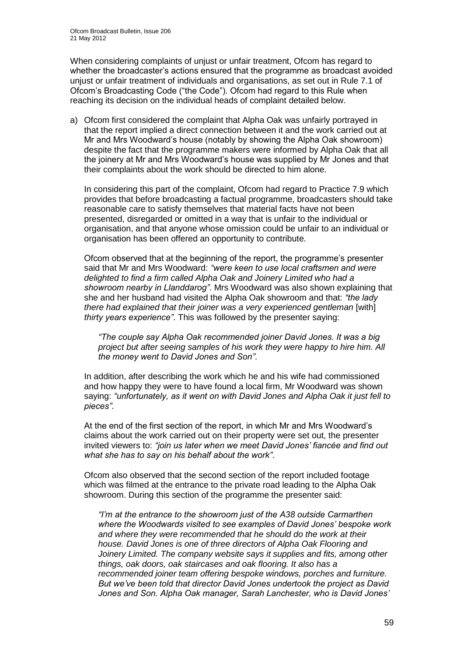When considering complaints of unjust or unfair treatment, Ofcom has regard to whether the broadcaster"s actions ensured that the programme as broadcast avoided unjust or unfair treatment of individuals and organisations, as set out in Rule 7.1 of Ofcom"s Broadcasting Code ("the Code"). Ofcom had regard to this Rule when reaching its decision on the individual heads of complaint detailed below.

a) Ofcom first considered the complaint that Alpha Oak was unfairly portrayed in that the report implied a direct connection between it and the work carried out at Mr and Mrs Woodward"s house (notably by showing the Alpha Oak showroom) despite the fact that the programme makers were informed by Alpha Oak that all the joinery at Mr and Mrs Woodward"s house was supplied by Mr Jones and that their complaints about the work should be directed to him alone.

In considering this part of the complaint, Ofcom had regard to Practice 7.9 which provides that before broadcasting a factual programme, broadcasters should take reasonable care to satisfy themselves that material facts have not been presented, disregarded or omitted in a way that is unfair to the individual or organisation, and that anyone whose omission could be unfair to an individual or organisation has been offered an opportunity to contribute.

Ofcom observed that at the beginning of the report, the programme"s presenter said that Mr and Mrs Woodward: *"were keen to use local craftsmen and were delighted to find a firm called Alpha Oak and Joinery Limited who had a showroom nearby in Llanddarog"*. Mrs Woodward was also shown explaining that she and her husband had visited the Alpha Oak showroom and that: *"the lady there had explained that their joiner was a very experienced gentleman* [with] *thirty years experience"*. This was followed by the presenter saying:

*"The couple say Alpha Oak recommended joiner David Jones. It was a big project but after seeing samples of his work they were happy to hire him. All the money went to David Jones and Son"*.

In addition, after describing the work which he and his wife had commissioned and how happy they were to have found a local firm, Mr Woodward was shown saying: *"unfortunately, as it went on with David Jones and Alpha Oak it just fell to pieces"*.

At the end of the first section of the report, in which Mr and Mrs Woodward"s claims about the work carried out on their property were set out, the presenter invited viewers to: *"join us later when we meet David Jones" fiancée and find out what she has to say on his behalf about the work"*.

Ofcom also observed that the second section of the report included footage which was filmed at the entrance to the private road leading to the Alpha Oak showroom. During this section of the programme the presenter said:

*"I"m at the entrance to the showroom just of the A38 outside Carmarthen where the Woodwards visited to see examples of David Jones" bespoke work and where they were recommended that he should do the work at their house. David Jones is one of three directors of Alpha Oak Flooring and Joinery Limited. The company website says it supplies and fits, among other things, oak doors, oak staircases and oak flooring. It also has a recommended joiner team offering bespoke windows, porches and furniture. But we"ve been told that director David Jones undertook the project as David Jones and Son. Alpha Oak manager, Sarah Lanchester, who is David Jones"*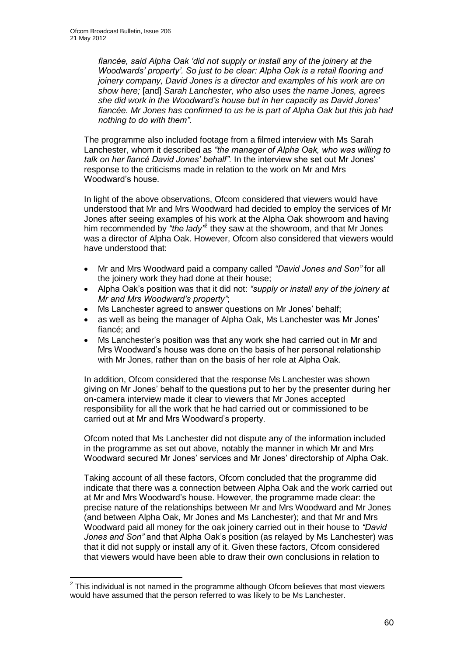1

*fiancée, said Alpha Oak "did not supply or install any of the joinery at the Woodwards" property". So just to be clear: Alpha Oak is a retail flooring and joinery company, David Jones is a director and examples of his work are on show here;* [and] *Sarah Lanchester, who also uses the name Jones, agrees she did work in the Woodward"s house but in her capacity as David Jones" fiancée. Mr Jones has confirmed to us he is part of Alpha Oak but this job had nothing to do with them".* 

The programme also included footage from a filmed interview with Ms Sarah Lanchester, whom it described as *"the manager of Alpha Oak, who was willing to talk on her fiancé David Jones" behalf".* In the interview she set out Mr Jones" response to the criticisms made in relation to the work on Mr and Mrs Woodward"s house.

In light of the above observations, Ofcom considered that viewers would have understood that Mr and Mrs Woodward had decided to employ the services of Mr Jones after seeing examples of his work at the Alpha Oak showroom and having him recommended by "the lady"<sup>2</sup> they saw at the showroom, and that Mr Jones was a director of Alpha Oak. However, Ofcom also considered that viewers would have understood that:

- Mr and Mrs Woodward paid a company called *"David Jones and Son"* for all the joinery work they had done at their house;
- Alpha Oak"s position was that it did not: *"supply or install any of the joinery at Mr and Mrs Woodward"s property"*;
- Ms Lanchester agreed to answer questions on Mr Jones' behalf;
- as well as being the manager of Alpha Oak, Ms Lanchester was Mr Jones" fiancé; and
- Ms Lanchester"s position was that any work she had carried out in Mr and Mrs Woodward"s house was done on the basis of her personal relationship with Mr Jones, rather than on the basis of her role at Alpha Oak.

In addition, Ofcom considered that the response Ms Lanchester was shown giving on Mr Jones" behalf to the questions put to her by the presenter during her on-camera interview made it clear to viewers that Mr Jones accepted responsibility for all the work that he had carried out or commissioned to be carried out at Mr and Mrs Woodward"s property.

Ofcom noted that Ms Lanchester did not dispute any of the information included in the programme as set out above, notably the manner in which Mr and Mrs Woodward secured Mr Jones" services and Mr Jones" directorship of Alpha Oak.

Taking account of all these factors, Ofcom concluded that the programme did indicate that there was a connection between Alpha Oak and the work carried out at Mr and Mrs Woodward"s house. However, the programme made clear: the precise nature of the relationships between Mr and Mrs Woodward and Mr Jones (and between Alpha Oak, Mr Jones and Ms Lanchester); and that Mr and Mrs Woodward paid all money for the oak joinery carried out in their house to *"David Jones and Son"* and that Alpha Oak"s position (as relayed by Ms Lanchester) was that it did not supply or install any of it. Given these factors, Ofcom considered that viewers would have been able to draw their own conclusions in relation to

 $2$  This individual is not named in the programme although Ofcom believes that most viewers would have assumed that the person referred to was likely to be Ms Lanchester.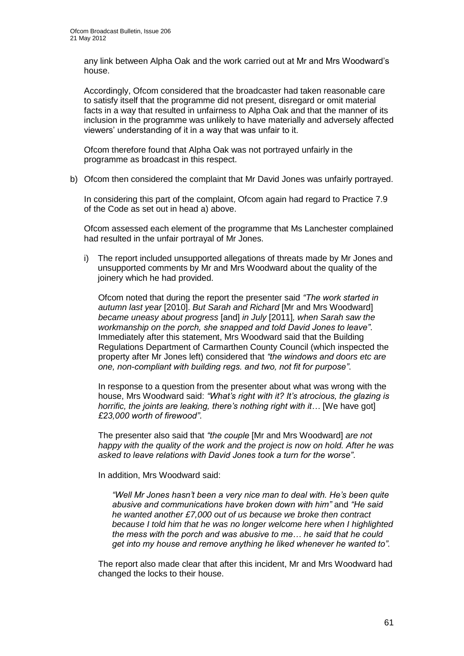any link between Alpha Oak and the work carried out at Mr and Mrs Woodward"s house.

Accordingly, Ofcom considered that the broadcaster had taken reasonable care to satisfy itself that the programme did not present, disregard or omit material facts in a way that resulted in unfairness to Alpha Oak and that the manner of its inclusion in the programme was unlikely to have materially and adversely affected viewers" understanding of it in a way that was unfair to it.

Ofcom therefore found that Alpha Oak was not portrayed unfairly in the programme as broadcast in this respect.

b) Ofcom then considered the complaint that Mr David Jones was unfairly portrayed.

In considering this part of the complaint, Ofcom again had regard to Practice 7.9 of the Code as set out in head a) above.

Ofcom assessed each element of the programme that Ms Lanchester complained had resulted in the unfair portrayal of Mr Jones.

i) The report included unsupported allegations of threats made by Mr Jones and unsupported comments by Mr and Mrs Woodward about the quality of the joinery which he had provided.

Ofcom noted that during the report the presenter said *"The work started in autumn last year* [2010]. *But Sarah and Richard* [Mr and Mrs Woodward] *became uneasy about progress* [and] *in July* [2011]*, when Sarah saw the workmanship on the porch, she snapped and told David Jones to leave"*. Immediately after this statement, Mrs Woodward said that the Building Regulations Department of Carmarthen County Council (which inspected the property after Mr Jones left) considered that *"the windows and doors etc are one, non-compliant with building regs. and two, not fit for purpose"*.

In response to a question from the presenter about what was wrong with the house, Mrs Woodward said: *"What"s right with it? It"s atrocious, the glazing is horrific, the joints are leaking, there's nothing right with it...* [We have got] *£23,000 worth of firewood"*.

The presenter also said that *"the couple* [Mr and Mrs Woodward] *are not happy with the quality of the work and the project is now on hold. After he was asked to leave relations with David Jones took a turn for the worse"*.

In addition, Mrs Woodward said:

*"Well Mr Jones hasn"t been a very nice man to deal with. He"s been quite abusive and communications have broken down with him"* and *"He said he wanted another £7,000 out of us because we broke then contract because I told him that he was no longer welcome here when I highlighted the mess with the porch and was abusive to me… he said that he could get into my house and remove anything he liked whenever he wanted to".*

The report also made clear that after this incident, Mr and Mrs Woodward had changed the locks to their house.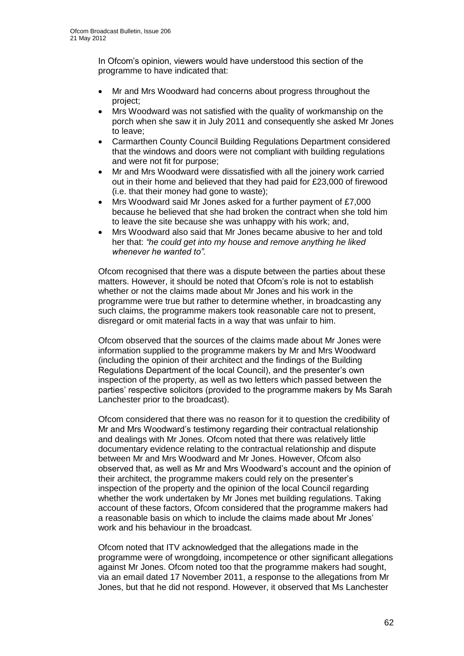In Ofcom"s opinion, viewers would have understood this section of the programme to have indicated that:

- Mr and Mrs Woodward had concerns about progress throughout the project;
- Mrs Woodward was not satisfied with the quality of workmanship on the porch when she saw it in July 2011 and consequently she asked Mr Jones to leave;
- Carmarthen County Council Building Regulations Department considered that the windows and doors were not compliant with building regulations and were not fit for purpose;
- Mr and Mrs Woodward were dissatisfied with all the joinery work carried out in their home and believed that they had paid for £23,000 of firewood (i.e. that their money had gone to waste);
- Mrs Woodward said Mr Jones asked for a further payment of £7,000 because he believed that she had broken the contract when she told him to leave the site because she was unhappy with his work; and,
- Mrs Woodward also said that Mr Jones became abusive to her and told her that: *"he could get into my house and remove anything he liked whenever he wanted to".*

Ofcom recognised that there was a dispute between the parties about these matters. However, it should be noted that Ofcom"s role is not to establish whether or not the claims made about Mr Jones and his work in the programme were true but rather to determine whether, in broadcasting any such claims, the programme makers took reasonable care not to present, disregard or omit material facts in a way that was unfair to him.

Ofcom observed that the sources of the claims made about Mr Jones were information supplied to the programme makers by Mr and Mrs Woodward (including the opinion of their architect and the findings of the Building Regulations Department of the local Council), and the presenter"s own inspection of the property, as well as two letters which passed between the parties' respective solicitors (provided to the programme makers by Ms Sarah Lanchester prior to the broadcast).

Ofcom considered that there was no reason for it to question the credibility of Mr and Mrs Woodward"s testimony regarding their contractual relationship and dealings with Mr Jones. Ofcom noted that there was relatively little documentary evidence relating to the contractual relationship and dispute between Mr and Mrs Woodward and Mr Jones. However, Ofcom also observed that, as well as Mr and Mrs Woodward"s account and the opinion of their architect, the programme makers could rely on the presenter"s inspection of the property and the opinion of the local Council regarding whether the work undertaken by Mr Jones met building regulations. Taking account of these factors, Ofcom considered that the programme makers had a reasonable basis on which to include the claims made about Mr Jones" work and his behaviour in the broadcast.

Ofcom noted that ITV acknowledged that the allegations made in the programme were of wrongdoing, incompetence or other significant allegations against Mr Jones. Ofcom noted too that the programme makers had sought, via an email dated 17 November 2011, a response to the allegations from Mr Jones, but that he did not respond. However, it observed that Ms Lanchester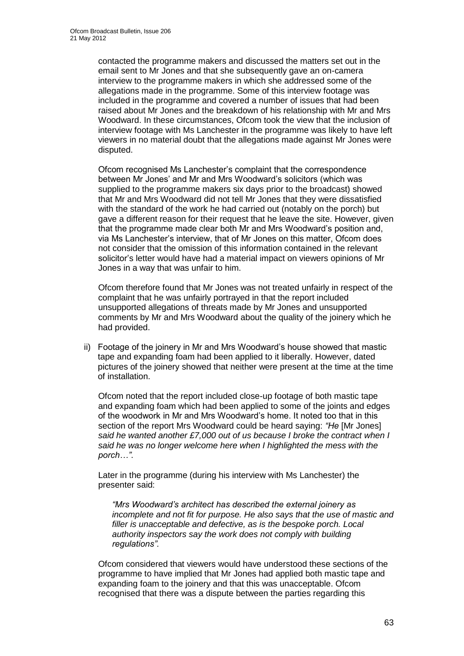contacted the programme makers and discussed the matters set out in the email sent to Mr Jones and that she subsequently gave an on-camera interview to the programme makers in which she addressed some of the allegations made in the programme. Some of this interview footage was included in the programme and covered a number of issues that had been raised about Mr Jones and the breakdown of his relationship with Mr and Mrs Woodward. In these circumstances, Ofcom took the view that the inclusion of interview footage with Ms Lanchester in the programme was likely to have left viewers in no material doubt that the allegations made against Mr Jones were disputed.

Ofcom recognised Ms Lanchester"s complaint that the correspondence between Mr Jones" and Mr and Mrs Woodward"s solicitors (which was supplied to the programme makers six days prior to the broadcast) showed that Mr and Mrs Woodward did not tell Mr Jones that they were dissatisfied with the standard of the work he had carried out (notably on the porch) but gave a different reason for their request that he leave the site. However, given that the programme made clear both Mr and Mrs Woodward"s position and, via Ms Lanchester"s interview, that of Mr Jones on this matter, Ofcom does not consider that the omission of this information contained in the relevant solicitor"s letter would have had a material impact on viewers opinions of Mr Jones in a way that was unfair to him.

Ofcom therefore found that Mr Jones was not treated unfairly in respect of the complaint that he was unfairly portrayed in that the report included unsupported allegations of threats made by Mr Jones and unsupported comments by Mr and Mrs Woodward about the quality of the joinery which he had provided.

ii) Footage of the joinery in Mr and Mrs Woodward"s house showed that mastic tape and expanding foam had been applied to it liberally. However, dated pictures of the joinery showed that neither were present at the time at the time of installation.

Ofcom noted that the report included close-up footage of both mastic tape and expanding foam which had been applied to some of the joints and edges of the woodwork in Mr and Mrs Woodward"s home. It noted too that in this section of the report Mrs Woodward could be heard saying: *"He* [Mr Jones] *said he wanted another £7,000 out of us because I broke the contract when I said he was no longer welcome here when I highlighted the mess with the porch…"*.

Later in the programme (during his interview with Ms Lanchester) the presenter said:

*"Mrs Woodward"s architect has described the external joinery as incomplete and not fit for purpose. He also says that the use of mastic and filler is unacceptable and defective, as is the bespoke porch. Local authority inspectors say the work does not comply with building regulations".*

Ofcom considered that viewers would have understood these sections of the programme to have implied that Mr Jones had applied both mastic tape and expanding foam to the joinery and that this was unacceptable. Ofcom recognised that there was a dispute between the parties regarding this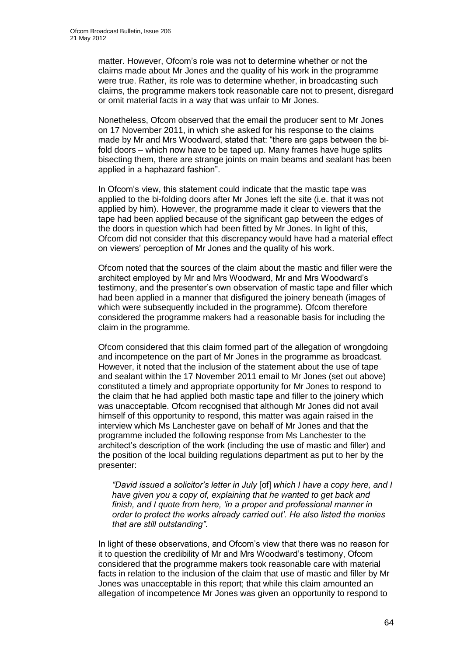matter. However, Ofcom"s role was not to determine whether or not the claims made about Mr Jones and the quality of his work in the programme were true. Rather, its role was to determine whether, in broadcasting such claims, the programme makers took reasonable care not to present, disregard or omit material facts in a way that was unfair to Mr Jones.

Nonetheless, Ofcom observed that the email the producer sent to Mr Jones on 17 November 2011, in which she asked for his response to the claims made by Mr and Mrs Woodward, stated that: "there are gaps between the bifold doors – which now have to be taped up. Many frames have huge splits bisecting them, there are strange joints on main beams and sealant has been applied in a haphazard fashion".

In Ofcom"s view, this statement could indicate that the mastic tape was applied to the bi-folding doors after Mr Jones left the site (i.e. that it was not applied by him). However, the programme made it clear to viewers that the tape had been applied because of the significant gap between the edges of the doors in question which had been fitted by Mr Jones. In light of this, Ofcom did not consider that this discrepancy would have had a material effect on viewers" perception of Mr Jones and the quality of his work.

Ofcom noted that the sources of the claim about the mastic and filler were the architect employed by Mr and Mrs Woodward, Mr and Mrs Woodward"s testimony, and the presenter"s own observation of mastic tape and filler which had been applied in a manner that disfigured the joinery beneath (images of which were subsequently included in the programme). Ofcom therefore considered the programme makers had a reasonable basis for including the claim in the programme.

Ofcom considered that this claim formed part of the allegation of wrongdoing and incompetence on the part of Mr Jones in the programme as broadcast. However, it noted that the inclusion of the statement about the use of tape and sealant within the 17 November 2011 email to Mr Jones (set out above) constituted a timely and appropriate opportunity for Mr Jones to respond to the claim that he had applied both mastic tape and filler to the joinery which was unacceptable. Ofcom recognised that although Mr Jones did not avail himself of this opportunity to respond, this matter was again raised in the interview which Ms Lanchester gave on behalf of Mr Jones and that the programme included the following response from Ms Lanchester to the architect"s description of the work (including the use of mastic and filler) and the position of the local building regulations department as put to her by the presenter:

*"David issued a solicitor"s letter in July* [of] *which I have a copy here, and I have given you a copy of, explaining that he wanted to get back and finish, and I quote from here, "in a proper and professional manner in order to protect the works already carried out". He also listed the monies that are still outstanding".*

In light of these observations, and Ofcom"s view that there was no reason for it to question the credibility of Mr and Mrs Woodward"s testimony, Ofcom considered that the programme makers took reasonable care with material facts in relation to the inclusion of the claim that use of mastic and filler by Mr Jones was unacceptable in this report; that while this claim amounted an allegation of incompetence Mr Jones was given an opportunity to respond to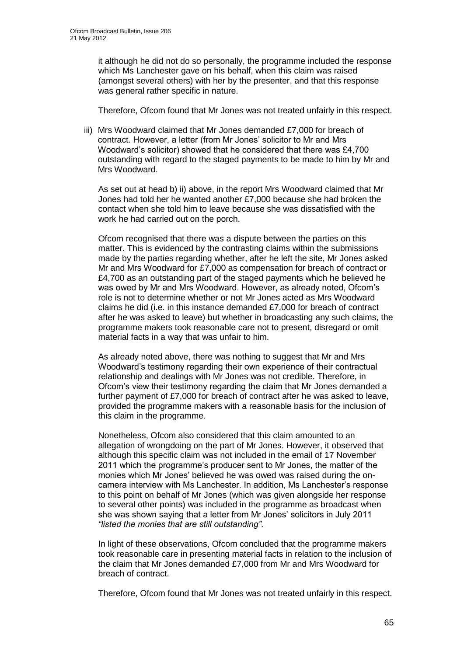it although he did not do so personally, the programme included the response which Ms Lanchester gave on his behalf, when this claim was raised (amongst several others) with her by the presenter, and that this response was general rather specific in nature.

Therefore, Ofcom found that Mr Jones was not treated unfairly in this respect.

iii) Mrs Woodward claimed that Mr Jones demanded £7,000 for breach of contract. However, a letter (from Mr Jones" solicitor to Mr and Mrs Woodward"s solicitor) showed that he considered that there was £4,700 outstanding with regard to the staged payments to be made to him by Mr and Mrs Woodward.

As set out at head b) ii) above, in the report Mrs Woodward claimed that Mr Jones had told her he wanted another £7,000 because she had broken the contact when she told him to leave because she was dissatisfied with the work he had carried out on the porch.

Ofcom recognised that there was a dispute between the parties on this matter. This is evidenced by the contrasting claims within the submissions made by the parties regarding whether, after he left the site, Mr Jones asked Mr and Mrs Woodward for £7,000 as compensation for breach of contract or £4,700 as an outstanding part of the staged payments which he believed he was owed by Mr and Mrs Woodward. However, as already noted, Ofcom"s role is not to determine whether or not Mr Jones acted as Mrs Woodward claims he did (i.e. in this instance demanded £7,000 for breach of contract after he was asked to leave) but whether in broadcasting any such claims, the programme makers took reasonable care not to present, disregard or omit material facts in a way that was unfair to him.

As already noted above, there was nothing to suggest that Mr and Mrs Woodward"s testimony regarding their own experience of their contractual relationship and dealings with Mr Jones was not credible. Therefore, in Ofcom"s view their testimony regarding the claim that Mr Jones demanded a further payment of £7,000 for breach of contract after he was asked to leave, provided the programme makers with a reasonable basis for the inclusion of this claim in the programme.

Nonetheless, Ofcom also considered that this claim amounted to an allegation of wrongdoing on the part of Mr Jones. However, it observed that although this specific claim was not included in the email of 17 November 2011 which the programme"s producer sent to Mr Jones, the matter of the monies which Mr Jones" believed he was owed was raised during the oncamera interview with Ms Lanchester. In addition, Ms Lanchester"s response to this point on behalf of Mr Jones (which was given alongside her response to several other points) was included in the programme as broadcast when she was shown saying that a letter from Mr Jones' solicitors in July 2011 *"listed the monies that are still outstanding"*.

In light of these observations, Ofcom concluded that the programme makers took reasonable care in presenting material facts in relation to the inclusion of the claim that Mr Jones demanded £7,000 from Mr and Mrs Woodward for breach of contract.

Therefore, Ofcom found that Mr Jones was not treated unfairly in this respect.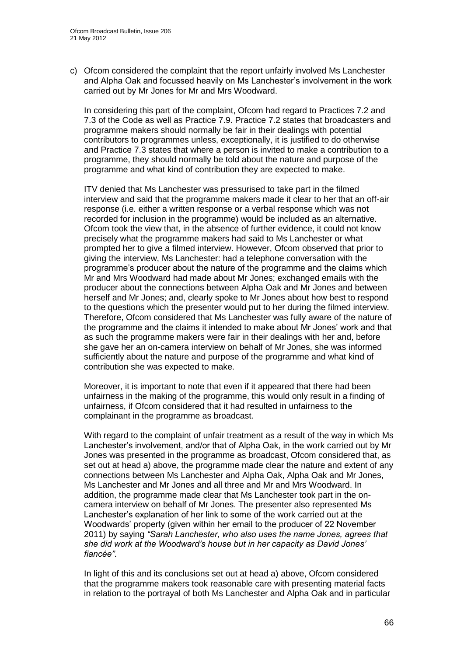c) Ofcom considered the complaint that the report unfairly involved Ms Lanchester and Alpha Oak and focussed heavily on Ms Lanchester"s involvement in the work carried out by Mr Jones for Mr and Mrs Woodward.

In considering this part of the complaint, Ofcom had regard to Practices 7.2 and 7.3 of the Code as well as Practice 7.9. Practice 7.2 states that broadcasters and programme makers should normally be fair in their dealings with potential contributors to programmes unless, exceptionally, it is justified to do otherwise and Practice 7.3 states that where a person is invited to make a contribution to a programme, they should normally be told about the nature and purpose of the programme and what kind of contribution they are expected to make.

ITV denied that Ms Lanchester was pressurised to take part in the filmed interview and said that the programme makers made it clear to her that an off-air response (i.e. either a written response or a verbal response which was not recorded for inclusion in the programme) would be included as an alternative. Ofcom took the view that, in the absence of further evidence, it could not know precisely what the programme makers had said to Ms Lanchester or what prompted her to give a filmed interview. However, Ofcom observed that prior to giving the interview, Ms Lanchester: had a telephone conversation with the programme"s producer about the nature of the programme and the claims which Mr and Mrs Woodward had made about Mr Jones; exchanged emails with the producer about the connections between Alpha Oak and Mr Jones and between herself and Mr Jones; and, clearly spoke to Mr Jones about how best to respond to the questions which the presenter would put to her during the filmed interview. Therefore, Ofcom considered that Ms Lanchester was fully aware of the nature of the programme and the claims it intended to make about Mr Jones" work and that as such the programme makers were fair in their dealings with her and, before she gave her an on-camera interview on behalf of Mr Jones, she was informed sufficiently about the nature and purpose of the programme and what kind of contribution she was expected to make.

Moreover, it is important to note that even if it appeared that there had been unfairness in the making of the programme, this would only result in a finding of unfairness, if Ofcom considered that it had resulted in unfairness to the complainant in the programme as broadcast.

With regard to the complaint of unfair treatment as a result of the way in which Ms Lanchester"s involvement, and/or that of Alpha Oak, in the work carried out by Mr Jones was presented in the programme as broadcast, Ofcom considered that, as set out at head a) above, the programme made clear the nature and extent of any connections between Ms Lanchester and Alpha Oak, Alpha Oak and Mr Jones, Ms Lanchester and Mr Jones and all three and Mr and Mrs Woodward. In addition, the programme made clear that Ms Lanchester took part in the oncamera interview on behalf of Mr Jones. The presenter also represented Ms Lanchester"s explanation of her link to some of the work carried out at the Woodwards" property (given within her email to the producer of 22 November 2011) by saying *"Sarah Lanchester, who also uses the name Jones, agrees that she did work at the Woodward"s house but in her capacity as David Jones" fiancée"*.

In light of this and its conclusions set out at head a) above, Ofcom considered that the programme makers took reasonable care with presenting material facts in relation to the portrayal of both Ms Lanchester and Alpha Oak and in particular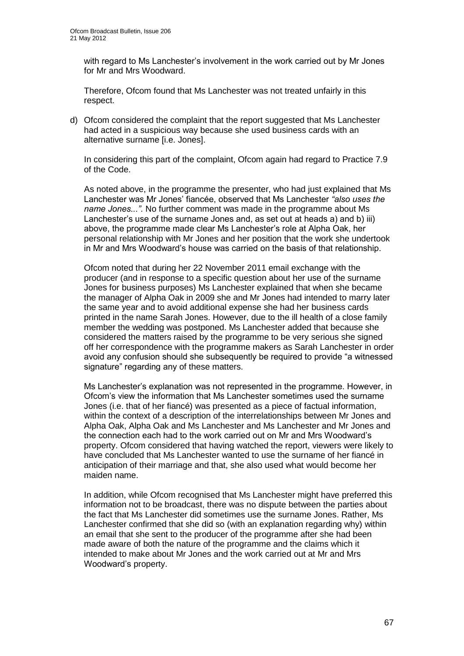with regard to Ms Lanchester's involvement in the work carried out by Mr Jones for Mr and Mrs Woodward.

Therefore, Ofcom found that Ms Lanchester was not treated unfairly in this respect.

d) Ofcom considered the complaint that the report suggested that Ms Lanchester had acted in a suspicious way because she used business cards with an alternative surname [i.e. Jones].

In considering this part of the complaint, Ofcom again had regard to Practice 7.9 of the Code.

As noted above, in the programme the presenter, who had just explained that Ms Lanchester was Mr Jones" fiancée, observed that Ms Lanchester *"also uses the name Jones..."*. No further comment was made in the programme about Ms Lanchester"s use of the surname Jones and, as set out at heads a) and b) iii) above, the programme made clear Ms Lanchester"s role at Alpha Oak, her personal relationship with Mr Jones and her position that the work she undertook in Mr and Mrs Woodward"s house was carried on the basis of that relationship.

Ofcom noted that during her 22 November 2011 email exchange with the producer (and in response to a specific question about her use of the surname Jones for business purposes) Ms Lanchester explained that when she became the manager of Alpha Oak in 2009 she and Mr Jones had intended to marry later the same year and to avoid additional expense she had her business cards printed in the name Sarah Jones. However, due to the ill health of a close family member the wedding was postponed. Ms Lanchester added that because she considered the matters raised by the programme to be very serious she signed off her correspondence with the programme makers as Sarah Lanchester in order avoid any confusion should she subsequently be required to provide "a witnessed signature" regarding any of these matters.

Ms Lanchester"s explanation was not represented in the programme. However, in Ofcom"s view the information that Ms Lanchester sometimes used the surname Jones (i.e. that of her fiancé) was presented as a piece of factual information, within the context of a description of the interrelationships between Mr Jones and Alpha Oak, Alpha Oak and Ms Lanchester and Ms Lanchester and Mr Jones and the connection each had to the work carried out on Mr and Mrs Woodward"s property. Ofcom considered that having watched the report, viewers were likely to have concluded that Ms Lanchester wanted to use the surname of her fiancé in anticipation of their marriage and that, she also used what would become her maiden name.

In addition, while Ofcom recognised that Ms Lanchester might have preferred this information not to be broadcast, there was no dispute between the parties about the fact that Ms Lanchester did sometimes use the surname Jones. Rather, Ms Lanchester confirmed that she did so (with an explanation regarding why) within an email that she sent to the producer of the programme after she had been made aware of both the nature of the programme and the claims which it intended to make about Mr Jones and the work carried out at Mr and Mrs Woodward"s property.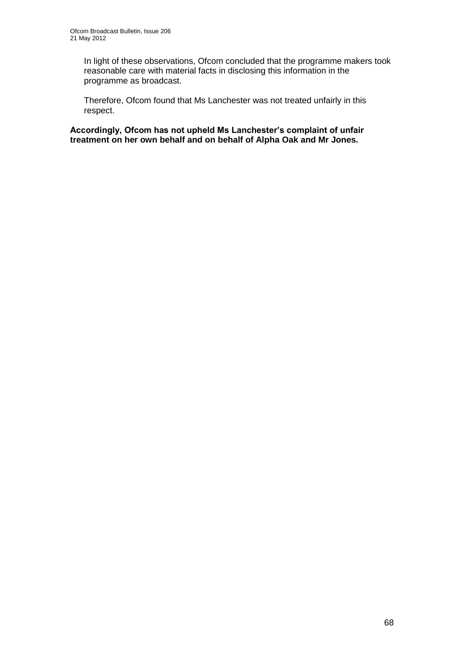In light of these observations, Ofcom concluded that the programme makers took reasonable care with material facts in disclosing this information in the programme as broadcast.

Therefore, Ofcom found that Ms Lanchester was not treated unfairly in this respect.

**Accordingly, Ofcom has not upheld Ms Lanchester's complaint of unfair treatment on her own behalf and on behalf of Alpha Oak and Mr Jones.**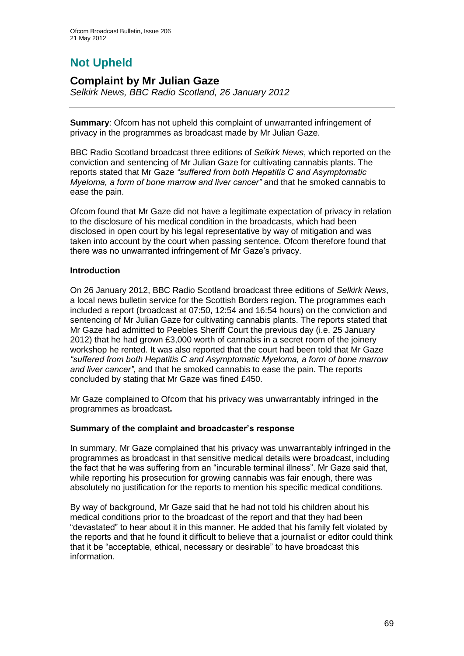# **Not Upheld**

### **Complaint by Mr Julian Gaze**

*Selkirk News, BBC Radio Scotland, 26 January 2012*

**Summary**: Ofcom has not upheld this complaint of unwarranted infringement of privacy in the programmes as broadcast made by Mr Julian Gaze.

BBC Radio Scotland broadcast three editions of *Selkirk News*, which reported on the conviction and sentencing of Mr Julian Gaze for cultivating cannabis plants. The reports stated that Mr Gaze *"suffered from both Hepatitis C and Asymptomatic Myeloma, a form of bone marrow and liver cancer"* and that he smoked cannabis to ease the pain.

Ofcom found that Mr Gaze did not have a legitimate expectation of privacy in relation to the disclosure of his medical condition in the broadcasts, which had been disclosed in open court by his legal representative by way of mitigation and was taken into account by the court when passing sentence. Ofcom therefore found that there was no unwarranted infringement of Mr Gaze"s privacy.

#### **Introduction**

On 26 January 2012, BBC Radio Scotland broadcast three editions of *Selkirk News*, a local news bulletin service for the Scottish Borders region. The programmes each included a report (broadcast at 07:50, 12:54 and 16:54 hours) on the conviction and sentencing of Mr Julian Gaze for cultivating cannabis plants. The reports stated that Mr Gaze had admitted to Peebles Sheriff Court the previous day (i.e. 25 January 2012) that he had grown £3,000 worth of cannabis in a secret room of the joinery workshop he rented. It was also reported that the court had been told that Mr Gaze *"suffered from both Hepatitis C and Asymptomatic Myeloma, a form of bone marrow and liver cancer"*, and that he smoked cannabis to ease the pain. The reports concluded by stating that Mr Gaze was fined £450.

Mr Gaze complained to Ofcom that his privacy was unwarrantably infringed in the programmes as broadcast**.**

#### **Summary of the complaint and broadcaster's response**

In summary, Mr Gaze complained that his privacy was unwarrantably infringed in the programmes as broadcast in that sensitive medical details were broadcast, including the fact that he was suffering from an "incurable terminal illness". Mr Gaze said that, while reporting his prosecution for growing cannabis was fair enough, there was absolutely no justification for the reports to mention his specific medical conditions.

By way of background, Mr Gaze said that he had not told his children about his medical conditions prior to the broadcast of the report and that they had been "devastated" to hear about it in this manner. He added that his family felt violated by the reports and that he found it difficult to believe that a journalist or editor could think that it be "acceptable, ethical, necessary or desirable" to have broadcast this information.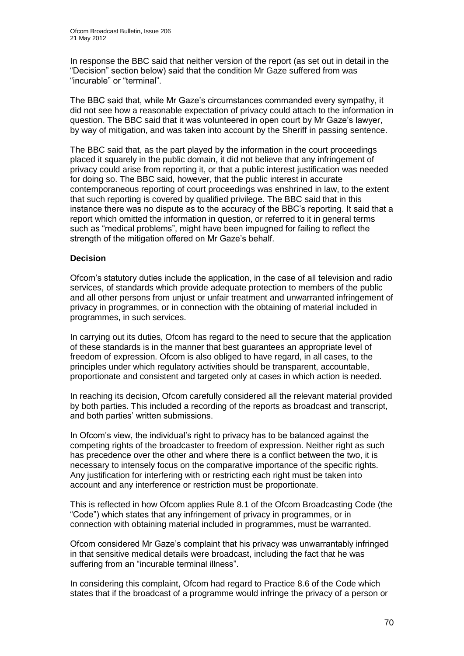In response the BBC said that neither version of the report (as set out in detail in the "Decision" section below) said that the condition Mr Gaze suffered from was "incurable" or "terminal".

The BBC said that, while Mr Gaze"s circumstances commanded every sympathy, it did not see how a reasonable expectation of privacy could attach to the information in question. The BBC said that it was volunteered in open court by Mr Gaze"s lawyer, by way of mitigation, and was taken into account by the Sheriff in passing sentence.

The BBC said that, as the part played by the information in the court proceedings placed it squarely in the public domain, it did not believe that any infringement of privacy could arise from reporting it, or that a public interest justification was needed for doing so. The BBC said, however, that the public interest in accurate contemporaneous reporting of court proceedings was enshrined in law, to the extent that such reporting is covered by qualified privilege. The BBC said that in this instance there was no dispute as to the accuracy of the BBC"s reporting. It said that a report which omitted the information in question, or referred to it in general terms such as "medical problems", might have been impugned for failing to reflect the strength of the mitigation offered on Mr Gaze"s behalf.

#### **Decision**

Ofcom"s statutory duties include the application, in the case of all television and radio services, of standards which provide adequate protection to members of the public and all other persons from unjust or unfair treatment and unwarranted infringement of privacy in programmes, or in connection with the obtaining of material included in programmes, in such services.

In carrying out its duties, Ofcom has regard to the need to secure that the application of these standards is in the manner that best guarantees an appropriate level of freedom of expression. Ofcom is also obliged to have regard, in all cases, to the principles under which regulatory activities should be transparent, accountable, proportionate and consistent and targeted only at cases in which action is needed.

In reaching its decision, Ofcom carefully considered all the relevant material provided by both parties. This included a recording of the reports as broadcast and transcript, and both parties' written submissions.

In Ofcom's view, the individual's right to privacy has to be balanced against the competing rights of the broadcaster to freedom of expression. Neither right as such has precedence over the other and where there is a conflict between the two, it is necessary to intensely focus on the comparative importance of the specific rights. Any justification for interfering with or restricting each right must be taken into account and any interference or restriction must be proportionate.

This is reflected in how Ofcom applies Rule 8.1 of the Ofcom Broadcasting Code (the "Code") which states that any infringement of privacy in programmes, or in connection with obtaining material included in programmes, must be warranted.

Ofcom considered Mr Gaze"s complaint that his privacy was unwarrantably infringed in that sensitive medical details were broadcast, including the fact that he was suffering from an "incurable terminal illness".

In considering this complaint, Ofcom had regard to Practice 8.6 of the Code which states that if the broadcast of a programme would infringe the privacy of a person or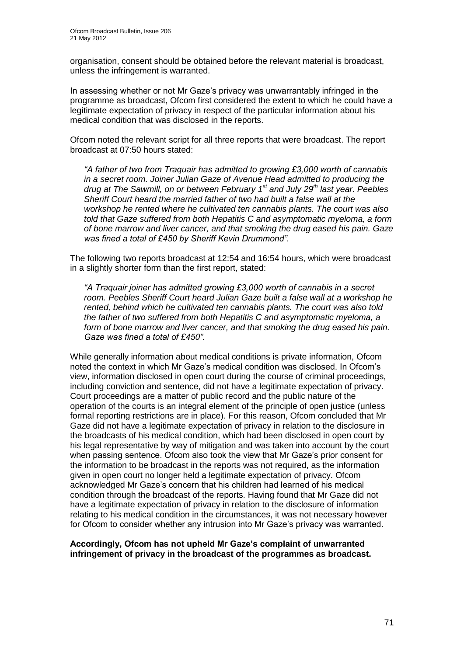organisation, consent should be obtained before the relevant material is broadcast, unless the infringement is warranted.

In assessing whether or not Mr Gaze"s privacy was unwarrantably infringed in the programme as broadcast, Ofcom first considered the extent to which he could have a legitimate expectation of privacy in respect of the particular information about his medical condition that was disclosed in the reports.

Ofcom noted the relevant script for all three reports that were broadcast. The report broadcast at 07:50 hours stated:

*"A father of two from Traquair has admitted to growing £3,000 worth of cannabis in a secret room. Joiner Julian Gaze of Avenue Head admitted to producing the drug at The Sawmill, on or between February 1st and July 29th last year. Peebles Sheriff Court heard the married father of two had built a false wall at the workshop he rented where he cultivated ten cannabis plants. The court was also told that Gaze suffered from both Hepatitis C and asymptomatic myeloma, a form of bone marrow and liver cancer, and that smoking the drug eased his pain. Gaze was fined a total of £450 by Sheriff Kevin Drummond".*

The following two reports broadcast at 12:54 and 16:54 hours, which were broadcast in a slightly shorter form than the first report, stated:

*"A Traquair joiner has admitted growing £3,000 worth of cannabis in a secret room. Peebles Sheriff Court heard Julian Gaze built a false wall at a workshop he rented, behind which he cultivated ten cannabis plants. The court was also told the father of two suffered from both Hepatitis C and asymptomatic myeloma, a form of bone marrow and liver cancer, and that smoking the drug eased his pain. Gaze was fined a total of £450".*

While generally information about medical conditions is private information, Ofcom noted the context in which Mr Gaze"s medical condition was disclosed. In Ofcom"s view, information disclosed in open court during the course of criminal proceedings, including conviction and sentence, did not have a legitimate expectation of privacy. Court proceedings are a matter of public record and the public nature of the operation of the courts is an integral element of the principle of open justice (unless formal reporting restrictions are in place). For this reason, Ofcom concluded that Mr Gaze did not have a legitimate expectation of privacy in relation to the disclosure in the broadcasts of his medical condition, which had been disclosed in open court by his legal representative by way of mitigation and was taken into account by the court when passing sentence. Ofcom also took the view that Mr Gaze"s prior consent for the information to be broadcast in the reports was not required, as the information given in open court no longer held a legitimate expectation of privacy. Ofcom acknowledged Mr Gaze"s concern that his children had learned of his medical condition through the broadcast of the reports. Having found that Mr Gaze did not have a legitimate expectation of privacy in relation to the disclosure of information relating to his medical condition in the circumstances, it was not necessary however for Ofcom to consider whether any intrusion into Mr Gaze"s privacy was warranted.

#### **Accordingly, Ofcom has not upheld Mr Gaze's complaint of unwarranted infringement of privacy in the broadcast of the programmes as broadcast.**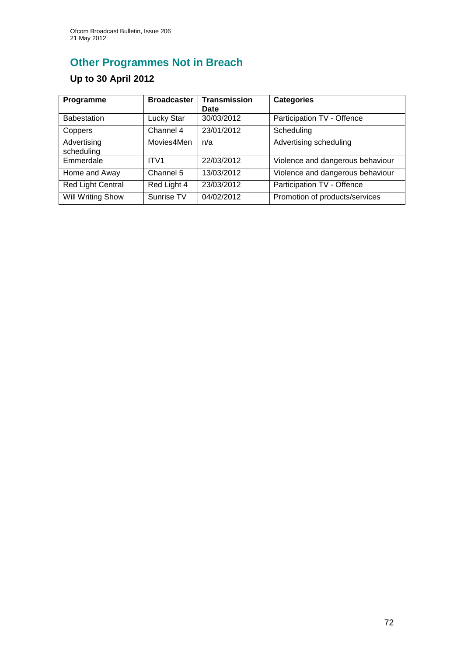# **Other Programmes Not in Breach**

## **Up to 30 April 2012**

| Programme                 | <b>Broadcaster</b> | <b>Transmission</b><br>Date | <b>Categories</b>                |
|---------------------------|--------------------|-----------------------------|----------------------------------|
| <b>Babestation</b>        | <b>Lucky Star</b>  | 30/03/2012                  | Participation TV - Offence       |
| Coppers                   | Channel 4          | 23/01/2012                  | Scheduling                       |
| Advertising<br>scheduling | Movies4Men         | n/a                         | Advertising scheduling           |
| Emmerdale                 | ITV1               | 22/03/2012                  | Violence and dangerous behaviour |
| Home and Away             | Channel 5          | 13/03/2012                  | Violence and dangerous behaviour |
| <b>Red Light Central</b>  | Red Light 4        | 23/03/2012                  | Participation TV - Offence       |
| <b>Will Writing Show</b>  | Sunrise TV         | 04/02/2012                  | Promotion of products/services   |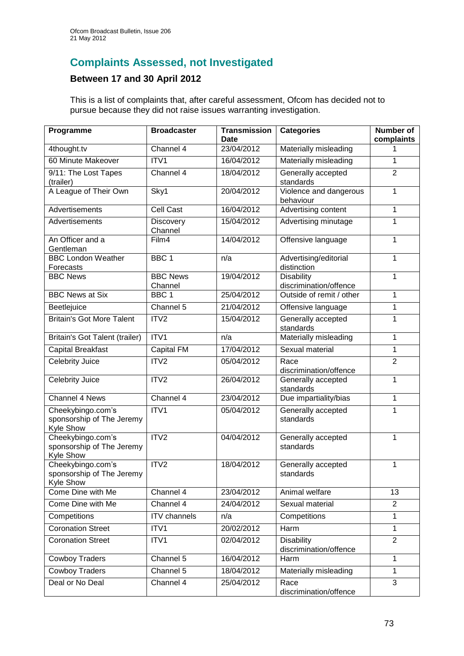## **Complaints Assessed, not Investigated**

## **Between 17 and 30 April 2012**

This is a list of complaints that, after careful assessment, Ofcom has decided not to pursue because they did not raise issues warranting investigation.

| Programme                                                   | <b>Broadcaster</b>          | <b>Transmission</b><br>Date | <b>Categories</b>                           | <b>Number of</b><br>complaints |
|-------------------------------------------------------------|-----------------------------|-----------------------------|---------------------------------------------|--------------------------------|
| 4thought.tv                                                 | Channel 4                   | 23/04/2012                  | Materially misleading                       |                                |
| 60 Minute Makeover                                          | ITV1                        | 16/04/2012                  | Materially misleading                       | 1                              |
| 9/11: The Lost Tapes<br>(trailer)                           | Channel 4                   | 18/04/2012                  | Generally accepted<br>standards             | $\overline{2}$                 |
| A League of Their Own                                       | Sky1                        | 20/04/2012                  | Violence and dangerous<br>behaviour         | 1                              |
| Advertisements                                              | Cell Cast                   | 16/04/2012                  | Advertising content                         | $\mathbf{1}$                   |
| Advertisements                                              | <b>Discovery</b><br>Channel | 15/04/2012                  | Advertising minutage                        | 1                              |
| An Officer and a<br>Gentleman                               | Film4                       | 14/04/2012                  | Offensive language                          | 1                              |
| <b>BBC London Weather</b>                                   | BBC <sub>1</sub>            | n/a                         | Advertising/editorial                       | 1                              |
| Forecasts                                                   |                             |                             | distinction                                 |                                |
| <b>BBC News</b>                                             | <b>BBC News</b><br>Channel  | 19/04/2012                  | <b>Disability</b><br>discrimination/offence | $\mathbf{1}$                   |
| <b>BBC News at Six</b>                                      | BBC <sub>1</sub>            | 25/04/2012                  | Outside of remit / other                    | $\mathbf{1}$                   |
|                                                             | Channel 5                   | 21/04/2012                  |                                             |                                |
| Beetlejuice                                                 |                             |                             | Offensive language                          | 1                              |
| <b>Britain's Got More Talent</b>                            | ITV2                        | 15/04/2012                  | Generally accepted<br>standards             | 1                              |
| Britain's Got Talent (trailer)                              | ITV1                        | n/a                         | Materially misleading                       | 1                              |
| <b>Capital Breakfast</b>                                    | Capital FM                  | 17/04/2012                  | Sexual material                             | 1                              |
| <b>Celebrity Juice</b>                                      | ITV <sub>2</sub>            | 05/04/2012                  | Race<br>discrimination/offence              | $\overline{2}$                 |
| Celebrity Juice                                             | ITV <sub>2</sub>            | 26/04/2012                  | Generally accepted<br>standards             | 1                              |
| Channel 4 News                                              | Channel 4                   | 23/04/2012                  | Due impartiality/bias                       | $\mathbf{1}$                   |
| Cheekybingo.com's<br>sponsorship of The Jeremy<br>Kyle Show | ITV1                        | 05/04/2012                  | Generally accepted<br>standards             | 1                              |
| Cheekybingo.com's<br>sponsorship of The Jeremy<br>Kyle Show | ITV2                        | 04/04/2012                  | Generally accepted<br>standards             | 1                              |
| Cheekybingo.com's<br>sponsorship of The Jeremy<br>Kyle Show | ITV <sub>2</sub>            | 18/04/2012                  | Generally accepted<br>standards             | 1                              |
| Come Dine with Me                                           | Channel 4                   | 23/04/2012                  | Animal welfare                              | 13                             |
| Come Dine with Me                                           | Channel 4                   | 24/04/2012                  | Sexual material                             | $\overline{c}$                 |
| Competitions                                                | <b>ITV</b> channels         | n/a                         | Competitions                                | 1                              |
| <b>Coronation Street</b>                                    | ITV1                        | 20/02/2012                  | Harm                                        | $\mathbf{1}$                   |
| <b>Coronation Street</b>                                    | ITV1                        | 02/04/2012                  | <b>Disability</b><br>discrimination/offence | $\overline{2}$                 |
| <b>Cowboy Traders</b>                                       | Channel 5                   | 16/04/2012                  | Harm                                        | $\overline{1}$                 |
| Cowboy Traders                                              | Channel 5                   | 18/04/2012                  | Materially misleading                       | 1                              |
| Deal or No Deal                                             | Channel 4                   | 25/04/2012                  | Race<br>discrimination/offence              | 3                              |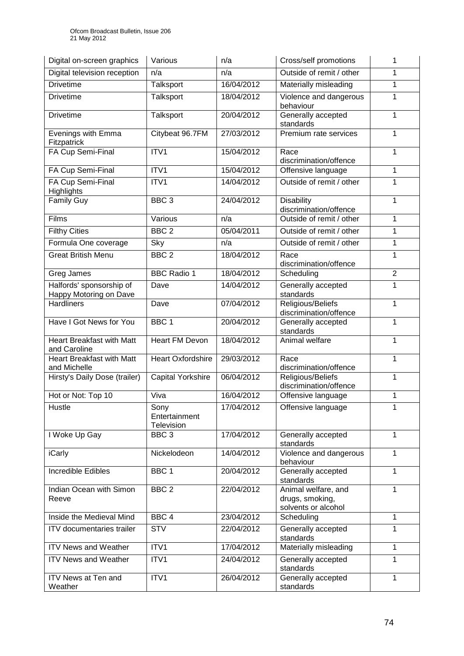| Digital on-screen graphics                         | Various                                    | n/a        | Cross/self promotions                                         | 1              |
|----------------------------------------------------|--------------------------------------------|------------|---------------------------------------------------------------|----------------|
| Digital television reception                       | n/a                                        | n/a        | Outside of remit / other                                      | 1              |
| <b>Drivetime</b>                                   | <b>Talksport</b>                           | 16/04/2012 | Materially misleading                                         | 1              |
| <b>Drivetime</b>                                   | Talksport                                  | 18/04/2012 | Violence and dangerous<br>behaviour                           | 1              |
| <b>Drivetime</b>                                   | Talksport                                  | 20/04/2012 | Generally accepted<br>standards                               | 1              |
| Evenings with Emma<br>Fitzpatrick                  | Citybeat 96.7FM                            | 27/03/2012 | Premium rate services                                         | 1              |
| FA Cup Semi-Final                                  | ITV1                                       | 15/04/2012 | Race<br>discrimination/offence                                |                |
| FA Cup Semi-Final                                  | ITV1                                       | 15/04/2012 | 1<br>Offensive language                                       |                |
| FA Cup Semi-Final<br><b>Highlights</b>             | ITV1                                       | 14/04/2012 | Outside of remit / other                                      |                |
| <b>Family Guy</b>                                  | BBC <sub>3</sub>                           | 24/04/2012 | <b>Disability</b><br>discrimination/offence                   |                |
| Films                                              | Various                                    | n/a        | Outside of remit / other                                      | 1              |
| <b>Filthy Cities</b>                               | BBC <sub>2</sub>                           | 05/04/2011 | Outside of remit / other                                      | 1              |
| Formula One coverage                               | Sky                                        | n/a        | Outside of remit / other                                      | 1              |
| <b>Great British Menu</b>                          | BBC <sub>2</sub>                           | 18/04/2012 | Race<br>discrimination/offence                                | 1              |
| Greg James                                         | <b>BBC Radio 1</b>                         | 18/04/2012 | Scheduling                                                    | $\overline{2}$ |
| Halfords' sponsorship of<br>Happy Motoring on Dave | Dave                                       | 14/04/2012 | Generally accepted<br>standards                               | 1              |
| <b>Hardliners</b>                                  | Dave                                       | 07/04/2012 | Religious/Beliefs<br>discrimination/offence                   | 1              |
| Have I Got News for You                            | BBC <sub>1</sub>                           | 20/04/2012 | Generally accepted<br>standards                               |                |
| <b>Heart Breakfast with Matt</b><br>and Caroline   | <b>Heart FM Devon</b>                      | 18/04/2012 | Animal welfare                                                | 1              |
| <b>Heart Breakfast with Matt</b><br>and Michelle   | <b>Heart Oxfordshire</b>                   | 29/03/2012 | Race<br>discrimination/offence                                | 1              |
| Hirsty's Daily Dose (trailer)                      | <b>Capital Yorkshire</b>                   | 06/04/2012 | Religious/Beliefs<br>1<br>discrimination/offence              |                |
| Hot or Not: Top 10                                 | Viva                                       | 16/04/2012 | Offensive language                                            | 1              |
| Hustle                                             | Sony<br>Entertainment<br><b>Television</b> | 17/04/2012 | Offensive language                                            |                |
| I Woke Up Gay                                      | BBC <sub>3</sub>                           | 17/04/2012 | Generally accepted<br>standards                               | 1              |
| iCarly                                             | Nickelodeon                                | 14/04/2012 | Violence and dangerous<br>1<br>behaviour                      |                |
| Incredible Edibles                                 | BBC 1                                      | 20/04/2012 | Generally accepted<br>1<br>standards                          |                |
| Indian Ocean with Simon<br>Reeve                   | BBC <sub>2</sub>                           | 22/04/2012 | Animal welfare, and<br>drugs, smoking,<br>solvents or alcohol | 1              |
| Inside the Medieval Mind                           | BBC <sub>4</sub>                           | 23/04/2012 | Scheduling                                                    | 1              |
| <b>ITV</b> documentaries trailer                   | <b>STV</b>                                 | 22/04/2012 | Generally accepted<br>standards                               | 1              |
| <b>ITV News and Weather</b>                        | ITV1                                       | 17/04/2012 | Materially misleading                                         | 1              |
| <b>ITV News and Weather</b>                        | ITV1                                       | 24/04/2012 | Generally accepted<br>1<br>standards                          |                |
| ITV News at Ten and<br>Weather                     | ITV1                                       | 26/04/2012 | Generally accepted<br>standards                               | 1              |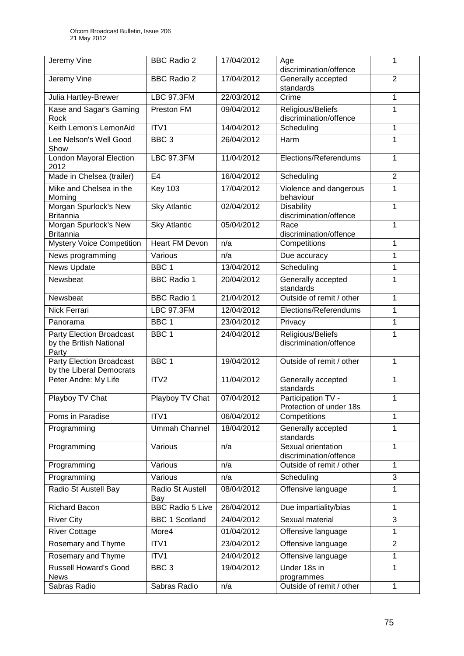| Jeremy Vine                                                         | <b>BBC Radio 2</b>      | 17/04/2012 | Age<br>discrimination/offence                     | 1              |
|---------------------------------------------------------------------|-------------------------|------------|---------------------------------------------------|----------------|
| Jeremy Vine                                                         | <b>BBC Radio 2</b>      | 17/04/2012 | Generally accepted<br>standards                   | $\overline{2}$ |
| Julia Hartley-Brewer                                                | <b>LBC 97.3FM</b>       | 22/03/2012 | Crime                                             | 1              |
| Kase and Sagar's Gaming<br>Rock                                     | Preston FM              | 09/04/2012 | Religious/Beliefs<br>discrimination/offence       | 1              |
| Keith Lemon's LemonAid                                              | ITV1                    | 14/04/2012 | Scheduling                                        | 1              |
| Lee Nelson's Well Good<br>Show                                      | BBC <sub>3</sub>        | 26/04/2012 | Harm                                              | 1              |
| <b>London Mayoral Election</b><br>2012                              | <b>LBC 97.3FM</b>       | 11/04/2012 | Elections/Referendums                             | 1              |
| Made in Chelsea (trailer)                                           | E <sub>4</sub>          | 16/04/2012 | Scheduling                                        | $\overline{2}$ |
| Mike and Chelsea in the<br>Morning                                  | <b>Key 103</b>          | 17/04/2012 | Violence and dangerous<br>behaviour               | 1              |
| Morgan Spurlock's New<br><b>Britannia</b>                           | <b>Sky Atlantic</b>     | 02/04/2012 | <b>Disability</b><br>discrimination/offence       |                |
| Morgan Spurlock's New<br><b>Britannia</b>                           | <b>Sky Atlantic</b>     | 05/04/2012 | Race<br>discrimination/offence                    | $\mathbf{1}$   |
| <b>Mystery Voice Competition</b>                                    | <b>Heart FM Devon</b>   | n/a        | Competitions                                      | 1              |
| News programming                                                    | Various                 | n/a        | Due accuracy                                      | 1              |
| <b>News Update</b>                                                  | BBC <sub>1</sub>        | 13/04/2012 | Scheduling                                        | 1              |
| Newsbeat                                                            | <b>BBC Radio 1</b>      | 20/04/2012 | Generally accepted<br>standards                   | 1              |
| Newsbeat                                                            | <b>BBC</b> Radio 1      | 21/04/2012 | Outside of remit / other                          | $\mathbf{1}$   |
| Nick Ferrari                                                        | <b>LBC 97.3FM</b>       | 12/04/2012 | Elections/Referendums                             | 1              |
| Panorama                                                            | BBC <sub>1</sub>        | 23/04/2012 | Privacy                                           | 1              |
| <b>Party Election Broadcast</b><br>by the British National<br>Party | BBC <sub>1</sub>        | 24/04/2012 | Religious/Beliefs<br>discrimination/offence       | 1              |
| <b>Party Election Broadcast</b><br>by the Liberal Democrats         | BBC <sub>1</sub>        | 19/04/2012 | Outside of remit / other                          | 1              |
| Peter Andre: My Life                                                | ITV2                    | 11/04/2012 | Generally accepted<br>standards                   | 1              |
| Playboy TV Chat                                                     | Playboy TV Chat         | 07/04/2012 | Participation TV -<br>Protection of under 18s     | 1              |
| Poms in Paradise                                                    | ITV1                    | 06/04/2012 | Competitions                                      | 1              |
| Programming                                                         | <b>Ummah Channel</b>    | 18/04/2012 | Generally accepted<br>standards                   | 1              |
| Programming                                                         | Various                 | n/a        | Sexual orientation<br>1<br>discrimination/offence |                |
| Programming                                                         | Various                 | n/a        | Outside of remit / other<br>$\mathbf{1}$          |                |
| Programming                                                         | Various                 | n/a        | 3<br>Scheduling                                   |                |
| Radio St Austell Bay                                                | Radio St Austell<br>Bay | 08/04/2012 | Offensive language                                | 1              |
| <b>Richard Bacon</b>                                                | <b>BBC Radio 5 Live</b> | 26/04/2012 | Due impartiality/bias                             | $\mathbf{1}$   |
| <b>River City</b>                                                   | <b>BBC 1 Scotland</b>   | 24/04/2012 | Sexual material<br>3                              |                |
| <b>River Cottage</b>                                                | More4                   | 01/04/2012 | Offensive language                                | $\mathbf{1}$   |
| <b>Rosemary and Thyme</b>                                           | ITV1                    | 23/04/2012 | Offensive language                                | $\overline{2}$ |
| Rosemary and Thyme                                                  | ITV1                    | 24/04/2012 | Offensive language                                | 1              |
| <b>Russell Howard's Good</b><br><b>News</b>                         | BBC <sub>3</sub>        | 19/04/2012 | Under 18s in<br>programmes                        | 1              |
| Sabras Radio                                                        | Sabras Radio            | n/a        | Outside of remit / other                          | 1              |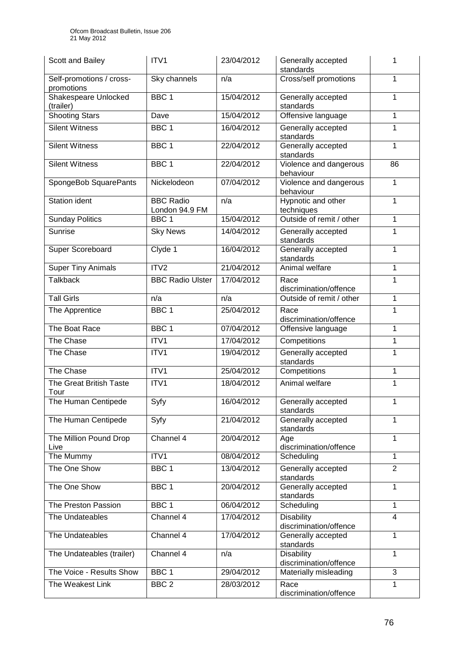| Scott and Bailey                         | ITV1                               | 23/04/2012 | Generally accepted<br>standards                   | 1            |
|------------------------------------------|------------------------------------|------------|---------------------------------------------------|--------------|
| Self-promotions / cross-<br>promotions   | Sky channels                       | n/a        | Cross/self promotions                             | 1            |
| <b>Shakespeare Unlocked</b><br>(trailer) | BBC <sub>1</sub>                   | 15/04/2012 | Generally accepted<br>standards                   | 1            |
| <b>Shooting Stars</b>                    | Dave                               | 15/04/2012 | Offensive language                                | 1            |
| <b>Silent Witness</b>                    | BBC <sub>1</sub>                   | 16/04/2012 | Generally accepted<br>standards                   | 1            |
| <b>Silent Witness</b>                    | BBC <sub>1</sub>                   | 22/04/2012 | Generally accepted<br>1<br>standards              |              |
| <b>Silent Witness</b>                    | BBC <sub>1</sub>                   | 22/04/2012 | Violence and dangerous<br>86<br>behaviour         |              |
| SpongeBob SquarePants                    | Nickelodeon                        | 07/04/2012 | Violence and dangerous<br>1<br>behaviour          |              |
| Station ident                            | <b>BBC Radio</b><br>London 94.9 FM | n/a        | Hypnotic and other<br>techniques                  | $\mathbf{1}$ |
| <b>Sunday Politics</b>                   | BBC <sub>1</sub>                   | 15/04/2012 | Outside of remit / other                          | 1            |
| Sunrise                                  | <b>Sky News</b>                    | 14/04/2012 | Generally accepted<br>standards                   | $\mathbf{1}$ |
| <b>Super Scoreboard</b>                  | Clyde 1                            | 16/04/2012 | Generally accepted<br>standards                   | 1            |
| <b>Super Tiny Animals</b>                | ITV2                               | 21/04/2012 | Animal welfare                                    | 1            |
| <b>Talkback</b>                          | <b>BBC Radio Ulster</b>            | 17/04/2012 | Race<br>discrimination/offence                    | 1            |
| <b>Tall Girls</b>                        | n/a                                | n/a        | Outside of remit / other                          | $\mathbf{1}$ |
| The Apprentice                           | BBC <sub>1</sub>                   | 25/04/2012 | Race<br>discrimination/offence                    | 1            |
| The Boat Race                            | BBC <sub>1</sub>                   | 07/04/2012 | Offensive language                                | 1            |
| The Chase                                | ITV1                               | 17/04/2012 | Competitions                                      | $\mathbf{1}$ |
| The Chase                                | ITV1                               | 19/04/2012 | Generally accepted<br>1<br>standards              |              |
| The Chase                                | ITV1                               | 25/04/2012 | Competitions<br>1                                 |              |
| The Great British Taste<br>Tour          | ITV1                               | 18/04/2012 | Animal welfare                                    | 1            |
| The Human Centipede                      | Syfy                               | 16/04/2012 | Generally accepted<br>standards                   | 1            |
| The Human Centipede                      | Syfy                               | 21/04/2012 | 1<br>Generally accepted<br>standards              |              |
| The Million Pound Drop<br>Live           | Channel $4$                        | 20/04/2012 | Age<br>discrimination/offence                     | $\mathbf{1}$ |
| The Mummy                                | ITV1                               | 08/04/2012 | Scheduling                                        | 1            |
| The One Show                             | BBC <sub>1</sub>                   | 13/04/2012 | $\overline{2}$<br>Generally accepted<br>standards |              |
| The One Show                             | BBC 1                              | 20/04/2012 | Generally accepted<br>standards                   | 1            |
| The Preston Passion                      | BBC <sub>1</sub>                   | 06/04/2012 | Scheduling<br>$\mathbf{1}$                        |              |
| The Undateables                          | Channel 4                          | 17/04/2012 | <b>Disability</b><br>4<br>discrimination/offence  |              |
| The Undateables                          | Channel 4                          | 17/04/2012 | Generally accepted<br>standards                   | $\mathbf{1}$ |
| The Undateables (trailer)                | Channel 4                          | n/a        | <b>Disability</b><br>1<br>discrimination/offence  |              |
| The Voice - Results Show                 | BBC <sub>1</sub>                   | 29/04/2012 | Materially misleading                             | 3            |
| The Weakest Link                         | BBC <sub>2</sub>                   | 28/03/2012 | Race<br>discrimination/offence                    | 1            |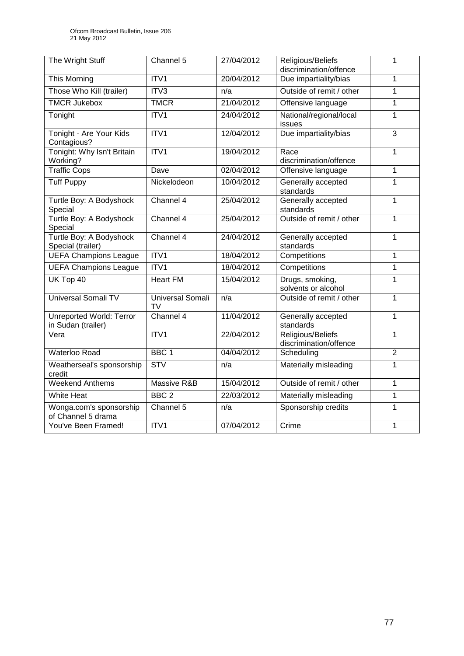| The Wright Stuff                                      | Channel 5                            | 27/04/2012 | Religious/Beliefs<br>discrimination/offence | 1              |
|-------------------------------------------------------|--------------------------------------|------------|---------------------------------------------|----------------|
| This Morning                                          | ITV1                                 | 20/04/2012 | Due impartiality/bias                       | 1              |
| Those Who Kill (trailer)                              | ITV3                                 | n/a        | Outside of remit / other                    | $\mathbf{1}$   |
| <b>TMCR Jukebox</b>                                   | <b>TMCR</b>                          | 21/04/2012 | Offensive language                          | $\mathbf{1}$   |
| Tonight                                               | ITV1                                 | 24/04/2012 | National/regional/local<br>issues           | $\mathbf{1}$   |
| Tonight - Are Your Kids<br>Contagious?                | ITV1                                 | 12/04/2012 | Due impartiality/bias                       | $\overline{3}$ |
| Tonight: Why Isn't Britain<br>Working?                | ITV1                                 | 19/04/2012 | Race<br>discrimination/offence              | 1              |
| <b>Traffic Cops</b>                                   | Dave                                 | 02/04/2012 | Offensive language                          | $\overline{1}$ |
| <b>Tuff Puppy</b>                                     | Nickelodeon                          | 10/04/2012 | Generally accepted<br>standards             | 1              |
| Turtle Boy: A Bodyshock<br>Special                    | $\overline{\text{Channel 4}}$        | 25/04/2012 | Generally accepted<br>standards             | 1              |
| Turtle Boy: A Bodyshock<br>Special                    | Channel 4                            | 25/04/2012 | Outside of remit / other                    | 1              |
| Turtle Boy: A Bodyshock<br>Special (trailer)          | Channel 4                            | 24/04/2012 | Generally accepted<br>standards             | 1              |
| <b>UEFA Champions League</b>                          | ITV <sub>1</sub>                     | 18/04/2012 | Competitions                                | 1              |
| <b>UEFA Champions League</b>                          | ITV1                                 | 18/04/2012 | Competitions                                | 1              |
| UK Top 40                                             | <b>Heart FM</b>                      | 15/04/2012 | Drugs, smoking,<br>solvents or alcohol      | 1              |
| <b>Universal Somali TV</b>                            | <b>Universal Somali</b><br><b>TV</b> | n/a        | Outside of remit / other                    | 1              |
| <b>Unreported World: Terror</b><br>in Sudan (trailer) | Channel 4                            | 11/04/2012 | Generally accepted<br>standards             | 1              |
| Vera                                                  | ITV <sub>1</sub>                     | 22/04/2012 | Religious/Beliefs<br>discrimination/offence | 1              |
| <b>Waterloo Road</b>                                  | BBC <sub>1</sub>                     | 04/04/2012 | Scheduling                                  | $\overline{2}$ |
| Weatherseal's sponsorship<br>credit                   | STV                                  | n/a        | Materially misleading                       | $\mathbf{1}$   |
| <b>Weekend Anthems</b>                                | Massive R&B                          | 15/04/2012 | Outside of remit / other                    | 1              |
| <b>White Heat</b>                                     | BBC <sub>2</sub>                     | 22/03/2012 | Materially misleading                       | $\mathbf{1}$   |
| Wonga.com's sponsorship<br>of Channel 5 drama         | Channel 5                            | n/a        | Sponsorship credits                         | $\mathbf{1}$   |
| You've Been Framed!                                   | ITV1                                 | 07/04/2012 | Crime                                       | 1              |